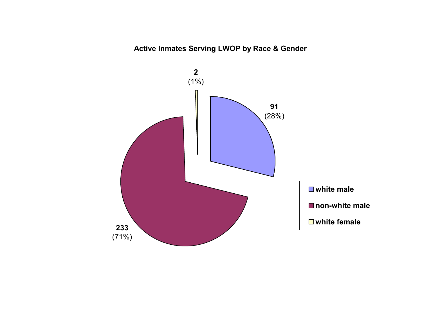# **Active Inmates Serving LWOP by Race & Gender**

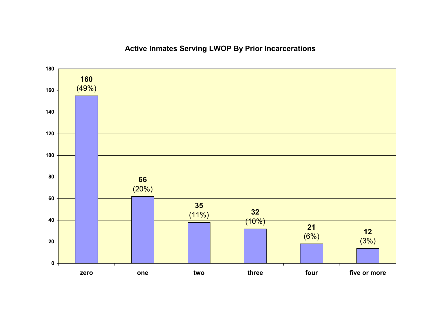# **Active Inmates Serving LWOP By Prior Incarcerations**

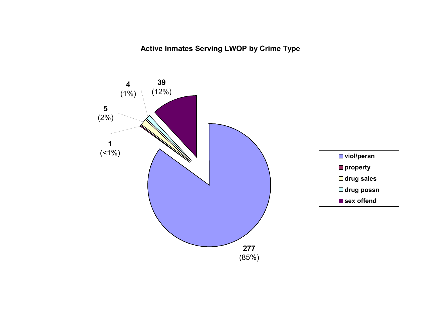**Active Inmates Serving LWOP by Crime Type**

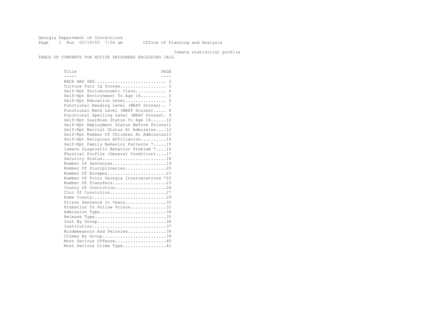Georgia Department of Corrections Page 1 Run 05/19/03 7:54 am Office of Planning and Analysis

#### Inmate statistical profile

TABLE OF CONTENTS FOR ACTIVE PRISONERS EXCLUDING JAIL

Title PAGE ----- ---- RACE AND SEX............................ 2 Culture Fair IQ Scores.................. 3 Self-Rpt Socioeconomic Class............ 4 Self-Rpt Environment To Age 16.......... 5 Self-Rpt Education Level................ 6 Functional Reading Level (WRAT Scores).. 7 Functional Math Level (WRAT Scores)..... 8 Functional Spelling Level (WRAT Scores). 9 Self-Rpt Guardian Status To Age 16......10 Self-Rpt Employment Status Before Prison11 Self-Rpt Marital Status At Admission....12 Self-Rpt Number Of Children At Admission13 Self-Rpt Religious Affiliation..........14 Self-Rpt Family Behavior Patterns \*.....15 Inmate Diagnostic Behavior Problem \*....16 Physical Profile (General Condition)....17 Security Status...........................18 Number Of Sentences.....................19 Number Of Disciplinaries................20 Number Of Escapes........................21 Number Of Prior Georgia Incarcerations \*22 Number Of Transfers.....................23 County Of Conviction....................24 Circ Of Conviction......................27 Home County.............................29 Prison Sentence In Years.................32 Probation To Follow Prison..............33 Admission Type............................34 Release Type..............................35 Inst By Group..............................36 Institution.............................37 Misdemeanors And Felonies...............38 Crimes By Group............................39 Most Serious Offense....................40 Most Serious Crime Type.................41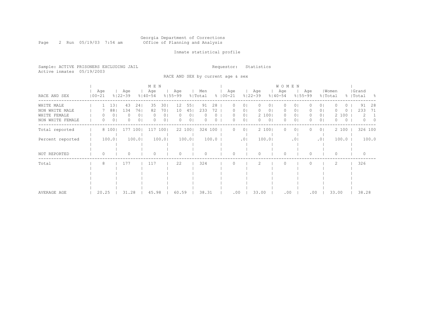#### Georgia Department of Corrections Page 2 Run 05/19/03 7:54 am Office of Planning and Analysis

# Inmate statistical profile

Sample: ACTIVE PRISONERS EXCLUDING JAIL **Requestor:** Statistics Active inmates 05/19/2003

RACE AND SEX by current age & sex

|                  |                   |                     |                    |                | M E N              |                |                    |                |                |         |                    |                |                    |                | W O M E N          |                |                    |                |                  |          |                    |               |  |
|------------------|-------------------|---------------------|--------------------|----------------|--------------------|----------------|--------------------|----------------|----------------|---------|--------------------|----------------|--------------------|----------------|--------------------|----------------|--------------------|----------------|------------------|----------|--------------------|---------------|--|
| RACE AND SEX     | Age<br>$100 - 21$ |                     | Age<br>$8122 - 39$ |                | Age<br>$8140 - 54$ |                | Age<br>$8155 - 99$ |                | Men<br>% Total |         | Age<br>$8100 - 21$ |                | Age<br>$8122 - 39$ |                | Age<br>$8140 - 54$ |                | Age<br>$8155 - 99$ |                | Women<br>% Total |          | Grand<br>%   Total | - 8           |  |
| WHITE MALE       |                   | 13                  | 43                 | 241            | 35                 | 301            | 12 <sup>°</sup>    | 55             | 91             | 28      | 0                  | 0 <sub>1</sub> | $\mathbf{0}$       | 01             | $\Omega$           | 0              |                    | 0 I            |                  | 0        |                    | 91<br>28      |  |
| NON WHITE MALE   |                   | 881                 | 134                | 761            | 82                 | 701            | 10                 | 45             | 233            | 72      |                    | 0              | 0                  | 0              | 0                  | 0              |                    | 0              |                  | O        |                    | 233<br>-71    |  |
| WHITE FEMALE     |                   | 01                  |                    | 0 <sub>1</sub> |                    | 0 <sub>1</sub> |                    | 01             |                |         |                    | 0 <sub>1</sub> |                    | 2 100          | $\circ$            | 0 <sup>1</sup> | 0                  | 0 I            |                  | 2 100    |                    | 2             |  |
| NON WHITE FEMALE |                   | 0 <sub>1</sub><br>0 | Λ                  | 0 <sub>1</sub> |                    | 01             |                    | 0 <sub>1</sub> |                |         | O                  | 0 <sub>1</sub> | $\circ$            | 0 <sub>1</sub> | $\Omega$           | 0              | U                  | $\circ$        | 0                | $\Omega$ |                    | 0<br>$\Omega$ |  |
| Total reported   |                   | 8 100               | 177                | 1001           | 117                | 1001           |                    | 22 100         |                | 324 100 | $\Omega$           | 0 <sup>1</sup> |                    | 2 100          | $\Omega$           | 0              |                    | 0 <sup>1</sup> |                  | 2 100    |                    | 326 100       |  |
| Percent reported |                   | 100.0               |                    | 100.0          |                    | 100.0          |                    | 100.0          |                | 100.0   |                    | .01            |                    | 100.0          |                    | $\cdot$ 0      |                    | .01            |                  | 100.0    |                    | 100.0         |  |
|                  |                   |                     |                    |                |                    |                |                    |                |                |         |                    |                |                    |                |                    |                |                    |                |                  |          |                    |               |  |
|                  |                   |                     |                    |                |                    |                |                    |                |                |         |                    |                |                    |                |                    |                |                    |                |                  |          |                    |               |  |
| NOT REPORTED     | $\Omega$          |                     |                    |                |                    |                |                    |                |                |         | ∩                  |                | $\Omega$           |                | $\Omega$           |                | 0                  |                | $\Omega$         |          |                    |               |  |
| Total            | 8                 |                     | 177                |                | 117                |                | 22                 |                | 324            |         |                    |                |                    |                | $\cap$             |                |                    |                | 2                |          |                    | 326           |  |
|                  |                   |                     |                    |                |                    |                |                    |                |                |         |                    |                |                    |                |                    |                |                    |                |                  |          |                    |               |  |
|                  |                   |                     |                    |                |                    |                |                    |                |                |         |                    |                |                    |                |                    |                |                    |                |                  |          |                    |               |  |
|                  |                   |                     |                    |                |                    |                |                    |                |                |         |                    |                |                    |                |                    |                |                    |                |                  |          |                    |               |  |
|                  |                   |                     |                    |                |                    |                |                    |                |                |         |                    |                |                    |                |                    |                |                    |                |                  |          |                    |               |  |
|                  |                   |                     |                    |                |                    |                |                    |                |                |         |                    |                |                    |                |                    |                |                    |                |                  |          |                    |               |  |
| AVERAGE AGE      | 20.25             |                     | 31.28              |                | 45.98              |                | 60.59              |                | 38.31          |         |                    | .00            | 33.00              |                | .00                |                | .00                |                | 33.00            |          |                    | 38.28         |  |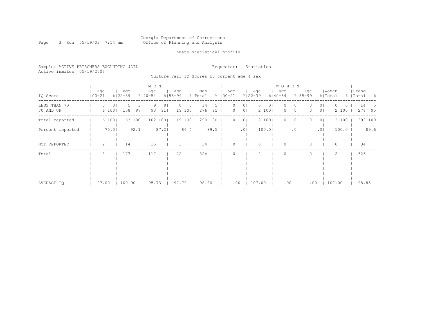# Georgia Department of Corrections<br>Office of Planning and Analysis

Page 3 Run 05/19/03 7:54 am

# Inmate statistical profile

|                           | Sample: ACTIVE PRISONERS EXCLUDING JAIL | Requestor: Statistics |
|---------------------------|-----------------------------------------|-----------------------|
| Active inmates 05/19/2003 |                                         |                       |

Culture Fair IQ Scores by current age & sex

|                           |                   |                           |                 | M E N              |          |                     |                |                |           |                      |                                       |                    |             | <b>WOMEN</b>                |                      |                    |                                  |                  |                    |           |                     |
|---------------------------|-------------------|---------------------------|-----------------|--------------------|----------|---------------------|----------------|----------------|-----------|----------------------|---------------------------------------|--------------------|-------------|-----------------------------|----------------------|--------------------|----------------------------------|------------------|--------------------|-----------|---------------------|
| IQ Score                  | Age<br>$100 - 21$ | Age<br>$8122 - 39$        |                 | Age<br>$8140 - 54$ |          | Age<br>$8155 - 99$  |                | Men<br>% Total |           | Age<br>$8   00 - 21$ |                                       | Age<br>$8122 - 39$ |             | Age<br>$8140 - 54$          |                      | Age<br>$8155 - 99$ | % Total                          | Women            | Grand<br>%   Total |           | - 왕                 |
| LESS THAN 70<br>70 AND UP | 0                 | $\circ$<br>6 100  <br>158 | 31<br>5.<br>971 | 9<br>93            | 91<br>91 | $\Omega$<br>19 1001 | 0 <sub>1</sub> | 14<br>276      | $95 \mid$ |                      | 0 <sub>1</sub><br>0 <sup>1</sup><br>0 | $\Omega$           | 01<br>2 100 | $\left( \right)$<br>$\circ$ | 01<br>0 <sub>1</sub> |                    | 0 <sub>1</sub><br>0 <sub>1</sub> | $\circ$<br>2 100 |                    | 14<br>278 | $\mathcal{D}$<br>95 |
| Total reported            |                   | 6 100                     | 163 1001        |                    | 102 1001 | 19 1001             |                | 290 100        |           |                      | 0 <sub>1</sub><br>0.                  |                    | 2 100       | $\Omega$                    | 01                   |                    | 0 <sub>1</sub>                   | 2 100            |                    | 292 100   |                     |
| Percent reported          |                   | $75.0$                    | 92.1            |                    | 87.2     |                     | 86.4           |                | 89.5      |                      | $.0$                                  |                    | 100.01      |                             | .01                  |                    | .01                              | 100.0            |                    |           | 89.6                |
| NOT REPORTED              | $\overline{2}$    | 14                        |                 | 15                 |          | 3                   |                | 34             |           |                      |                                       |                    |             | $\Omega$                    |                      |                    |                                  | 0                |                    | 34        |                     |
| Total                     | 8                 | 177                       |                 | 117                |          | 22                  |                | 324            |           |                      |                                       |                    |             |                             |                      |                    |                                  | 2                |                    | 326       |                     |
| AVERAGE IO                | 97.00             | 100.90                    |                 | 95.73              |          | 97.79               |                | 98.80          |           |                      | .00                                   | 107.00             |             | .00                         |                      | .00                |                                  | 107.00           |                    | 98.85     |                     |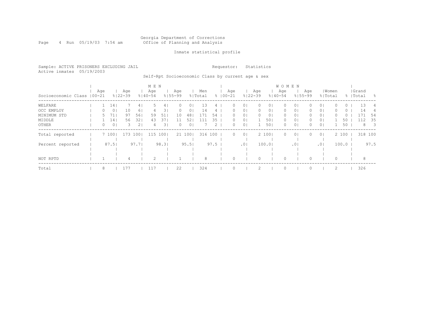#### Georgia Department of Corrections Page 4 Run 05/19/03 7:54 am Office of Planning and Analysis

## Inmate statistical profile

Sample: ACTIVE PRISONERS EXCLUDING JAIL **Requestor:** Statistics Active inmates 05/19/2003

Self-Rpt Socioeconomic Class by current age & sex

|                             |  |     |                 |                    |       | M E N              |      |                    |                |                |             |                   |                |                    |                | <b>WOMEN</b>       |                |                    |                |       |       |                    |                          |
|-----------------------------|--|-----|-----------------|--------------------|-------|--------------------|------|--------------------|----------------|----------------|-------------|-------------------|----------------|--------------------|----------------|--------------------|----------------|--------------------|----------------|-------|-------|--------------------|--------------------------|
| Socioeconomic Class   00-21 |  | Age |                 | Age<br>$8122 - 39$ |       | Age<br>$8140 - 54$ |      | Age<br>$8155 - 99$ |                | Men<br>% Total | $\approx$ 1 | Aqe<br>$100 - 21$ |                | Age<br>$8122 - 39$ |                | Age<br>$8140 - 54$ |                | Age<br>$8155 - 99$ | % Total        | Women |       | Grand<br>%   Total | - 양                      |
| WELFARE                     |  |     | 14 <sub>1</sub> |                    | 41    |                    | 4    | $\Omega$           | 0              | 13             |             | 0                 | $\Omega$       |                    | 01             | Ω                  | 01             |                    | 0 <sub>1</sub> |       | 0     | 13                 | 4                        |
| OCC EMPLOY                  |  | U   | 0 <sub>1</sub>  | 10                 | 61    |                    | 31   | 0                  | 0              | 14             |             | 0                 | $\circ$        | 0                  | 0 <sub>1</sub> | 0                  | 0 <sup>1</sup> | 0                  | 0 <sub>1</sub> |       | 0     | 14                 |                          |
| MINIMUM STD                 |  |     | 71              | 97                 | 561   | 59                 | 51   | 10                 | 48             | 171            | 54          | 0                 | $\circ$        |                    | 0 <sub>1</sub> | 0                  | 0 <sup>1</sup> |                    | 0 <sub>1</sub> |       | 0     |                    | -54                      |
| MIDDLE                      |  |     | 141             | 56                 | 321   | 43                 | 371  |                    | 52             |                | 35          | 0                 | 0 <sub>1</sub> |                    | 501            | 0                  | 0 <sup>1</sup> | 0                  | 0 <sub>1</sub> |       | 50    | 112                | -35                      |
| OTHER                       |  | 0   | 0 <sub>1</sub>  | 3                  | 21    | 4                  | 31   | 0                  | 0 <sup>1</sup> |                | 2           | 0                 | 0 <sup>1</sup> |                    | 501            | 0                  | 0 <sup>1</sup> | $\Omega$           | 0 <sup>1</sup> |       | 50    | 8                  | $\overline{\phantom{a}}$ |
| Total reported              |  |     | 7 100           | 173                | 1001  | 115                | 1001 |                    | 21 100         | 316 100        |             | $\Omega$          | 0 <sup>1</sup> |                    | 2 100          | $\Omega$           | 0 <sup>1</sup> | $\Omega$           | 0 <sup>1</sup> |       | 2 100 | 318 100            |                          |
|                             |  |     |                 |                    |       |                    |      |                    |                |                |             |                   |                |                    |                |                    |                |                    |                |       |       |                    |                          |
| Percent reported            |  |     | 87.51           |                    | 97.71 |                    | 98.3 |                    | 95.51          |                | 97.5        |                   | .01            |                    | 100.01         |                    | .01            |                    | .01            |       | 100.0 |                    | 97.5                     |
|                             |  |     |                 |                    |       |                    |      |                    |                |                |             |                   |                |                    |                |                    |                |                    |                |       |       |                    |                          |
|                             |  |     |                 |                    |       |                    |      |                    |                |                |             |                   |                |                    |                |                    |                |                    |                |       |       |                    |                          |
| NOT RPTD                    |  |     |                 |                    |       | $\mathcal{D}$      |      |                    |                | 8              |             |                   |                |                    |                |                    |                |                    |                |       |       | 8                  |                          |
| Total                       |  | 8   |                 | 177                |       | 117                |      | 22                 |                | 324            |             |                   |                |                    |                | $\circ$            |                |                    |                |       |       | 326                |                          |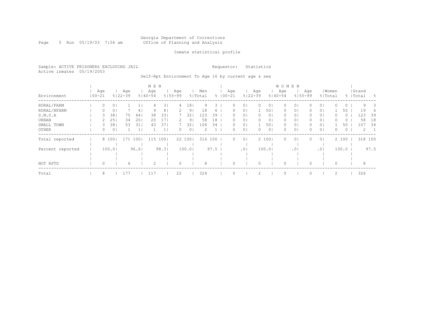#### Georgia Department of Corrections Page 5 Run 05/19/03 7:54 am Office of Planning and Analysis

## Inmate statistical profile

Sample: ACTIVE PRISONERS EXCLUDING JAIL **Requestor:** Statistics Active inmates 05/19/2003

Self-Rpt Environment To Age 16 by current age & sex

|                  |            |          |        |                    |       | M E N              |                |                    |                |                |      |             |                  |                 |                    |                | <b>WOMEN</b>       |                 |                    |                |          |         |                    |      |
|------------------|------------|----------|--------|--------------------|-------|--------------------|----------------|--------------------|----------------|----------------|------|-------------|------------------|-----------------|--------------------|----------------|--------------------|-----------------|--------------------|----------------|----------|---------|--------------------|------|
| Environment      | $100 - 21$ | Age      |        | Age<br>$8122 - 39$ |       | Age<br>$8140 - 54$ |                | Age<br>$8155 - 99$ |                | Men<br>% Total |      | $8100 - 21$ | Age              |                 | Age<br>$8122 - 39$ |                | Age<br>$8140 - 54$ |                 | Age<br>$8155 - 99$ | % Total        | Women    |         | Grand<br>%   Total | - 옹  |
| RURAL/FARM       |            | 0        | 0      |                    |       | 4                  | 31             | 4                  | 181            | 9.             | 3.   |             | 0                | 0 <sub>1</sub>  |                    | 01             | 0                  | 01              |                    | 0 <sub>1</sub> |          | $\circ$ | 9                  | 3    |
| RURAL/NFARM      |            | 0        | 0      |                    | 4     | 9                  | 8 <sub>1</sub> |                    | 91             | 18             | 6    |             | $\left( \right)$ | 0 <sup>1</sup>  |                    | 501            | $\circ$            | 0 <sub>1</sub>  | 0                  | 0 <sub>1</sub> |          | 50      | 19                 | 6    |
| S.M.S.A          |            | 3        | 38     | 75                 | 44    | 38                 | 331            |                    | 32             | 123            | 39   |             | 0.               | 0 <sub>1</sub>  | 0                  | 0 <sub>1</sub> | 0                  | 0 <sub>1</sub>  | 0                  | 0 <sub>1</sub> |          | $\circ$ | 123                | 39   |
| URBAN            |            |          | 25     | 34                 | 20    | 20                 | 17             |                    | 9              | 58             | 18   |             | $\left( \right)$ | 0 <sub>1</sub>  | 0                  | 0 <sub>1</sub> | 0                  | 0 <sub>1</sub>  |                    | 0 <sub>1</sub> |          | O       | 58                 | 18   |
| SMALL TOWN       |            | 3.       | 38     | 53                 | 31    | 43                 | 37             |                    | 32             | 106            | 34   |             |                  | 0 <sub>1</sub>  |                    | 501            | 0                  | 0 <sub>1</sub>  |                    | 0 <sub>1</sub> |          | 50      | 107                | -34  |
| OTHER            |            | 0        | 0      |                    |       |                    |                | 0                  | 0 <sub>1</sub> |                |      |             | 0                | 0 <sub>1</sub>  |                    | 0 <sub>1</sub> | 0                  | $\circ$         |                    | 0 <sup>1</sup> | 0        | $\circ$ | 2                  |      |
| Total reported   |            |          | 8 100  | 171                | 1001  | 115                | 1001           |                    | 22 100         | 316 100        |      |             | 0                | 0 <sup>1</sup>  |                    | 2 100          | 0                  | $\circ$         | 0                  | 0 <sup>1</sup> |          | 2 100   | 318 100            |      |
| Percent reported |            |          | 100.01 |                    | 96.61 |                    | 98.3           |                    | 100.0          |                | 97.5 |             |                  | .0 <sub>1</sub> |                    | 100.0          |                    | .0 <sub>1</sub> |                    | .01            |          | 100.0   |                    | 97.5 |
|                  |            |          |        |                    |       |                    |                |                    |                |                |      |             |                  |                 |                    |                |                    |                 |                    |                |          |         |                    |      |
| NOT RPTD         |            | $\Omega$ |        | 6                  |       | 2                  |                |                    |                | 8              |      |             |                  |                 |                    |                |                    |                 |                    |                | $\Omega$ |         | 8                  |      |
| Total            |            | 8        |        | 177                |       | 117                |                | 22                 |                | 324            |      |             |                  |                 |                    |                |                    |                 |                    |                | 2        |         | 326                |      |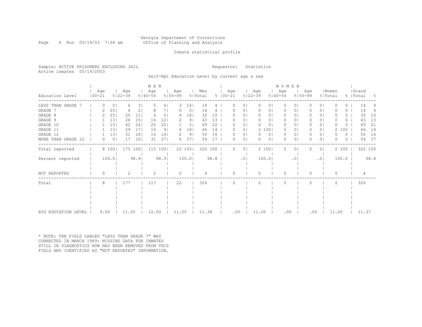#### Georgia Department of Corrections Page 6 Run 05/19/03 7:54 am Office of Planning and Analysis

## Inmate statistical profile

Sample: ACTIVE PRISONERS EXCLUDING JAIL **Requestor:** Statistics Active inmates 05/19/2003

Self-Rpt Education Level by current age & sex

|                     |            |          |                |                    |                 | M E N              |                |                    |                 |                |      |                     |                 |                    |                | WOMEN              |            |                    |                |                  |       |                  |                    |         |      |
|---------------------|------------|----------|----------------|--------------------|-----------------|--------------------|----------------|--------------------|-----------------|----------------|------|---------------------|-----------------|--------------------|----------------|--------------------|------------|--------------------|----------------|------------------|-------|------------------|--------------------|---------|------|
| Education Level     | $100 - 21$ | Age      |                | Age<br>$8122 - 39$ |                 | Age<br>$8140 - 54$ |                | Age<br>$8155 - 99$ |                 | Men<br>% Total |      | Age<br>$% 100 - 21$ |                 | Age<br>$8122 - 39$ |                | Age<br>$8140 - 54$ |            | Age<br>$8155 - 99$ |                | Women<br>% Total |       |                  | Grand<br>%   Total |         | - 옹  |
| LESS THAN GRADE     |            | 0        | $\circ$        | 6                  | 31              | -5                 | 4              | 3                  | 14              | 14             | 4    | 0                   | 01              | 0                  | 01             | 0                  | 0          | $\left( \right)$   | 01             |                  |       | $\left( \right)$ | 14                 |         |      |
| GRADE 7             |            |          | 25             | 4                  | 2               |                    |                |                    | 0               | 14             |      |                     | 0               | 0                  | 0              | $\Omega$           | 0          |                    | 0              |                  |       | 0                | 14                 |         | 4    |
| GRADE 8             |            |          | 25             | 20                 | 11              |                    | 51             | 4                  | 181             | 32             | 10   |                     | 0 <sub>1</sub>  | 0                  | 01             | $\Omega$           | 0          | 0                  | 0 <sup>1</sup> |                  |       | 0                | 32                 |         | 10   |
| GRADE 9             |            |          | 131            | 26                 | 15              | 14                 | 121            |                    | 91              | 43             | 13   |                     | 01              | 0                  | 01             | $\Omega$           | $\Omega$   |                    | $\Omega$       |                  |       | 0                | 43                 |         | 13   |
| GRADE 10            |            |          | 13             | 42                 | 24              | 25                 | 22             |                    | 5 <sub>1</sub>  | 69             | 22   | O                   | 01              | $\mathbf{0}$       | 01             | 0                  | 0          | 0                  | 0 I            |                  |       | 0                | 69                 |         | 21   |
| GRADE 11            |            |          | 13             | 29                 | 17 <sub>1</sub> | 10                 | 9 <sub>1</sub> | 4                  | 18 <sup>1</sup> | 44             | 14   | 0                   | 0               |                    | 2 100          | $\Omega$           | 0          | 0                  | 0 <sub>1</sub> |                  |       | 100              | 46                 |         | 14   |
| GRADE 12            |            |          | 13             | 31                 | 18              | 16                 | 141            |                    | 91              | 50             | 16   |                     | $\circ$         | $\Omega$           | $\circ$        | 0                  | 0          | 0                  | $\circ$        |                  |       | 0                | 50                 |         | 16   |
| MORE THAN GRADE 12  |            | 0        | 0 <sub>1</sub> | 17                 | 101             | 31                 | 271            | 6.                 | 271             | 54             | 17   | O                   | $\circ$         | $\Omega$           | 0 <sub>1</sub> | $\bigcap$          | $\Omega$   | U                  | 0 <sup>1</sup> |                  |       | 0                |                    | 54      | 17   |
| Total reported      |            |          | 8 100          | 175 100            |                 | 115 100            |                |                    | 22 100          | 320 100        |      | $\Omega$            | $\circ$         |                    | 2 100          | $\circ$            | $\circ$    | 0                  | 0 <sup>1</sup> |                  | 2 100 |                  |                    | 322 100 |      |
| Percent reported    |            |          | 100.0          |                    | 98.9            |                    | 98.3           |                    | 100.0           |                | 98.8 |                     | .0 <sub>1</sub> |                    | 100.0          |                    | $.0 \cdot$ |                    | .01            |                  | 100.0 |                  |                    |         | 98.8 |
| NOT REPORTED        |            | $\Omega$ |                |                    |                 |                    |                |                    |                 |                |      | O                   |                 | $\Omega$           |                | $\Omega$           |            | 0                  |                | 0                |       |                  |                    |         |      |
| Total               |            | 8        |                | 177                |                 | 117                |                | 22                 |                 | 324            |      | U                   |                 | 2                  |                | $\bigcap$          |            |                    |                | 2                |       |                  | 326                |         |      |
|                     |            |          |                |                    |                 |                    |                |                    |                 |                |      |                     |                 |                    |                |                    |            |                    |                |                  |       |                  |                    |         |      |
|                     |            |          |                |                    |                 |                    |                |                    |                 |                |      |                     |                 |                    |                |                    |            |                    |                |                  |       |                  |                    |         |      |
|                     |            |          |                |                    |                 |                    |                |                    |                 |                |      |                     |                 |                    |                |                    |            |                    |                |                  |       |                  |                    |         |      |
|                     |            |          |                |                    |                 |                    |                |                    |                 |                |      |                     |                 |                    |                |                    |            |                    |                |                  |       |                  |                    |         |      |
| AVG EDUCATION LEVEL |            | 9.00     |                | 11.05              |                 | 12.00              |                | 11.55              |                 | 11.38          |      | .00                 |                 | 11.00              |                | .00                |            |                    | .00            | 11.00            |       |                  |                    | 11.37   |      |

\* NOTE: THE FIELD LABLED "LESS THAN GRADE 7" WAS CORRECTED IN MARCH 1989: MISSING DATA FOR INMATES STILL IN DIAGNOSTICS NOW HAS BEEN REMOVED FROM THIS FIELD AND IDENTIFIED AS "NOT REPORTED" INFORMATION.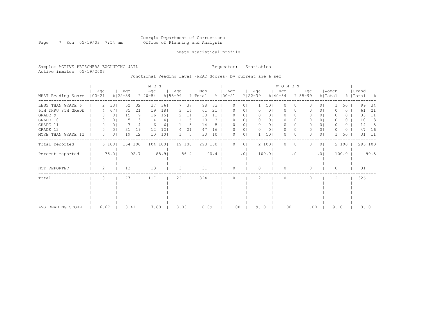#### Georgia Department of Corrections Page 7 Run 05/19/03 7:54 am Office of Planning and Analysis

## Inmate statistical profile

Sample: ACTIVE PRISONERS EXCLUDING JAIL **Requestor:** Statistics Active inmates 05/19/2003

Functional Reading Level (WRAT Scores) by current age & sex

|                    |                   |                |                    |                | M E N              |                 |                    |                |                |      |                      |                |                    |                | WOMEN              |                 |                    |                |                  |       |                    |         |
|--------------------|-------------------|----------------|--------------------|----------------|--------------------|-----------------|--------------------|----------------|----------------|------|----------------------|----------------|--------------------|----------------|--------------------|-----------------|--------------------|----------------|------------------|-------|--------------------|---------|
| WRAT Reading Score | Age<br>$100 - 21$ |                | Age<br>$8122 - 39$ |                | Age<br>$8140 - 54$ |                 | Age<br>$8155 - 99$ |                | Men<br>% Total |      | Age<br>$8   00 - 21$ |                | Age<br>$8122 - 39$ |                | Age<br>$8140 - 54$ |                 | Aqe<br>$8155 - 99$ |                | Women<br>% Total |       | Grand<br>%   Total | - 양     |
| LESS THAN GRADE 6  |                   | 33             | 52                 | 321            | 37                 | 361             |                    | 37             | 98             | 33   |                      | $\circ$        |                    | 501            | $\Omega$           | $\Omega$        |                    | 0 <sup>1</sup> |                  | 50    | 99                 | 34      |
| 6TH THRU 8TH GRADE |                   | 671            | 35                 | 211            | 19                 | 181             | 3                  | 16             | 61             | 21   |                      | 01             | 0                  | 0 <sub>1</sub> | 0                  | 01              |                    | 0 <sup>1</sup> |                  | 0     | 61                 | 21      |
| GRADE 9            |                   | 0              | 15                 | 9 <sub>1</sub> | 16                 | 151             |                    | 11             | 33             | 11   |                      | 01             |                    | 0              | 0                  | 01              |                    | 0 <sub>1</sub> |                  | ()    | 33                 | 11      |
| GRADE 10           | 0                 | 0              |                    | 31             |                    | 4               |                    | 5              | 10             | 3    |                      | 01             | 0                  | 0              | 0                  | 0               |                    | 01             |                  | O     | 10                 | 3       |
| GRADE 11           | 0                 | 0              |                    | 4              |                    | 6               |                    | 5.             | 14             |      |                      | 01             |                    | 0              | 0                  | 0               |                    | 0 <sub>1</sub> |                  | 0     | 14                 | 5       |
| GRADE 12           | 0                 | $\circ$        | 31                 | 19             | 12                 | 12 <sub>2</sub> |                    | 21             | 47             | 16   |                      | 0 <sub>1</sub> |                    | 0 <sub>1</sub> | 0                  | 01              | 0                  | 0 <sub>1</sub> |                  | 0     | 47                 | 16      |
| MORE THAN GRADE 12 | 0                 | 0 <sub>1</sub> | 19                 | 12             | 10                 | 101             |                    | 5 <sub>1</sub> | 30             | 10   |                      | 0 <sub>1</sub> |                    | 501            | $\Omega$           | 0               | 0                  | 0 <sub>1</sub> |                  | 50    | 31                 | 11      |
| Total reported     |                   | 6 100          |                    | 164 100        |                    | 104 1001        |                    | 19 100         | 293 100        |      | 0                    | 0 <sub>1</sub> |                    | 2 100          | $\Omega$           | $\circ$         |                    | 0 <sub>1</sub> |                  | 2 100 |                    | 295 100 |
| Percent reported   |                   | 75.0           |                    | 92.7           |                    | 88.9            |                    | 86.4           |                | 90.4 |                      | .01            |                    | 100.01         |                    | .0 <sub>1</sub> |                    | .01            |                  | 100.0 |                    | 90.5    |
| NOT REPORTED       | 2                 |                | 13                 |                | 13                 |                 | 3                  |                | 31             |      | $\Omega$             |                | $\Omega$           |                | $\Omega$           |                 | $\Omega$           |                | $\Omega$         |       | 31                 |         |
| Total              | 8                 |                | 177                |                | 117                |                 | 22                 |                | 324            |      |                      |                | 2                  |                | $\Omega$           |                 |                    |                | 2                |       | 326                |         |
|                    |                   |                |                    |                |                    |                 |                    |                |                |      |                      |                |                    |                |                    |                 |                    |                |                  |       |                    |         |
|                    |                   |                |                    |                |                    |                 |                    |                |                |      |                      |                |                    |                |                    |                 |                    |                |                  |       |                    |         |
|                    |                   |                |                    |                |                    |                 |                    |                |                |      |                      |                |                    |                |                    |                 |                    |                |                  |       |                    |         |
|                    |                   |                |                    |                |                    |                 |                    |                |                |      |                      |                |                    |                |                    |                 |                    |                |                  |       |                    |         |
| AVG READING SCORE  | 6.67              |                | 8.41               |                | 7.68               |                 | 8.03               |                | 8.09           |      | .00                  |                | 9.10               |                | .00                |                 | .00                |                |                  | 9.10  | 8.10               |         |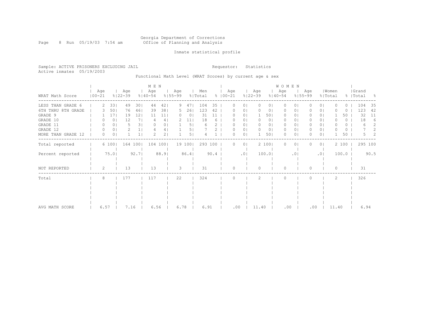#### Georgia Department of Corrections Page 8 Run 05/19/03 7:54 am Office of Planning and Analysis

## Inmate statistical profile

Sample: ACTIVE PRISONERS EXCLUDING JAIL **Requestor:** Statistics Active inmates 05/19/2003

Functional Math Level (WRAT Scores) by current age & sex

|                    |                   |       |                    |                | M E N            |                 |                    |                |                |      |                      |                 |                    |                | WOMEN              |                |                    |                |                  |       |                    |      |
|--------------------|-------------------|-------|--------------------|----------------|------------------|-----------------|--------------------|----------------|----------------|------|----------------------|-----------------|--------------------|----------------|--------------------|----------------|--------------------|----------------|------------------|-------|--------------------|------|
| WRAT Math Score    | Age<br>$100 - 21$ |       | Age<br>$8122 - 39$ |                | Age<br>$%140-54$ |                 | Age<br>$8155 - 99$ |                | Men<br>% Total |      | Age<br>$8   00 - 21$ |                 | Age<br>$8122 - 39$ |                | Age<br>$8140 - 54$ |                | Aqe<br>$8155 - 99$ |                | Women<br>% Total |       | Grand<br>%   Total | - 왕  |
| LESS THAN GRADE 6  |                   | 33    | 49                 | 301            | 44               | 421             | 9                  | 471            | 104            | 35   |                      | 0 <sub>1</sub>  | 0                  | 01             | $\Omega$           | 01             |                    | 0 <sub>1</sub> |                  | ()    | 104                | 35   |
| 6TH THRU 8TH GRADE |                   | 50    | 76                 | 461            | 39               | 381             | 5                  | 261            | 123            | 42   |                      | 0 <sub>1</sub>  |                    | 0 <sub>1</sub> | 0                  | 01             |                    | 0 <sub>1</sub> |                  | 0     | 123                | 42   |
| GRADE 9            |                   | 171   | 19                 | 12             | 11               | 11 <sub>1</sub> |                    | 0 <sup>1</sup> | 31             | 11   |                      | 0 <sub>1</sub>  |                    | 501            | 0                  | 01             |                    | 0 <sub>1</sub> |                  | 50    | 32                 | 11   |
| GRADE 10           | 0                 | 0     | 12                 | 7 <sub>1</sub> |                  | 41              |                    | 11             | 18             | 6    |                      | 01              |                    | 0 <sub>1</sub> | $\Omega$           | 01             |                    | 01             |                  | 0     | 18                 | 6    |
| GRADE 11           | 0                 | 0     | 5                  | 31             |                  | 01              |                    | 5 <sub>1</sub> | 6              |      |                      | 01              |                    | 01             | 0                  | 01             |                    | 01             |                  | 0     | 6                  | 2    |
| GRADE 12           | 0                 | 0     | 2                  |                |                  | 4               |                    | 5              |                |      |                      | 0 <sub>1</sub>  |                    | 0 <sub>1</sub> | 0                  | 0 <sub>1</sub> |                    | 0 <sub>1</sub> |                  | 0     |                    | 2    |
| MORE THAN GRADE 12 | 0                 | 0     |                    |                |                  | 2 <sub>1</sub>  |                    | 5 <sub>1</sub> |                |      |                      | 0 <sub>1</sub>  |                    | 501            | $\Omega$           | $\circ$        |                    | 0 <sub>1</sub> |                  | 50    | 5.                 | 2    |
| Total reported     |                   | 6 100 |                    | 164 1001       |                  | 104 1001        |                    | 19 1001        | 293 100        |      |                      | 0 <sub>1</sub>  |                    | 2 100          | $\Omega$           | 01             |                    | 0 <sub>1</sub> |                  | 2 100 | 295 100            |      |
| Percent reported   |                   | 75.0  |                    | 92.7           |                  | 88.9            |                    | 86.4           |                | 90.4 |                      | .0 <sub>1</sub> |                    | 100.01         |                    | .01            |                    | .01            |                  | 100.0 |                    | 90.5 |
| NOT REPORTED       | 2                 |       | 13                 |                | 13               |                 | 3                  |                | 31             |      | U                    |                 | $\cap$             |                | $\Omega$           |                | $\bigcap$          |                | $\Omega$         |       | 31                 |      |
| Total              | 8                 |       | 177                |                | 117              |                 | 22                 |                | 324            |      |                      |                 | 2                  |                | $\cap$             |                |                    |                | 2                |       | 326                |      |
|                    |                   |       |                    |                |                  |                 |                    |                |                |      |                      |                 |                    |                |                    |                |                    |                |                  |       |                    |      |
|                    |                   |       |                    |                |                  |                 |                    |                |                |      |                      |                 |                    |                |                    |                |                    |                |                  |       |                    |      |
|                    |                   |       |                    |                |                  |                 |                    |                |                |      |                      |                 |                    |                |                    |                |                    |                |                  |       |                    |      |
| AVG MATH SCORE     | 6.57              |       | 7.16               |                | 6.56             |                 | 6.78               |                | 6.91           |      | .00                  |                 | 11.40              |                | .00                |                | .00                |                | 11.40            |       | 6.94               |      |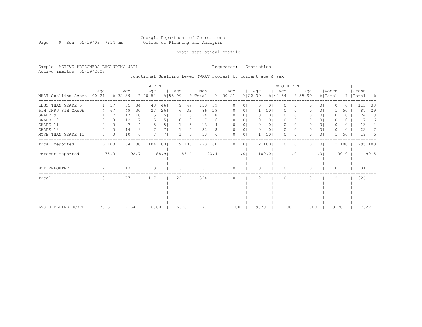#### Georgia Department of Corrections Page 9 Run 05/19/03 7:54 am Office of Planning and Analysis

## Inmate statistical profile

Sample: ACTIVE PRISONERS EXCLUDING JAIL **Requestor:** Statistics Active inmates 05/19/2003

Functional Spelling Level (WRAT Scores) by current age & sex

|                             |      |                |                    |                | M E N              |      |                    |        |                |      |                      |                |                    |                | WOMEN              |                 |                    |                |                  |                  |                    |      |
|-----------------------------|------|----------------|--------------------|----------------|--------------------|------|--------------------|--------|----------------|------|----------------------|----------------|--------------------|----------------|--------------------|-----------------|--------------------|----------------|------------------|------------------|--------------------|------|
| WRAT Spelling Score   00-21 | Age  |                | Age<br>$8122 - 39$ |                | Age<br>$8140 - 54$ |      | Age<br>$8155 - 99$ |        | Men<br>% Total |      | Age<br>$8   00 - 21$ |                | Age<br>$8122 - 39$ |                | Age<br>$8140 - 54$ |                 | Age<br>$8155 - 99$ |                | Women<br>% Total |                  | Grand<br>%   Total | - 양  |
| LESS THAN GRADE 6           |      | 17             | 55                 | 341            | 48                 | 461  | 9                  | 47     | 113            | 39   |                      | $\circ$        | $\Omega$           | $\circ$        | $\Omega$           | $\Omega$        |                    | 0 <sup>1</sup> |                  | $\left( \right)$ | 113                | 38   |
| 6TH THRU 8TH GRADE          |      | 67             | 49                 | 301            | 27                 | 261  | 6                  | 32     | 86             | 29   |                      | $\circ$        |                    | 501            | 0                  | $\circ$         |                    | 0 <sub>1</sub> |                  | 50               | 87                 | 29   |
| GRADE 9                     |      | 17             | 17                 | 101            |                    | 5    |                    | 5      | 24             | 8    |                      | 01             |                    | 0 <sub>1</sub> | 0                  | 01              |                    | 0 <sub>1</sub> |                  | $\left( \right)$ | 24                 | 8    |
| GRADE 10                    |      | 0 <sup>1</sup> | 12                 | 71             |                    | 5    |                    | 0      | 17             |      |                      | 01             |                    | 0              | 0                  | 0               |                    | 01             |                  | 0                | 17                 |      |
| GRADE 11                    |      | 0              |                    | 4              |                    |      |                    | 5.     | 13             |      |                      | 01             |                    | 0              | $\circ$            | 0               |                    | 0 <sub>1</sub> |                  | 0                | 13                 |      |
| GRADE 12                    | 0    | 0 <sub>1</sub> | 14                 | 9              |                    |      |                    | 5      | 22             |      |                      | 0 <sub>1</sub> |                    | 0 <sub>1</sub> | 0                  | 01              | 0                  | 0 <sub>1</sub> |                  | 0                | 22                 |      |
| MORE THAN GRADE 12          | 0    | 0 <sub>1</sub> | 10                 | 6 <sub>1</sub> |                    |      |                    | 5.     | 18             | 6    |                      | 0 <sup>1</sup> |                    | 501            | $\Omega$           | $\circ$         | 0                  | 0 <sup>1</sup> |                  | 50               | 19                 | 6    |
| Total reported              |      | 6 100          |                    | 164 100        | 104 100            |      |                    | 19 100 | 293 100        |      | 0                    | 0 <sub>1</sub> |                    | 2 100          | $\Omega$           | $\circ$         |                    | 0 <sub>1</sub> |                  | 2 100            | 295 100            |      |
| Percent reported            |      | 75.0           |                    | 92.7           |                    | 88.9 |                    | 86.4   |                | 90.4 |                      | .01            |                    | 100.01         |                    | .0 <sub>1</sub> |                    | .01            |                  | 100.0            |                    | 90.5 |
| NOT REPORTED                | 2    |                | 13                 |                | 13                 |      | 3                  |        | 31             |      | $\Omega$             |                | $\Omega$           |                | $\Omega$           |                 | $\Omega$           |                | $\Omega$         |                  | 31                 |      |
| Total                       | 8    |                | 177                |                | 117                |      | 22                 |        | 324            |      |                      |                | 2                  |                | $\Omega$           |                 |                    |                | 2                |                  | 326                |      |
|                             |      |                |                    |                |                    |      |                    |        |                |      |                      |                |                    |                |                    |                 |                    |                |                  |                  |                    |      |
|                             |      |                |                    |                |                    |      |                    |        |                |      |                      |                |                    |                |                    |                 |                    |                |                  |                  |                    |      |
|                             |      |                |                    |                |                    |      |                    |        |                |      |                      |                |                    |                |                    |                 |                    |                |                  |                  |                    |      |
|                             |      |                |                    |                |                    |      |                    |        |                |      |                      |                |                    |                |                    |                 |                    |                |                  |                  |                    |      |
| AVG SPELLING SCORE          | 7.13 |                | 7.64               |                | 6.60               |      | 6.78               |        | 7.21           |      | .00                  |                | 9.70               |                | .00                |                 | .00                |                | 9.70             |                  | 7.22               |      |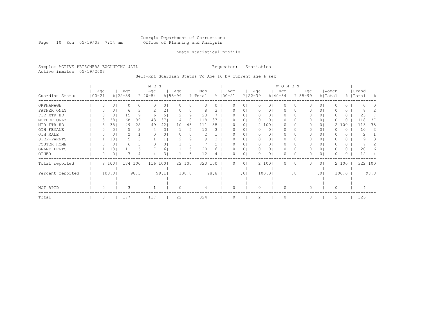#### Georgia Department of Corrections Page 10 Run 05/19/03 7:54 am Office of Planning and Analysis

## Inmate statistical profile

Sample: ACTIVE PRISONERS EXCLUDING JAIL **Requestor:** Statistics Active inmates 05/19/2003

Self-Rpt Guardian Status To Age 16 by current age & sex

|                  |                   |       |    |                    |                | M E N              |      |                    |        |                |      |                      |                |                    |       | WOMEN              |           |                    |                |          |          |                    |      |
|------------------|-------------------|-------|----|--------------------|----------------|--------------------|------|--------------------|--------|----------------|------|----------------------|----------------|--------------------|-------|--------------------|-----------|--------------------|----------------|----------|----------|--------------------|------|
| Guardian Status  | Age<br>$100 - 21$ |       |    | Age<br>$8122 - 39$ |                | Age<br>$8140 - 54$ |      | Age<br>$8155 - 99$ |        | Men<br>% Total |      | Age<br>$8   00 - 21$ |                | Age<br>$8122 - 39$ |       | Age<br>$8140 - 54$ |           | Age<br>$8155 - 99$ | % Total        | Women    |          | Grand<br>%   Total | - 옹  |
| ORPHANAGE        |                   |       | 0  |                    | 0 <sub>1</sub> |                    | 01   |                    | 0      |                |      |                      | 01             |                    | 01    | 0                  | 0         |                    | 0 <sub>1</sub> |          | 0        |                    |      |
| FATHER ONLY      | O                 |       | 0  | 6                  | 31             |                    | 2    |                    | 0      |                | 3    |                      | 0              | $\Omega$           | 01    | 0                  | 0         |                    | 0 <sup>1</sup> |          | 0        |                    |      |
| FTR MTR HD       |                   |       | 0  | 15                 | 9              |                    |      |                    | 9      | 23             |      |                      | $\Omega$       | $\Omega$           | 01    | $\Omega$           | 0         |                    | 0 <sup>1</sup> |          | 0        | 23                 |      |
| MOTHER ONLY      |                   |       | 38 | 68                 | 391            | 43                 | 37   | 4                  | 18     | 118            | 37   |                      | $\circ$        | 0                  | 01    | 0                  | 0         |                    | 0 <sub>1</sub> |          | 0        | 118                | 37   |
| MTR FTR HD       |                   |       | 38 | 49                 | 281            | 49                 | 42   | 10                 | 45     | 111            | 35   |                      | $\circ$        |                    | 2 100 | 0                  | 0         |                    | 0 <sup>1</sup> | 2        | 100      | 113                | 35   |
| OTH FEMALE       |                   |       | 0  | 5                  | 31             | 4                  | 3.   |                    | 5      | 10             | З    |                      | $\circ$        |                    | 0     | 0                  | 0         |                    | 01             |          | 0        | 10                 | 3    |
| OTH MALE         |                   |       | 0  |                    |                |                    | 0    |                    | 0      |                |      |                      | $\circ$        | $\Omega$           | 0     | 0                  | 0         |                    | $\circ$        |          | $\Omega$ |                    |      |
| STEP-PARNTS      |                   |       | 13 |                    | 3.             |                    |      |                    | 9.     |                |      |                      | 0              |                    | 0     | 0                  | 0         |                    | 01             |          | 0.       |                    |      |
| FOSTER HOME      |                   |       | 0  | 6                  | 31             |                    | 0    |                    | 5.     |                |      |                      | 0              | 0                  | 0     | 0                  | 0         |                    | 0 <sup>1</sup> |          | 0        |                    |      |
| GRAND PRNTS      |                   |       | 13 | 11                 | 6              |                    | 6.   |                    | 5      | 20             |      |                      | 0              | 0                  | 0     | 0                  | 0         |                    | 0 <sub>1</sub> |          | 0        | 20                 |      |
| OTHER            | 0                 |       | 0  |                    | 4              |                    | 3    |                    | 5      | 12             | 4    |                      | $\circ$        |                    | 0     | 0                  | 0         |                    | 0 <sub>1</sub> |          | 0        | 12                 |      |
| Total reported   |                   | 8 100 |    | 174 100            |                | 116                | 1001 |                    | 22 100 | 320            | 100  |                      | 0 <sup>1</sup> |                    | 2 100 | $\Omega$           | 0         |                    | 0 <sub>1</sub> |          | 2 100    | 322 100            |      |
|                  |                   |       |    |                    |                |                    |      |                    |        |                |      |                      |                |                    |       |                    |           |                    |                |          |          |                    |      |
| Percent reported |                   | 100.0 |    |                    | 98.3           |                    | 99.1 |                    | 100.0  |                | 98.8 |                      | .01            |                    | 100.0 |                    | $\cdot$ 0 |                    | .01            |          | 100.0    |                    | 98.8 |
|                  |                   |       |    |                    |                |                    |      |                    |        |                |      |                      |                |                    |       |                    |           |                    |                |          |          |                    |      |
|                  |                   |       |    |                    |                |                    |      |                    |        |                |      |                      |                |                    |       |                    |           |                    |                |          |          |                    |      |
| NOT RPTD         | $\Omega$          |       |    | 3                  |                |                    |      | $\bigcap$          |        |                |      | $\cap$               |                | $\bigcap$          |       | $\Omega$           |           | $\Omega$           |                | $\Omega$ |          |                    |      |
| Total            | 8                 |       |    | 177                |                | 117                |      | 22                 |        | 324            |      |                      |                |                    |       | $\Omega$           |           |                    |                | 2        |          | 326                |      |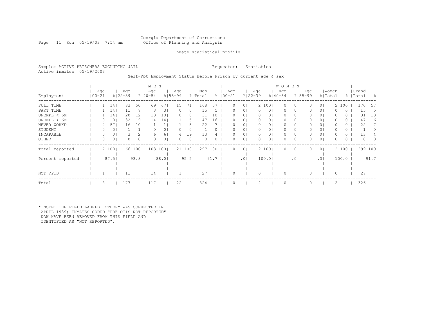# Georgia Department of Corrections<br>Office of Planning and Analysis

Page 11 Run 05/19/03 7:54 am

## Inmate statistical profile

Sample: ACTIVE PRISONERS EXCLUDING JAIL **Requestor:** Statistics Active inmates 05/19/2003

Self-Rpt Employment Status Before Prison by current age & sex

|                  |                  |       |                    |                 | M E N              |                |                    |                |                |      |             |     |                 |           |                | <b>WOMEN</b>       |                |     |                |       |       |                    |          |                  |
|------------------|------------------|-------|--------------------|-----------------|--------------------|----------------|--------------------|----------------|----------------|------|-------------|-----|-----------------|-----------|----------------|--------------------|----------------|-----|----------------|-------|-------|--------------------|----------|------------------|
| Employment       | Age<br>  00-21   |       | Age<br>$8122 - 39$ |                 | Age<br>$8140 - 54$ |                | Age<br>$8155 - 99$ |                | Men<br>% Total |      | $8100 - 21$ | Age | $8122 - 39$     | Age       |                | Age<br>$8140 - 54$ | $8155 - 99$    | Age | % Total        | Women |       | Grand<br>%   Total |          | - 옹              |
| FULL TIME        |                  | 14    | 83                 | 501             | 69                 | 671            | 15                 | 71.            | 168            | 57   |             | 0   | $\circ$         |           | 2 100          | $\circ$            | 01             |     | 0 <sub>1</sub> |       | 2 100 |                    | 170      | 57               |
| PART TIME        |                  | 14    | 11                 | 7 I             | 3                  | 31             |                    | 01             | 15             | 5    |             |     | $\circ$         | $\Omega$  | 0 <sub>1</sub> | 0                  | 0 <sub>1</sub> |     | 0 <sub>1</sub> |       | 0     |                    | 15       | b.               |
| UNEMPL < 6M      |                  | 14    | 20                 | 12              | 10                 | 101            |                    | 0              | 31             | 10   |             |     | $\circ$         |           | 0              | 0                  | 0              |     | 0 <sub>1</sub> |       | Ü     |                    | 31       | 10               |
| UNEMPL > 6M      |                  | 0     | 32                 | 191             | 14                 | 141            |                    | 51             | 47             | 16   |             | 0   | $\circ$         | $\bigcap$ | 0 <sup>1</sup> | 0                  | 01             |     | 0 <sub>1</sub> |       | 0     |                    | 47       | 16               |
| NEVER WORKD      |                  | 57    | 16                 | 10 <sub>1</sub> |                    |                |                    | 5.             | 22             |      |             | 0   | $\circ$         | $\bigcap$ |                | $\Omega$           | 0              |     | 0 <sub>1</sub> |       | 0     |                    | 22       |                  |
| STUDENT          | $\left( \right)$ | 0     |                    |                 |                    | 01             |                    | 0              |                |      |             |     | $\circ$         | $\Omega$  | 0 <sup>1</sup> | 0                  | 01             |     | 0 <sub>1</sub> |       | 0     |                    |          | $\left( \right)$ |
| INCAPABLE        | 0                | 0     |                    | 2               | 6                  | 6 <sup>1</sup> |                    | 191            | 13             |      |             |     | $\circ$         | $\Omega$  | 0              | 0                  | 0              |     | 0 <sub>1</sub> |       |       |                    | 13       |                  |
| OTHER            | 0                | 0     |                    | 0 <sub>1</sub>  | 0                  | 0 <sup>1</sup> |                    | 0 <sub>1</sub> | $\Omega$       | 0    |             | 0   | $\circ$         | $\Omega$  | 0 <sup>1</sup> | $\circ$            | 0 <sub>1</sub> |     | 0 <sub>1</sub> | 0     | 0     |                    | $\Omega$ | $\Omega$         |
| Total reported   |                  | 7 100 | 166                | 1001            | 103                | 1001           |                    | 21 100         | 297            | 100  |             | 0   | $\circ$         |           | 2 1001         | $\Omega$           | 01             |     | 0 <sub>1</sub> |       | 2 100 |                    | 299 100  |                  |
| Percent reported |                  | 87.5  |                    | 93.8            |                    | 88.01          |                    | 95.51          |                | 91.7 |             |     | .0 <sub>1</sub> |           | 100.01         |                    | .01            |     | .01            |       | 100.0 |                    |          | 91.7             |
|                  |                  |       |                    |                 |                    |                |                    |                |                |      |             |     |                 |           |                |                    |                |     |                |       |       |                    |          |                  |
| NOT RPTD         |                  |       | 11                 |                 | 14                 |                |                    |                | 27             |      |             |     |                 | 0         |                |                    |                |     |                | 0     |       |                    | 27       |                  |
| Total            | 8                |       | 177                |                 | 117                |                | 22                 |                | 324            |      |             |     |                 |           |                |                    |                |     |                | 2     |       |                    | 326      |                  |

\* NOTE: THE FIELD LABELD "OTHER" WAS CORRECTED IN APRIL 1989; INMATES CODED "PRE-OTIS NOT REPORTED" NOW HAVE BEEN REMOVED FROM THIS FIELD AND IDENTIFIED AS "NOT REPORTED".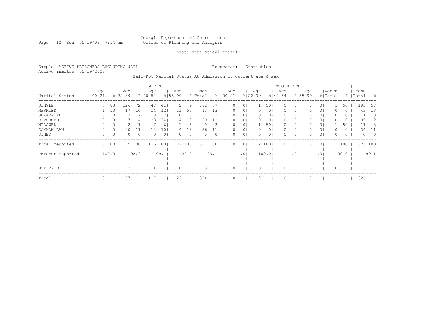#### Georgia Department of Corrections Page 12 Run 05/19/03 7:54 am Office of Planning and Analysis

## Inmate statistical profile

Sample: ACTIVE PRISONERS EXCLUDING JAIL **Requestor:** Statistics Active inmates 05/19/2003

Self-Rpt Marital Status At Admission by current age & sex

|                  |                   |                |                    |                | M E N              |      |                    |        |                |      |                    |                |                    |                | <b>WOMEN</b>       |                |                    |                |       |          |           |          |            |
|------------------|-------------------|----------------|--------------------|----------------|--------------------|------|--------------------|--------|----------------|------|--------------------|----------------|--------------------|----------------|--------------------|----------------|--------------------|----------------|-------|----------|-----------|----------|------------|
| Marital Status   | Age<br>$100 - 21$ |                | Age<br>$8122 - 39$ |                | Age<br>$8140 - 54$ |      | Age<br>$8155 - 99$ |        | Men<br>% Total |      | Age<br>$8100 - 21$ |                | Age<br>$8122 - 39$ |                | Age<br>$8140 - 54$ |                | Age<br>$8155 - 99$ | % Total        | Women |          | %   Total | Grand    | - 옹        |
| SINGLE           |                   | 88             | 126                | 72             | 47                 | 41   | 2                  | 9      | 182            | 57   | 0                  | $\Omega$       |                    | 501            | 0                  | 01             |                    | 0 <sub>1</sub> |       | 50       |           | 183      | -57        |
| MARRIED          |                   | 13             |                    | 101            | 14                 | 12.  |                    | 50     | 43             | 3    |                    | $\Omega$       |                    | 0 <sub>1</sub> | 0                  | 01             |                    | 0 <sub>1</sub> |       | 0        |           | 43       | 13         |
| SEPARATED        |                   | 0              |                    | 2 <sub>1</sub> | 8                  |      | 0                  | 0      | 11             | 3    | 0                  | 0              | 0                  | 0 <sub>1</sub> | 0                  | 0 <sub>1</sub> |                    | 0 <sub>1</sub> |       | 0        |           | 11       | 3          |
| DIVORCED         |                   | 01             |                    | 4 <sub>1</sub> | 28                 | 24   | 4                  | 18     | 39             | 12   | 0                  | 0 <sub>1</sub> | $\Omega$           | 01             | 0                  | 0 <sub>1</sub> |                    | 0 <sub>1</sub> | 0     | $\circ$  |           | 39       | 12         |
| WIDOWED          | 0                 | 0              |                    | Τ.             |                    | 61   |                    | 5'     | 10             | 3.   | $^{()}$            | 01             |                    | 501            | 0                  | 01             |                    | 0 <sub>1</sub> |       | 50       |           | 11       | - 3        |
| COMMON LAW       |                   | 0              | 20                 | 11             | 12                 | 10   |                    | 18     | 36             |      |                    | $\circ$        |                    | 0 <sub>1</sub> | 0                  | 0 <sub>1</sub> |                    | 0 <sub>1</sub> |       | 0        |           | 36       | 11         |
| OTHER            | 0                 | 0 <sub>1</sub> |                    | 0 <sub>1</sub> | $\Omega$           | 0    | $\Omega$           | 0      | $\Omega$       | 0    | 0                  | 0 <sub>1</sub> | $\Omega$           | 0 <sub>1</sub> | $\Omega$           | 0 <sub>1</sub> |                    | 0 <sub>1</sub> | 0     | $\Omega$ |           | $\Omega$ | $\bigcirc$ |
| Total reported   |                   | 8 100          | 175                | 1001           | 116                | 100  |                    | 22 100 | 321            | 100  | $\Omega$           | 0 <sup>1</sup> |                    | 2 1001         | $\Omega$           | 0 <sub>1</sub> |                    | 0 <sup>1</sup> |       | 2 100    |           | 323 100  |            |
| Percent reported |                   | 100.01         |                    | 98.91          |                    | 99.1 |                    | 100.01 |                | 99.1 |                    | .01            |                    | 100.01         |                    | .01            |                    | .01            |       | 100.0    |           |          | 99.1       |
|                  |                   |                |                    |                |                    |      |                    |        |                |      |                    |                |                    |                |                    |                |                    |                |       |          |           |          |            |
|                  |                   |                |                    |                |                    |      |                    |        |                |      |                    |                |                    |                |                    |                |                    |                |       |          |           |          |            |
| NOT RPTD         |                   |                |                    |                |                    |      |                    |        |                |      |                    |                |                    |                |                    |                |                    |                |       |          |           | 3        |            |
| Total            | 8                 |                | 177                |                | 117                |      | 22                 |        | 324            |      |                    |                |                    |                | $\Omega$           |                |                    |                | 2     |          |           | 326      |            |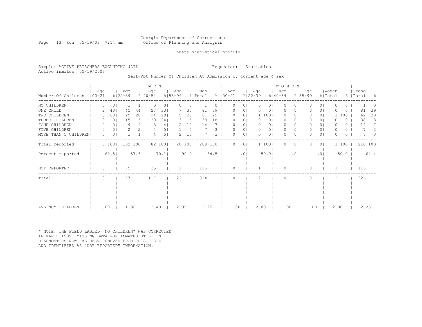## Georgia Department of Corrections Page 13 Run 05/19/03 7:54 am Office of Planning and Analysis

## Inmate statistical profile

Sample: ACTIVE PRISONERS EXCLUDING JAIL **Requestor:** Statistics Active inmates 05/19/2003

Self-Rpt Number Of Children At Admission by current age & sex

|                      |            |          |                |                    |                | M E N              |                |                    |                 |                |          |                    |                |                    |                | WOMEN              |            |                    |                |                  |       |          |                    |         |           |
|----------------------|------------|----------|----------------|--------------------|----------------|--------------------|----------------|--------------------|-----------------|----------------|----------|--------------------|----------------|--------------------|----------------|--------------------|------------|--------------------|----------------|------------------|-------|----------|--------------------|---------|-----------|
| Number Of Children   | $100 - 21$ | Age      |                | Age<br>$8122 - 39$ |                | Age<br>$8140 - 54$ |                | Age<br>$8155 - 99$ |                 | Men<br>% Total |          | Age<br>$8$   00-21 |                | Age<br>$8122 - 39$ |                | Age<br>$8140 - 54$ |            | Age<br>$8155 - 99$ |                | Women<br>% Total |       |          | Grand<br>%   Total |         | $\approx$ |
| NO CHILDREN          |            |          | 0              |                    |                | $\Omega$           | 0 <sub>1</sub> | $\Omega$           | 0               |                | $\Omega$ | O                  | 0              | $\circ$            | $\circ$        | $\circ$            | 0          | 0                  | $\circ$        | O                |       | $\Omega$ |                    |         |           |
| ONE CHILD            |            |          | 40             | 45                 | 44             | 27                 | 331            |                    | 35              | 81             | 39       |                    | 01             | 0                  | 0              | 0                  | 0          |                    | $\circ$        |                  |       | 0        | 81                 |         | 39        |
| TWO CHILDREN         |            |          | 601            | 29                 | 281            | 24                 | 291            | 5.                 | 251             | 61             | 29       |                    | $\circ$        |                    | 1 100          | $\mathbf{0}$       | 01         |                    | 0 <sup>1</sup> |                  | 100   |          | 62                 |         | 30        |
| THREE CHILDREN       |            |          | 0 <sub>1</sub> | 15                 | 151            | 20                 | 241            | 3                  | 15 <sub>1</sub> | 38             | 18       | O                  | 01             | $\Omega$           | 0 <sub>1</sub> | $\mathbf{0}$       | $\circ$    | 0                  | 0 <sup>1</sup> | O                |       | $\Omega$ | 38                 |         | 18        |
| FOUR CHILDREN        |            |          | $\Omega$       | 9                  | 9 <sub>1</sub> | 3                  | 4              | 2                  | 10 <sub>1</sub> | 14             |          |                    | $\circ$        | $\Omega$           | 0 <sub>1</sub> | $\mathbf{0}$       | $\circ$    | 0                  | 0 <sup>1</sup> | <sup>0</sup>     |       | 0        | 14                 |         | 7         |
| FIVE CHILDREN        |            | $\Omega$ | 0 <sub>1</sub> | 2                  | 2 <sub>1</sub> |                    | 5 <sub>1</sub> |                    | 5 <sub>1</sub>  |                | 3        | O                  | 0 <sub>1</sub> | $\circ$            | 0 <sub>1</sub> | $\circ$            | $\circ$    | 0                  | 0 <sup>1</sup> | $\Omega$         |       | 0        |                    |         | 3         |
| MORE THAN 5 CHILDREN |            | $\Omega$ | $\Omega$       |                    |                |                    | 5 I            | 2.                 | 10 <sub>1</sub> |                | 3        | 0                  | $\circ$        | $\Omega$           | 01             | $\Omega$           | 0          | 0                  | 0 <sup>1</sup> | $\Omega$         |       | 0        |                    |         | 3         |
| Total reported       |            |          | 5 100          |                    | 102 100        |                    | 82 100         |                    | 20 100          | 209 100        |          | 0                  | 0 <sub>1</sub> |                    | 1 100          | $\Omega$           | $\circ$    | 0                  | 0 <sub>1</sub> |                  | 1 100 |          |                    | 210 100 |           |
| Percent reported     |            |          | 62.5           |                    | 57.61          |                    | 70.11          |                    | 90.91           |                | 64.5     |                    | .01            |                    | 50.0           |                    | $.0 \cdot$ |                    | .01            |                  | 50.0  |          |                    | 64.4    |           |
| NOT REPORTED         |            | 3        |                | 75                 |                | 35                 |                | 2                  |                 | 115            |          | O                  |                |                    |                | $\Omega$           |            | 0                  |                |                  |       |          | 116                |         |           |
| Total                |            | 8        |                | 177                |                | 117                |                | 22                 |                 | 324            |          | O                  |                | 2                  |                | $\Omega$           |            | $\Omega$           |                | 2                |       |          | 326                |         |           |
|                      |            |          |                |                    |                |                    |                |                    |                 |                |          |                    |                |                    |                |                    |            |                    |                |                  |       |          |                    |         |           |
|                      |            |          |                |                    |                |                    |                |                    |                 |                |          |                    |                |                    |                |                    |            |                    |                |                  |       |          |                    |         |           |
|                      |            |          |                |                    |                |                    |                |                    |                 |                |          |                    |                |                    |                |                    |            |                    |                |                  |       |          |                    |         |           |
|                      |            |          |                |                    |                |                    |                |                    |                 |                |          |                    |                |                    |                |                    |            |                    |                |                  |       |          |                    |         |           |
| AVG NUM CHILDREN     |            | 1.60     |                | 1.96               |                | 2.48               |                | 2.95               |                 | 2.25           |          | .00                |                | 2.00               |                | .00                |            | .00                |                |                  | 2.00  |          |                    | 2.25    |           |

\* NOTE: THE FIELD LABLED "NO CHILDREN" WAS CORRECTED IN MARCH 1989: MISSING DATA FOR INMATES STILL IN DIAGNOSTICS NOW HAS BEEN REMOVED FROM THIS FIELD AND IDENTIFIED AS "NOT REPORTED" INFORMATION.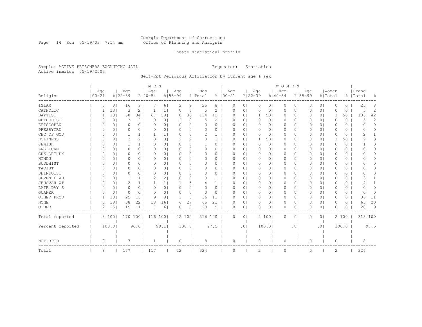#### Georgia Department of Corrections Page 14 Run 05/19/03 7:54 am Office of Planning and Analysis

## Inmate statistical profile

Sample: ACTIVE PRISONERS EXCLUDING JAIL **Requestor:** Statistics Active inmates 05/19/2003

# Self-Rpt Religious Affiliation by current age & sex

|                  |            |                |             |                 | M E N       |                |             |        |          |              |             |   |                |          |                | WOMEN       |           |             |                |              |          |                  |          |
|------------------|------------|----------------|-------------|-----------------|-------------|----------------|-------------|--------|----------|--------------|-------------|---|----------------|----------|----------------|-------------|-----------|-------------|----------------|--------------|----------|------------------|----------|
|                  | Age        |                | Age         |                 | Age         |                | Age         |        | Men      |              | Age         |   |                | Age      |                | Age         |           | Age         |                | Women        |          | Grand            |          |
| Religion         | $100 - 21$ |                | $8122 - 39$ |                 | $8140 - 54$ |                | $8155 - 99$ |        | % Total  |              | $8100 - 21$ |   | $8122 - 39$    |          |                | $8140 - 54$ |           | $8155 - 99$ | % Total        |              |          | %   Total        | ႜ        |
| ISLAM            | 0          | 0 <sub>1</sub> | 16          | 9               |             | 61             | 2           | 9      | 25       | 8            |             | 0 | 0              | 0        | 0 <sub>1</sub> | 0           | 0         | 0           | 0 <sub>1</sub> | 0            | $\Omega$ | 25               | 8        |
| CATHOLIC         |            | 131            | 3           | 2               |             | $\mathbf{1}$   | 0           | 0      | 5        | 2            |             | 0 | $\circ$        | 0        | 0 <sub>1</sub> | 0           | $\circ$   | 0           | 0 <sub>1</sub> | 0            | 0        | 5                | 2        |
| BAPTIST          |            | 131            | 58          | 341             | 67          | 581            | 8           | 36     | 134      | 42           |             | 0 | 0 <sub>1</sub> | 1        | 501            | 0           | $\circ$   | 0           | 0 <sup>1</sup> | 1            | 50       | 135              | 42       |
| METHODIST        | O          | 0              | 3           | 2 <sub>1</sub>  | 0           | 0              | 2           | 9      | 5        | 2            |             | O | 0 <sub>1</sub> | $\circ$  | 0 <sub>1</sub> | 0           | 0         | 0           | 0 <sub>1</sub> | 0            | 0        | 5                | 2        |
| EPISCOPLN        | $\Omega$   | 0 <sub>1</sub> | 0           | 0 <sub>1</sub>  | $\Omega$    | 0              | C           | 0      | $\Omega$ | 0            |             | 0 | 0 <sub>1</sub> | $\circ$  | 0 <sub>1</sub> | 0           | $\circ$   | 0           | 0 <sub>1</sub> | $\Omega$     | 0        | O                | $\Omega$ |
| PRESBYTRN        | 0          | 0 <sub>1</sub> | 0           | 0 <sub>1</sub>  | $\Omega$    | 0 <sub>1</sub> | 0           | 01     | 0        | 0            |             | 0 | $\circ$        | 0        | 0 <sub>1</sub> | 0           | $\circ$   | 0           | 0 <sub>1</sub> | 0            | 0        | 0                | O        |
| CHC OF GOD       | 0          | 0              |             | 1 <sub>1</sub>  |             | 1.             | 0           | 0      | 2        |              |             | 0 | $\circ$        | 0        | 0              | 0           | $\circ$   | 0           | 0 <sub>1</sub> | 0            | 0        | 2                |          |
| HOLINESS         | O          | 0              | 3           | 2 <sub>1</sub>  | 3           | 31             | 2           | 9      | 8        | 3            |             | O | $\circ$        | -1       | 501            | 0           | 0         | 0           | 0 <sup>1</sup> | 1            | 50       | q                | 3        |
| JEWISH           | $\Omega$   | 0              |             | 1 <sub>1</sub>  | $\Omega$    | 0 <sub>1</sub> | $\Omega$    | 01     |          | 0            |             | 0 | $\circ$        | $\circ$  | 0 <sub>1</sub> | 0           | $\circ$   | 0           | 0 <sub>1</sub> | 0            | 0        |                  | $\Omega$ |
| ANGLICAN         | $\Omega$   | 0              | 0           | 0 <sub>1</sub>  | $\Omega$    | 0 <sub>1</sub> | $\Omega$    | 0      | O        | 0            |             | 0 | $\circ$        | 0        | 0              | 0           | 0         | 0           | 0 <sub>1</sub> | 0            | 0        |                  | O        |
| GRK ORTHDX       | 0          | 0              | 0           | 0 <sub>1</sub>  | $\Omega$    | 0 <sub>1</sub> | $\Omega$    | 0      | 0        | 0            |             | 0 | 0 <sub>1</sub> | 0        | 0 <sub>1</sub> | 0           | $\circ$   | 0           | 0 <sup>1</sup> | $\Omega$     | 0        | $\left( \right)$ | 0        |
| HINDU            | $\Omega$   | 0              | 0           | 0 <sub>1</sub>  | $\Omega$    | 0 <sub>1</sub> | $\Omega$    | 0      | $\Omega$ | $\Omega$     |             | 0 | 0 <sub>1</sub> | 0        | 0 <sub>1</sub> | 0           | $\circ$   | 0           | 0 <sub>1</sub> | 0            | 0        |                  | 0        |
| <b>BUDDHIST</b>  | $\Omega$   | 0 <sub>1</sub> | 0           | 0 <sub>1</sub>  | $\Omega$    | 0 <sub>1</sub> | 0           | 01     | $\Omega$ | 0            |             | 0 | 0 <sub>1</sub> | $\circ$  | 0 <sub>1</sub> | 0           | $\circ$   | 0           | 0 <sup>1</sup> | 0            | 0        |                  | 0        |
| TAOIST           | 0          | 0              | 0           | 0 <sup>1</sup>  | $\Omega$    | 01             | 0           | 01     | 0        | 0            |             | O | $\circ$        | 0        | 01             | 0           | $\circ$   | 0           | 0 <sub>1</sub> | 0            | 0        |                  | O        |
| SHINTOIST        | O          | $\Omega$       | 0           | 0 <sub>1</sub>  | $\Omega$    | $\Omega$       | 0           | 0      | $\Omega$ | $\Omega$     |             | O | $\Omega$       | $\Omega$ | $\circ$        | $\Omega$    | $\Omega$  | $\Omega$    | $\Omega$       | 0            | $\Omega$ |                  | 0        |
| SEVEN D AD       | $\Omega$   | 0              |             | 1 <sup>1</sup>  | 2           | 2              | $\Omega$    | 0      | 3        | $\mathbf{1}$ |             | O | $\circ$        | 0        | 0 <sub>1</sub> | 0           | $\circ$   | 0           | 0 <sup>1</sup> | 0            | 0        | 3                |          |
| JEHOVAH WT       | $\Omega$   | 0              | 2           | 1 <sub>1</sub>  |             | 1 <sub>1</sub> |             | 5      |          |              |             | O | $\circ$        | 0        | 01             | 0           | 0         | 0           | 0 <sup>1</sup> | 0            | 0        |                  |          |
| LATR DAY S       | O          | 0              | 0           | 0 <sub>1</sub>  | $\Omega$    | 0 <sub>1</sub> | 0           | 0      | O        | 0            |             | 0 | $\circ$        | 0        | 0 <sub>1</sub> | 0           | $\circ$   | 0           | 0 <sup>1</sup> | 0            | 0        |                  | $\Omega$ |
| QUAKER           | O          | $\circ$        | 0           | 0 <sup>1</sup>  | $\Omega$    | 0 <sub>1</sub> | 0           | 0      | 0        | 0            |             | 0 | 0 <sub>1</sub> | 0        | 0 <sub>1</sub> | 0           | $\circ$   | 0           | 0 <sup>1</sup> | 0            | $\circ$  | $\Omega$         | $\Omega$ |
| OTHER PROD       |            | 131            | 25          | 15 <sub>1</sub> | 9           | 8              | 1           | 5      | 36       | 11           |             | 0 | 0 <sub>1</sub> | $\circ$  | 0 <sub>1</sub> | 0           | $\circ$   | 0           | 0 <sub>1</sub> | 0            | 0        | 36               | 11       |
| $\rm{NONE}$      | 3          | 38             | 38          | 221             | 18          | 161            | 6           | 27     | 65       | 21           |             | 0 | $\circ$        | 0        | 0 <sub>1</sub> | 0           | $\circ$   | 0           | $\circ$        | $\Omega$     | 0        | 65               | 20       |
| OTHER            | 2          | 25             | 19          | 11 <sup>1</sup> |             | 6              | $\Omega$    | 0      | 28       | 9            |             | 0 | $\circ$        | $\circ$  | 0 <sub>1</sub> | 0           | 0         | 0           | 0 <sub>1</sub> | 0            | 0        | 28               | 9        |
| Total reported   |            | 8 100          |             | 170 100         | 116 100     |                |             | 22 100 | 316 100  |              |             | 0 | 0 <sub>1</sub> |          | 2 100          | 0           | $\circ$   | 0           | 0 <sub>1</sub> |              | 2 100    |                  | 318 100  |
|                  |            |                |             |                 |             |                |             |        |          |              |             |   |                |          |                |             |           |             |                |              |          |                  |          |
| Percent reported |            | 100.0          |             | 96.01           |             | 99.1           |             | 100.0  |          | 97.5         |             |   | .01            |          | 100.0          |             | $\cdot$ 0 |             | .01            |              | 100.0    |                  | 97.5     |
|                  |            |                |             |                 |             |                |             |        |          |              |             |   |                |          |                |             |           |             |                |              |          |                  |          |
| NOT RPTD         | 0          |                |             |                 |             |                | 0           |        | 8        |              |             | 0 |                | 0        |                | 0           |           | 0           |                | 0            |          | 8                |          |
| Total            | 8          |                | 177         |                 | 117         |                | 22          |        | 324      |              |             | 0 |                | 2        |                | 0           |           | 0           |                | $\mathbf{2}$ |          | 326              |          |
|                  |            |                |             |                 |             |                |             |        |          |              |             |   |                |          |                |             |           |             |                |              |          |                  |          |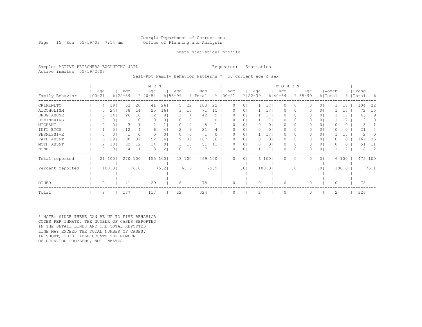## Georgia Department of Corrections Page 15 Run 05/19/03 7:54 am Office of Planning and Analysis

## Inmate statistical profile

Sample: ACTIVE PRISONERS EXCLUDING JAIL **Requestor:** Statistics Active inmates 05/19/2003

Self-Rpt Family Behavior Patterns \* by current age & sex

|                  |            |     |        |                    |                 | M E N              |                |                    |         |                |      |                    |                |                    |                 | <b>WOMEN</b>       |                 |     |                |       |          |                    |         |     |
|------------------|------------|-----|--------|--------------------|-----------------|--------------------|----------------|--------------------|---------|----------------|------|--------------------|----------------|--------------------|-----------------|--------------------|-----------------|-----|----------------|-------|----------|--------------------|---------|-----|
| Family Behavior  | $100 - 21$ | Age |        | Age<br>$8122 - 39$ |                 | Age<br>$8140 - 54$ |                | Age<br>$8155 - 99$ |         | Men<br>% Total |      | Age<br>$8100 - 21$ |                | Age<br>$8122 - 39$ |                 | Age<br>$8140 - 54$ | $8155 - 99$     | Age | % Total        | Women |          | Grand<br>%   Total |         | - 옹 |
| CRIMINLTY        |            | 4   | 19     | 53                 | 20              | 41                 | 261            | 5                  | 22      | 103            | 22   |                    | 0 <sub>1</sub> |                    | 171             | 0                  | $\circ$         |     | 0 <sub>1</sub> |       | 17       | 104                |         | 22  |
| ALCOHOLISM       |            |     | 24     | 38                 | 14              | 25                 | 161            | 3                  | 131     | 71             | 15   |                    | 0 <sub>1</sub> |                    | 171             | 0                  | 0 <sub>1</sub>  |     | 0 <sub>1</sub> |       | 17       |                    | 72      | 15  |
| DRUG ABUSE       |            |     | 14     | 26                 | 10 <sub>1</sub> | 12                 | 8 <sup>1</sup> |                    | 41      | 42             | 9    |                    | 0 <sub>1</sub> |                    | 171             | 0                  | 01              |     | 01             |       | 17       |                    | 43      | 9   |
| DOMINERING       |            |     | 0      |                    | $\overline{0}$  | $\Omega$           | 0 <sub>1</sub> | $\Omega$           | 0       |                |      |                    | 0 <sub>1</sub> |                    | 17 <sub>1</sub> | 0                  | 0               |     | 0 <sub>1</sub> |       | 17       |                    | 2       | 0   |
| MIGRANT          |            |     | 0      | 3                  |                 |                    |                |                    | 0       |                |      |                    | 01             |                    | 0 <sub>1</sub>  | 0                  | 0               |     | 0 <sub>1</sub> |       | 0        |                    |         |     |
| INFL BTGS        |            |     | 5      | 12                 | 4 <sup>1</sup>  | 6                  | 4              |                    | 9       | 21             |      |                    | 0 <sub>1</sub> |                    | 0 <sub>1</sub>  | 0                  | 0               |     | 0 <sub>1</sub> |       | 0        |                    | 21      |     |
| PERMISSIVE       |            |     | 0      |                    | $\circ$         | $\Omega$           | 0 <sup>1</sup> | 0                  | 0       |                | 0    |                    | 0 <sub>1</sub> |                    | 17 <sub>1</sub> | 0                  | 0               |     | 0 <sub>1</sub> |       | 17       |                    | 2       |     |
| FATH ABSNT       |            | 6   | 29     | 100                | 37              | 52                 | 341            | 9                  | 39      | 167            | 36   |                    | 0 <sub>1</sub> |                    | 0 <sub>1</sub>  | 0                  | 01              |     | 0 <sub>1</sub> |       | 0        | 167                |         | 35  |
| MOTH ABSNT       |            |     | 10     | 32                 | 121             | 14                 | 9 <sub>1</sub> | 3.                 | 131     | 51             |      |                    | 0 <sub>1</sub> |                    | 01              | $\Omega$           | 0               |     | 0 <sub>1</sub> |       | $\Omega$ |                    | .51     | 11  |
| NONE             |            | 0   | 0      |                    | $\mathbf{1}$    | 3                  | 2 <sub>1</sub> | 0                  | $\circ$ |                |      | 0                  | 0 <sub>1</sub> |                    | 17 <sub>1</sub> | 0                  | 0               |     | 0 <sub>1</sub> |       |          |                    | 8       | 2   |
| Total reported   |            |     | 21 100 | 270 100            |                 | 155 100            |                |                    | 23 100  | 469 100        |      | 0                  | 0 <sup>1</sup> |                    | 6 100           | 0                  | $\circ$         |     | 0 <sub>1</sub> |       | 6 100    |                    | 475 100 |     |
| Percent reported |            |     | 100.0  |                    | 76.8            |                    | 75.2           |                    | 63.6    |                | 75.9 |                    | .01            |                    | 100.0           |                    | .0 <sub>1</sub> |     | .01            |       | 100.0    |                    | 76.1    |     |
|                  |            |     |        |                    |                 |                    |                |                    |         |                |      |                    |                |                    |                 |                    |                 |     |                |       |          |                    |         |     |
| OTHER            |            | 0   |        | 41                 |                 | 29                 |                | 8                  |         | 78             |      |                    |                |                    |                 | 0                  |                 |     |                | 0     |          |                    | 78      |     |
| Total            |            | 8   |        | 177                |                 | 117                |                | 22                 |         | 324            |      |                    |                | 2                  |                 | $\circ$            |                 |     |                | 2     |          | 326                |         |     |

\* NOTE: SINCE THERE CAN BE UP TO FIVE BEHAVIOR CODES PER INMATE, THE NUMBER OF CASES REPORTED IN THE DETAIL LINES AND THE TOTAL REPORTED LINE MAY EXCEED THE TOTAL NUMBER OF CASES. IN SHORT, THIS TABLE COUNTS THE NUMBER OF BEHAVIOR PROBLEMS, NOT INMATES.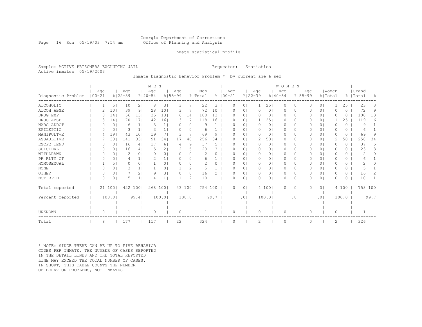## Georgia Department of Corrections Page 16 Run 05/19/03 7:54 am Office of Planning and Analysis

## Inmate statistical profile

Sample: ACTIVE PRISONERS EXCLUDING JAIL **Requestor:** Statistics Active inmates 05/19/2003

Inmate Diagnostic Behavior Problem \* by current age & sex

|                    |                   |                |                    |                 | M E N              |                 |                    |                |                |               |             |          |          |                    |                | WOMEN              |           |                    |                |                  |          |                    |                |
|--------------------|-------------------|----------------|--------------------|-----------------|--------------------|-----------------|--------------------|----------------|----------------|---------------|-------------|----------|----------|--------------------|----------------|--------------------|-----------|--------------------|----------------|------------------|----------|--------------------|----------------|
| Diagnostic Problem | Age<br>$100 - 21$ |                | Age<br>$8122 - 39$ |                 | Age<br>$8140 - 54$ |                 | Age<br>$8155 - 99$ |                | Men<br>% Total |               | $8100 - 21$ | Age      |          | Age<br>$8122 - 39$ |                | Age<br>$8140 - 54$ |           | Age<br>$8155 - 99$ |                | Women<br>% Total |          | Grand<br>%   Total | $\frac{6}{10}$ |
| ALCOHOLIC          |                   | 5 <sub>1</sub> | 10                 | 2 <sub>1</sub>  | 8                  | 3               | 3                  | 71             | 22             | 3             |             | 0        | $\circ$  |                    | 251            | $\mathbf{0}$       | 0         | 0                  | 0 <sup>1</sup> |                  | 25       | 23                 | 3              |
| ALCOH ABSE         |                   | 10             | 39                 | 9 <sub>1</sub>  | 28                 | 10 <sub>1</sub> |                    |                | 72             | 10            |             | O        | 0        | $\Omega$           | 0              | $\Omega$           | 0         |                    | 0 <sup>1</sup> | O                | $\Omega$ | 72                 | 9              |
| DRUG EXP           |                   | 14             | 56                 | 131             | 35                 | 131             | 6                  | 14             | 100            | 13            |             |          | $\circ$  | 0                  | 0              | 0                  | $\circ$   | 0                  | 0 <sup>1</sup> | O                | $\Omega$ | 100                | 13             |
| DRUG ABSE          | 3                 | 14             | 70                 | 17 <sup>1</sup> | 42                 | 161             |                    | 7              | 118            | 16            |             | O        | $\circ$  |                    | 251            | $\Omega$           | 0         | $\Omega$           | 0 <sup>1</sup> |                  | 25       | 119                | 16             |
| NARC ADDCT         |                   | 0              | 6                  | 1 <sub>1</sub>  | 3                  | 1 <sub>1</sub>  |                    | $\Omega$       | q              |               |             |          | $\circ$  | 0                  | $\circ$        | $\Omega$           | 0         | 0                  | 0 <sup>1</sup> | O                | 0        | 9                  |                |
| EPILEPTIC          |                   | 0              | 3                  | 1 <sup>1</sup>  | 3                  | 1               | <sup>o</sup>       | $\Omega$       | 6              |               |             | O        | 0        | 0                  | $\circ$        | $\Omega$           | 0         | 0                  | 0 <sup>1</sup> | O                | 0        | 6                  |                |
| MANIPULTVE         |                   | 19             | 43                 | 10              | 19                 | 71              | 3                  | 7              | 69             | 9             |             | O        | 0        | $\Omega$           | 0              | $\Omega$           | 0         | 0                  | 0 <sup>1</sup> | 0                | 0        | 69                 | 9              |
| ASSAULTIVE         |                   | 33             | 141                | 331             | 91                 | 341             | 17                 | 40             | 256            | 34            |             | O        | $\circ$  | $\overline{c}$     | 501            | 0                  | 0         | 0                  | 0 <sup>1</sup> | 2                | 50       | 258                | 34             |
| ESCPE TEND         | n                 | 0              | 16                 | 4               | 17                 | 6 <sup>1</sup>  | 4                  | 9              | 37             | .5            |             | O        | $\Omega$ | $\Omega$           | $\circ$        | $\Omega$           | 0         | $\Omega$           | 0 <sup>1</sup> | O                | $\Omega$ | 37                 | 5.             |
| SUICIDAL           |                   | 0              | 16                 | 4               |                    | 2 <sub>1</sub>  | 2                  | 5.             | 23             | 3             |             | O        | $\circ$  | 0                  | $\circ$        | $\mathbf{0}$       | 0         | 0                  | 0 <sup>1</sup> | O                | 0        | 23                 | 3              |
| WITHDRAWN          | $\Omega$          | 0              | 2                  | $\Omega$        | $\Omega$           | 0 <sub>1</sub>  | $\Omega$           | 0 <sub>1</sub> | 2              | 0             |             | O        | $\circ$  | $\Omega$           | $\circ$        | $\Omega$           | 0         | 0                  | 0 <sup>1</sup> | O                | $\Omega$ | 2                  | 0              |
| PR RLTY CT         | $\Omega$          | 0              | 4                  | 1 <sub>1</sub>  | $\mathcal{D}$      |                 | $\Omega$           | 0              | 6              |               |             | O        | $\circ$  | 0                  | 01             | $\mathbf{0}$       | 0         | 0                  | 0 <sup>1</sup> | O                | 0        | 6                  |                |
| HOMOSEXUAL         |                   | 5              | $\Omega$           | $\Omega$        |                    | 0 <sub>1</sub>  | $\Omega$           | 0 <sup>1</sup> |                | 0             |             | O        | $\Omega$ | 0                  | 0 <sub>1</sub> | $\Omega$           | 0         | 0                  | 0 <sup>1</sup> | O                | 0        |                    |                |
| <b>NONE</b>        |                   | 0              | 3                  |                 |                    | 0 <sub>1</sub>  |                    | $2^{\circ}$    |                |               |             | O        | 0        | 0                  | $\circ$        | 0                  | 0         | 0                  | 0 <sup>1</sup> | O                | 0        |                    |                |
| OTHER              | $\Omega$          | 0              |                    | 2               | q                  | 3 <sub>1</sub>  | <sup>o</sup>       | 0 <sup>1</sup> | 16             | $\mathcal{D}$ |             | O        | 0        | $\circ$            | 01             | $\circ$            | 0         | 0                  | 0 <sup>1</sup> | O                | 0        | 16                 | 2              |
| NOT RPTD           | $\Omega$          | $\Omega$       | 5                  | 1 <sup>1</sup>  |                    |                 |                    | 2              | 10             |               |             | O        | 0        | $\Omega$           | 01             | $\Omega$           | 0         | O                  | $\circ$        | $\Omega$         | 0        | 10                 |                |
| Total reported     |                   | 21 1001        | 422                | 100             | 268 1001           |                 |                    | 43 100         | 754 100        |               |             | $\Omega$ | $\circ$  |                    | 4 100          | $\circ$            | 0         | $\Omega$           | 0 <sup>1</sup> |                  | 4 100    | 758 100            |                |
|                    |                   |                |                    |                 |                    |                 |                    |                |                |               |             |          |          |                    |                |                    |           |                    |                |                  |          |                    |                |
| Percent reported   |                   | 100.01         |                    | 99.4            |                    | 100.01          |                    | 100.0          |                | 99.7          |             |          | .01      |                    | 100.0          |                    | $\cdot$ 0 |                    | .01            |                  | 100.0    |                    | 99.7           |
|                    |                   |                |                    |                 |                    |                 |                    |                |                |               |             |          |          |                    |                |                    |           |                    |                |                  |          |                    |                |
|                    |                   |                |                    |                 |                    |                 |                    |                |                |               |             |          |          |                    |                |                    |           |                    |                |                  |          |                    |                |
| UNKNOWN            | $\Omega$          |                |                    |                 | $\Omega$           |                 | $\Omega$           |                |                |               |             | O        |          | $\circ$            |                | $\Omega$           |           | 0                  |                | $\circ$          |          |                    |                |
| Total              | 8                 |                | 177                |                 | 117                |                 | 22                 |                | 324            |               |             | O        |          | $\overline{c}$     |                | $\Omega$           |           | $\Omega$           |                | $\overline{c}$   |          | 326                |                |

\* NOTE: SINCE THERE CAN BE UP TO FIVE BEHAVIOR CODES PER INMATE, THE NUMBER OF CASES REPORTED IN THE DETAIL LINES AND THE TOTAL REPORTED LINE MAY EXCEED THE TOTAL NUMBER OF CASES. IN SHORT, THIS TABLE COUNTS THE NUMBER OF BEHAVIOR PROBLEMS, NOT INMATES.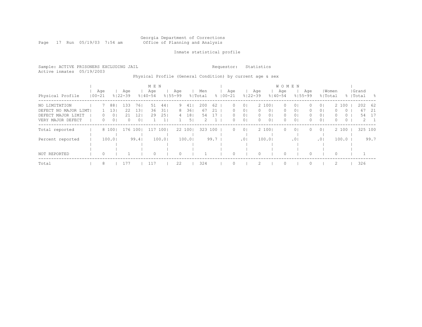#### Georgia Department of Corrections Page 17 Run 05/19/03 7:54 am Office of Planning and Analysis

## Inmate statistical profile

Sample: ACTIVE PRISONERS EXCLUDING JAIL **Requestor:** Statistics Active inmates 05/19/2003

# Physical Profile (General Condition) by current age & sex

|                      |            |                  |                |                    |                | M E N              |       |                    |                |                |      |                    |                 |                    |                | <b>WOMEN</b>       |                |                    |                |          |         |                    |             |
|----------------------|------------|------------------|----------------|--------------------|----------------|--------------------|-------|--------------------|----------------|----------------|------|--------------------|-----------------|--------------------|----------------|--------------------|----------------|--------------------|----------------|----------|---------|--------------------|-------------|
| Physical Profile     | $100 - 21$ | Age              |                | Aqe<br>$8122 - 39$ |                | Age<br>$8140 - 54$ |       | Aqe<br>$8155 - 99$ |                | Men<br>% Total |      | Aqe<br>$8100 - 21$ |                 | Age<br>$8122 - 39$ |                | Age<br>$8140 - 54$ |                | Age<br>$8155 - 99$ | % Total        | Women    |         | Grand<br>%   Total | - 옹         |
| NO LIMITATION        |            |                  | 881            | 133                | 761            | 51                 | 44    | 9                  | 41             | 200            | 62   | $\Omega$           | 0 <sup>1</sup>  |                    | 2 1001         | $\Omega$           | 0 <sup>1</sup> | $\Omega$           | 0 <sup>1</sup> |          | 2 100   | 202                | - 62        |
| DEFECT NO MAJOR LIMT |            |                  | 131            | 22                 | 131            | 36                 | 31    | 8                  | 36             | 67             | 21   | $\Omega$           | $\circ$         | $\Omega$           | 0 <sup>1</sup> | $\Omega$           | 0 <sup>1</sup> | $\Omega$           | 0 <sup>1</sup> | 0        | $\circ$ | 67                 | - 21        |
| DEFECT MAJOR LIMIT   |            | $\left( \right)$ | 01             | 21                 | 12             | 29                 | 25    | 4                  | 181            | 54             |      | $\Omega$           | $\overline{0}$  | $\Omega$           | 0 <sub>1</sub> | 0                  | 0 <sub>1</sub> |                    | 0 <sup>1</sup> | $\Omega$ | $\circ$ | 54                 | -17         |
| VERY MAJOR DEFECT    |            | 0                | 0 <sub>1</sub> |                    | 0 <sub>1</sub> |                    |       |                    | 5 <sub>1</sub> | 2              |      | 0                  | 0 <sup>1</sup>  | $\Omega$           | 0 <sub>1</sub> | $\Omega$           | 0 <sub>1</sub> | 0                  | 0 <sup>1</sup> | $\Omega$ | 0       |                    | $2 \quad 1$ |
| Total reported       |            |                  | 8 100          | 176                | 1001           | 117                | 1001  |                    | 22 1001        | 323            | 100  | $\Omega$           | 0 <sup>1</sup>  |                    | 2 1001         | $\Omega$           | 0 <sup>1</sup> | $\Omega$           | 0 <sup>1</sup> |          | 2 100   | 325 100            |             |
| Percent reported     |            |                  | 100.0          |                    | 99.4           |                    | 100.0 |                    | 100.01         |                | 99.7 |                    | .0 <sub>1</sub> |                    | 100.0          |                    | .01            |                    | .01            |          | 100.0   |                    | 99.7        |
|                      |            |                  |                |                    |                |                    |       |                    |                |                |      |                    |                 |                    |                |                    |                |                    |                |          |         |                    |             |
| NOT REPORTED         |            | $\Omega$         |                |                    |                | $\Omega$           |       | $\Omega$           |                |                |      | 0                  |                 |                    |                | $\Omega$           |                |                    |                | $\Omega$ |         |                    |             |
| Total                |            | 8                |                | 177                |                | 117                |       | 22                 |                | 324            |      |                    |                 |                    |                | $\Omega$           |                |                    |                | 2        |         | 326                |             |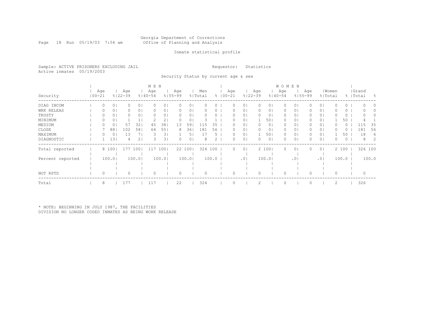#### Georgia Department of Corrections Page 18 Run 05/19/03 7:54 am Office of Planning and Analysis

## Inmate statistical profile

Sample: ACTIVE PRISONERS EXCLUDING JAIL **Requestor:** Statistics Active inmates 05/19/2003

Security Status by current age & sex

|                  |       |        |                    |                | M E N              |                |             |                |         |       |              |     |                 |          |                | <b>WOMEN</b> |                 |                    |                |       |       |           |         |       |
|------------------|-------|--------|--------------------|----------------|--------------------|----------------|-------------|----------------|---------|-------|--------------|-----|-----------------|----------|----------------|--------------|-----------------|--------------------|----------------|-------|-------|-----------|---------|-------|
|                  | Age   |        | Age<br>$8122 - 39$ |                | Age<br>$8140 - 54$ |                | Age         |                | Men     |       |              | Age | $8122 - 39$     | Age      |                | Age          |                 | Age<br>$8155 - 99$ |                | Women |       | Grand     |         |       |
| Security         | 00-21 |        |                    |                |                    |                | $8155 - 99$ |                | % Total |       | $% 100 - 21$ |     |                 |          |                | $8140 - 54$  |                 |                    | % Total        |       |       | %   Total |         | - 옹   |
| DIAG INCOM       | 0     | 0      |                    | 0 <sub>1</sub> |                    | ΟI             |             | 01             |         |       |              |     | 0               |          |                |              | 0               |                    | 0 <sub>1</sub> |       | 0     |           |         |       |
| WRK RELEAS       |       | 0      |                    | 01             |                    | 0              |             | 01             |         | 0.    |              |     | $\circ$         |          | 0              |              | 0               |                    | 0 <sub>1</sub> |       | 0     |           |         |       |
| TRUSTY           | 0     | 0      |                    | 0 <sub>1</sub> | 0                  | 0              |             | 01             |         | 0     |              |     | $\circ$         | $\Omega$ | 0 <sup>1</sup> | 0            | 01              |                    | 0 <sub>1</sub> |       | 0     |           |         |       |
| MINIMUM          |       | 0      |                    |                |                    |                |             | 0              |         |       |              |     | $\Omega$        |          | 50             | $\Omega$     | 01              |                    | 0 <sub>1</sub> |       | 50    |           |         |       |
| MEDIUM           | 0     | 0      | 57                 | 32             | 45                 | 381            | 13          | 591            | 115     | 35    |              | 0   | $\circ$         | $\Omega$ | 0 <sup>1</sup> | $\Omega$     | 01              |                    | 0 <sup>1</sup> |       | 0     |           | 115     | 35    |
| CLOSE            |       | 88     | 102                | 58             | 64                 | 551            | 8           | 361            | 181     | 56    |              |     | $\circ$         | $\Omega$ | $\circ$        | 0            | 01              |                    | 0 <sub>1</sub> |       | U     |           | 181     | 56    |
| MAXIMUM          | 0     | 0      | 13                 |                | 3                  | 3 <sub>1</sub> |             | 5 <sub>1</sub> | 17      | 5.    |              | O   | $\circ$         |          | 501            | $\circ$      | 0 <sub>1</sub>  |                    | 0 <sub>1</sub> |       | 50    |           | 18      | 6     |
| DIAGNOSTIC       |       | 13     |                    | 2              |                    |                |             | 01             | 8       |       |              |     | $\circ$         |          | 0 <sup>1</sup> |              | 0               |                    | 0 <sub>1</sub> |       | 0     |           | 8       |       |
| Total reported   |       | 8 100  | 177                | 1001           | 117                | 100            |             | 22 100         | 324 100 |       |              | 0   | 0 <sup>1</sup>  |          | 2 1001         | $\circ$      | 0 <sub>1</sub>  |                    | 0 <sub>1</sub> |       | 2 100 |           | 326 100 |       |
|                  |       |        |                    |                |                    |                |             |                |         |       |              |     |                 |          |                |              |                 |                    |                |       |       |           |         |       |
| Percent reported |       | 100.01 |                    | 100.01         |                    | 100.01         |             | 100.01         |         | 100.0 |              |     | .0 <sub>1</sub> |          | 100.01         |              | .0 <sub>1</sub> |                    | .01            |       | 100.0 |           |         | 100.0 |
|                  |       |        |                    |                |                    |                |             |                |         |       |              |     |                 |          |                |              |                 |                    |                |       |       |           |         |       |
|                  |       |        |                    |                |                    |                |             |                |         |       |              |     |                 |          |                |              |                 |                    |                |       |       |           |         |       |
| NOT RPTD         | 0     |        |                    |                |                    |                |             |                |         |       |              |     |                 |          |                |              |                 |                    |                |       |       |           | 0       |       |
| Total            | 8     |        | 177                |                | 117                |                | 22          |                | 324     |       |              |     |                 |          |                | $\bigcap$    |                 |                    |                | 2     |       |           | 326     |       |

\* NOTE: BEGINNING IN JULY 1987, THE FACILITIES DIVISION NO LONGER CODED INMATES AS BEING WORK RELEASE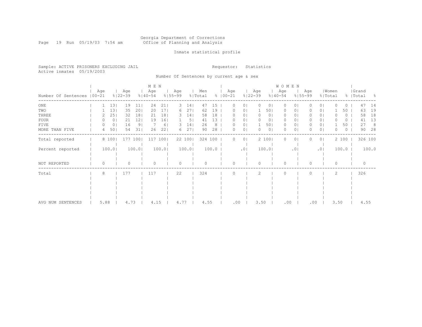#### Georgia Department of Corrections Page 19 Run 05/19/03 7:54 am Office of Planning and Analysis

## Inmate statistical profile

Sample: ACTIVE PRISONERS EXCLUDING JAIL **Requestor:** Statistics Active inmates 05/19/2003

Number Of Sentences by current age & sex

|                             |     |                |                    |                | M E N              |                 |                    |                |                |       |                      |                |                    |       | <b>WOMEN</b>       |                 |                    |                |                  |         |                    |       |
|-----------------------------|-----|----------------|--------------------|----------------|--------------------|-----------------|--------------------|----------------|----------------|-------|----------------------|----------------|--------------------|-------|--------------------|-----------------|--------------------|----------------|------------------|---------|--------------------|-------|
| Number Of Sentences   00-21 | Age |                | Age<br>$8122 - 39$ |                | Age<br>$8140 - 54$ |                 | Age<br>$8155 - 99$ |                | Men<br>% Total |       | Age<br>$8   00 - 21$ |                | Age<br>$8122 - 39$ |       | Age<br>$8140 - 54$ |                 | Age<br>$8155 - 99$ |                | Women<br>% Total |         | Grand<br>%   Total | - 8   |
| ONE                         |     | 13             | 19                 | 11             | 24                 | 21              | З.                 | 14             | 47             | 15    |                      | 0              |                    | 0.    | ∩                  |                 |                    | $\Omega$       |                  | 0       | 47                 | 14    |
| TWO                         |     | 131            | 35                 | 201            | 20                 | 17 <sub>1</sub> | 6                  | 271            | 62             | 19    | 0                    | 01             |                    | 501   | 0                  | 0               |                    | 01             |                  | 50      | 63                 | 19    |
| THREE                       |     | 251            | 32                 | 18             | 21                 | 18 <sub>1</sub> | З.                 | 14             | 58             | 18    |                      | 01             | 0                  | 0     | 0                  | 0               |                    | 01             |                  | 0       | 58                 | 18    |
| FOUR                        |     | 0 <sub>1</sub> | 21                 | 121            | 19                 | 161             |                    | 5 <sub>1</sub> | 41             | 13    |                      | 01             | 0                  | 0     | $\mathbf{0}$       | 0               |                    | 0 <sup>1</sup> |                  | $\circ$ | 41                 | 13    |
| FIVE                        |     | 0 <sub>1</sub> | 16                 | 9 <sub>1</sub> |                    | 6 <sup>1</sup>  | З.                 | 14             | 26             | 8     | ∩                    | 0 <sub>1</sub> |                    | 501   | $\circ$            | 0               |                    | 0 <sup>1</sup> |                  | 50      | 27                 | 8     |
| MORE THAN FIVE              | 4   | 501            | 54                 | 311            | 26                 | 221             | 6                  | 271            | 90             | 28    | $\Omega$             | 0 <sub>1</sub> | $\Omega$           | 0     | $\Omega$           | 0               |                    | $\circ$        | O                | 0       | 90                 | 28    |
| Total reported              |     | 8 100          |                    | 177 1001       | 117                | 1001            |                    | 22 100         | 324 100        |       | 0                    | 0 <sup>1</sup> |                    | 2 100 | $\Omega$           | 0               |                    | 0 <sub>1</sub> |                  | 2 100   | 326 100            |       |
| Percent reported            |     | 100.0          |                    | 100.0          |                    | 100.0           |                    | 100.0          |                | 100.0 |                      | .01            |                    | 100.0 |                    | .0 <sup>1</sup> |                    | .01            |                  | 100.0   |                    | 100.0 |
| NOT REPORTED                | 0   |                |                    |                |                    |                 |                    |                |                |       | ∩                    |                | $\Omega$           |       | $\Omega$           |                 | U                  |                | $\Omega$         |         |                    |       |
| Total                       | 8   |                | 177                |                | 117                |                 | 22                 |                | 324            |       |                      |                | $\mathfrak{D}$     |       | $\bigcap$          |                 | 0                  |                | $\mathfrak{D}$   |         | 326                |       |
|                             |     |                |                    |                |                    |                 |                    |                |                |       |                      |                |                    |       |                    |                 |                    |                |                  |         |                    |       |
|                             |     |                |                    |                |                    |                 |                    |                |                |       |                      |                |                    |       |                    |                 |                    |                |                  |         |                    |       |
|                             |     |                |                    |                |                    |                 |                    |                |                |       |                      |                |                    |       |                    |                 |                    |                |                  |         |                    |       |
|                             |     |                |                    |                |                    |                 |                    |                |                |       |                      |                |                    |       |                    |                 |                    |                |                  |         |                    |       |
|                             |     |                |                    |                |                    |                 |                    |                |                |       |                      |                |                    |       |                    |                 |                    |                |                  |         |                    |       |
| AVG NUM SENTENCES           |     | 5.88           | 4.73               |                | 4.15               |                 | 4.77               |                | 4.55           |       | .00                  |                | 3.50               |       | .00                |                 | .00                |                | 3.50             |         | 4.55               |       |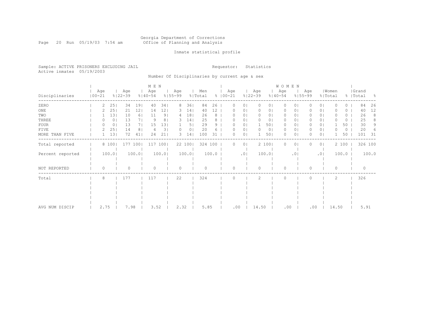#### Georgia Department of Corrections Page 20 Run 05/19/03 7:54 am Office of Planning and Analysis

## Inmate statistical profile

Sample: ACTIVE PRISONERS EXCLUDING JAIL **Requestor:** Statistics Active inmates 05/19/2003

Number Of Disciplinaries by current age & sex

|                  |                   |               |                    |                | M E N              |                |                    |                 |                |                 |                    |                |                    |                | WOMEN              |         |                    |                |                  |       |                    |       |
|------------------|-------------------|---------------|--------------------|----------------|--------------------|----------------|--------------------|-----------------|----------------|-----------------|--------------------|----------------|--------------------|----------------|--------------------|---------|--------------------|----------------|------------------|-------|--------------------|-------|
| Disciplinaries   | Age<br>$100 - 21$ |               | Age<br>$8122 - 39$ |                | Age<br>$8140 - 54$ |                | Age<br>$8155 - 99$ |                 | Men<br>% Total |                 | Age<br>$8100 - 21$ |                | Age<br>$8122 - 39$ |                | Age<br>$8140 - 54$ |         | Age<br>$8155 - 99$ |                | Women<br>% Total |       | Grand<br>%   Total | - 옹   |
| ZERO             |                   | 2<br>25       | 34                 | 191            | 40                 | 341            | 8                  | 36              | 84             | 26              | 0                  | 0 <sup>1</sup> | 0                  | 0 <sub>1</sub> | 0                  | $\circ$ |                    | 0 <sup>1</sup> | O                | 0     | 84                 | 26    |
| $_{\rm ONE}$     |                   | 25            | 21                 | 121            | 14                 | 12             | 3.                 | 14              | 40             | 12 <sub>2</sub> |                    | 0 <sub>1</sub> |                    | 0              | 0                  | 01      |                    | 0 <sub>1</sub> |                  | 0     | 40                 | 12    |
| TWO              |                   | 131           | 10                 | 6              | 11                 | 9 <sub>1</sub> | 4                  | 181             | 26             | 8               |                    | 0 <sub>1</sub> |                    | 01             | 0                  | 01      |                    | 0 <sup>1</sup> |                  | 0     | 26                 | 8     |
| THREE            |                   | 0<br>$^{(1)}$ | 13                 | 71             | 9                  | 8              | 3.                 | 14              | 25             | 8               |                    | 0 <sub>1</sub> |                    | 01             | $\Omega$           | 01      |                    | 0 <sub>1</sub> |                  | 0     | 25                 | 8     |
| FOUR             |                   | 0<br>0        | 13                 | 71             | 15                 | 131            |                    | 5               | 29             | 9               |                    | 0 <sub>1</sub> |                    | 501            | $\Omega$           | 01      |                    | 0 <sub>1</sub> |                  | 50    | 30                 | 9     |
| FIVE             |                   | 25            | 14                 | 8 <sup>1</sup> | 4                  | 31             |                    | 0 <sub>1</sub>  | 20             |                 |                    | 0 <sub>1</sub> |                    | 0 <sub>1</sub> | 0                  | 01      |                    | 0 <sup>1</sup> |                  | 0     | 20                 |       |
| MORE THAN FIVE   |                   | 13            | 72                 | 41             | 24                 | 21             | 3                  | 14 <sub>1</sub> | 100            | 31              |                    | 0 <sub>1</sub> |                    | 501            | $\Omega$           | $\circ$ |                    | 0 <sub>1</sub> |                  | 50    | 101                | 31    |
| Total reported   |                   | 8 100         |                    | 177 100        | 117                | 100            |                    | 22 100          | 324 100        |                 | $\Omega$           | 0 <sup>1</sup> |                    | 2 100          | $\Omega$           | $\circ$ |                    | 0 <sub>1</sub> |                  | 2 100 | 326 100            |       |
| Percent reported |                   | 100.0         |                    | 100.01         |                    | 100.01         |                    | 100.0           |                | 100.0           |                    | .01            |                    | 100.0          |                    | .01     |                    | .01            |                  | 100.0 |                    | 100.0 |
| NOT REPORTED     |                   | $\Omega$      | 0                  |                | $\circ$            |                | $\circ$            |                 | $\Omega$       |                 | Λ                  |                |                    |                | $\Omega$           |         | O                  |                | 0                |       | $\Omega$           |       |
| Total            |                   | 8             | 177                |                | 117                |                | 22                 |                 | 324            |                 |                    |                | $\mathcal{L}$      |                | $\Omega$           |         |                    |                | 2                |       | 326                |       |
|                  |                   |               |                    |                |                    |                |                    |                 |                |                 |                    |                |                    |                |                    |         |                    |                |                  |       |                    |       |
|                  |                   |               |                    |                |                    |                |                    |                 |                |                 |                    |                |                    |                |                    |         |                    |                |                  |       |                    |       |
|                  |                   |               |                    |                |                    |                |                    |                 |                |                 |                    |                |                    |                |                    |         |                    |                |                  |       |                    |       |
|                  |                   |               |                    |                |                    |                |                    |                 |                |                 |                    |                |                    |                |                    |         |                    |                |                  |       |                    |       |
| AVG NUM DISCIP   |                   | 2.75          |                    | 7.98           | 3.52               |                | 2.32               |                 | 5.85           |                 | .00                |                | 14.50              |                | .00                |         | .00                |                | 14.50            |       | 5.91               |       |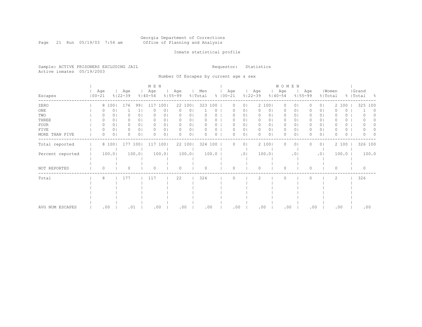#### Georgia Department of Corrections Page 21 Run 05/19/03 7:54 am Office of Planning and Analysis

## Inmate statistical profile

Sample: ACTIVE PRISONERS EXCLUDING JAIL **Requestor:** Statistics Active inmates 05/19/2003

Number Of Escapes by current age & sex

|                  |                   |       |                    |                | M E N              |                |                    |                |                |       |                    |                |                    |       |                     | WOMEN           |                    |                |                  |       |   |                    |       |
|------------------|-------------------|-------|--------------------|----------------|--------------------|----------------|--------------------|----------------|----------------|-------|--------------------|----------------|--------------------|-------|---------------------|-----------------|--------------------|----------------|------------------|-------|---|--------------------|-------|
| Escapes          | Age<br>$100 - 21$ |       | Age<br>$8122 - 39$ |                | Age<br>$8140 - 54$ |                | Age<br>$8155 - 99$ |                | Men<br>% Total |       | Age<br>$8100 - 21$ |                | Age<br>$8122 - 39$ |       | Age<br>$8140 - 54$  |                 | Age<br>$8155 - 99$ |                | Women<br>% Total |       |   | Grand<br>%   Total | - 8   |
| ZERO             |                   | 8 100 | 176                | 991            | 117                | 1001           |                    | 22 100         | 323            | 100   | $\Omega$           | 0 <sub>1</sub> |                    | 2 100 | $\circ$             | 0 <sub>1</sub>  |                    | 0 <sub>1</sub> |                  | 2 100 |   | 325 100            |       |
| $_{\rm ONE}$     |                   | 0     |                    | 1              |                    | 0              | 0                  | 0 <sub>1</sub> |                | 0     |                    | 0 <sub>1</sub> |                    |       | 0 <sub>1</sub><br>0 | $\circ$         |                    | 0 <sub>1</sub> |                  |       | 0 |                    | 0     |
| TWO              |                   | 0     | 0                  | 0 <sup>1</sup> | 0                  | 0              | 0                  | 01             |                |       |                    | 0 <sub>1</sub> | 0                  |       | 0 <sub>1</sub><br>0 | 01              |                    | 0 <sub>1</sub> |                  |       | 0 |                    |       |
| THREE            | 0                 |       |                    | $\circ$        |                    | 0              | $\Omega$           | 01             |                |       |                    | 01             | 0                  |       | 0<br>01             | 01              |                    | 0 <sub>1</sub> |                  |       | 0 |                    |       |
| FOUR             | 0                 | 0     | 0                  | 0 <sub>1</sub> | O                  | 0              | $\Omega$           | 0 <sub>1</sub> | Ω              |       |                    | 0 <sub>1</sub> |                    |       | 0  <br>$\Omega$     | 01              |                    | 0 <sub>1</sub> |                  |       | 0 |                    |       |
| FIVE             | 0                 | 0     | 0                  | 0 <sub>1</sub> | 0                  | 0 <sub>1</sub> | $\Omega$           | 0 <sub>1</sub> | Ω              | 0     | n                  | 0 <sub>1</sub> | 0                  |       | 0 <sub>1</sub><br>0 | 0 <sub>1</sub>  |                    | 0 <sub>1</sub> |                  |       | 0 |                    |       |
| MORE THAN FIVE   | 0                 | 0     | 0                  | 0 <sup>1</sup> | 0                  | 0 <sub>1</sub> | 0                  | 0 <sub>1</sub> | ∩              | 0     | U                  | 0 <sub>1</sub> | 0                  |       | 0 <sub>1</sub><br>0 | $\circ$         |                    | 0 <sub>1</sub> | 0                |       | 0 |                    |       |
| Total reported   |                   | 8 100 |                    | 177 100        | 117                | 100            |                    | 22 100         | 324            | 100   | n                  | 0 <sub>1</sub> |                    | 2 100 | 0                   | $\circ$         |                    | 0 <sub>1</sub> |                  | 2 100 |   | 326 100            |       |
| Percent reported |                   | 100.0 |                    | 100.0          |                    | 100.0          |                    | 100.0          |                | 100.0 |                    | .01            |                    | 100.0 |                     | .0 <sub>1</sub> |                    | .01            |                  | 100.0 |   |                    | 100.0 |
| NOT REPORTED     | 0                 |       | $\Omega$           |                | $\circ$            |                | $\circ$            |                | $\Omega$       |       | U                  |                | $\bigcap$          |       | 0                   |                 | O                  |                | 0                |       |   | $\mathbf{0}$       |       |
| Total            | 8                 |       | 177                |                | 117                |                | 22                 |                | 324            |       |                    |                | 2                  |       | $\Omega$            |                 |                    |                | 2                |       |   | 326                |       |
|                  |                   |       |                    |                |                    |                |                    |                |                |       |                    |                |                    |       |                     |                 |                    |                |                  |       |   |                    |       |
|                  |                   |       |                    |                |                    |                |                    |                |                |       |                    |                |                    |       |                     |                 |                    |                |                  |       |   |                    |       |
|                  |                   |       |                    |                |                    |                |                    |                |                |       |                    |                |                    |       |                     |                 |                    |                |                  |       |   |                    |       |
|                  |                   |       |                    |                |                    |                |                    |                |                |       |                    |                |                    |       |                     |                 |                    |                |                  |       |   |                    |       |
| AVG NUM ESCAPES  |                   | .00   |                    | .01            | .00                |                | .00                |                | .00            |       | .00                |                |                    | .00   |                     | .00             |                    | .00            |                  | .00   |   |                    | .00   |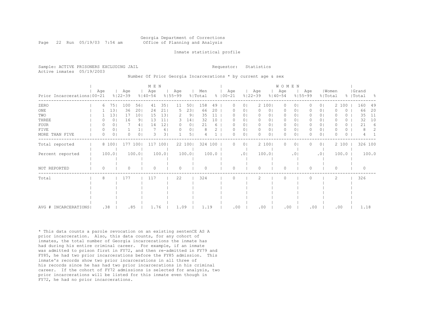## Georgia Department of Corrections Page 22 Run 05/19/03 7:54 am 60ffice of Planning and Analysis

#### Inmate statistical profile

|                           | Sample: ACTIVE PRISONERS EXCLUDING JAIL | Requestor: Statistics |  |
|---------------------------|-----------------------------------------|-----------------------|--|
| Active inmates 05/19/2003 |                                         |                       |  |

Number Of Prior Georgia Incarcerations \* by current age & sex

|                              |          |       |                    |                | M E N              |       |                    |                |                |       |                      |                |                    |                | W O M E N          |                |                    |                |                  |       |                    |       |
|------------------------------|----------|-------|--------------------|----------------|--------------------|-------|--------------------|----------------|----------------|-------|----------------------|----------------|--------------------|----------------|--------------------|----------------|--------------------|----------------|------------------|-------|--------------------|-------|
| Prior Incarcerations   00-21 | Age      |       | Age<br>$8122 - 39$ |                | Age<br>$8140 - 54$ |       | Age<br>$8155 - 99$ |                | Men<br>% Total |       | Age<br>$8   00 - 21$ |                | Age<br>$8122 - 39$ |                | Age<br>$8140 - 54$ |                | Age<br>$8155 - 99$ |                | Women<br>% Total |       | Grand<br>%   Total | - 옹   |
| ZERO                         | 6        | 751   | 100                | 56             | 41                 | 351   | 11                 | 501            | 158            | 49    | 0                    | 0              |                    | 2 100          | $\circ$            | $\circ$        | 0                  | 0 <sup>1</sup> |                  | 2 100 | 160                | 49    |
| $_{\rm ONE}$                 |          | 13    | 36                 | 201            | 24                 | 21    | 5                  | 231            | 66             | 20    | 0                    | 0              | $\mathbf{0}$       | 0 <sub>1</sub> | 0                  | 0 <sub>1</sub> | 0                  | 0 <sup>1</sup> | O                | 0     | 66                 | 20    |
| TWO                          |          | 13    | 17                 | 101            | 15                 | 131   | 2                  | 91             | 35             | 11    |                      | 0              | 0                  | 01             | 0                  | 01             | 0                  | 0 <sup>1</sup> |                  | 0     | 35                 | 11    |
| THREE                        |          | 0     | 16                 | 9 <sub>1</sub> | 13                 | 11    | 3                  | 14             | 32             | 10    |                      | 0              | $\circ$            | 0              | $\circ$            | 0              | 0                  | 0 <sup>1</sup> |                  | 0     | 32                 | 10    |
| <b>FOUR</b>                  |          | 0     |                    | 4              | 14                 | 12    | $\Omega$           | 0 <sub>1</sub> | 21             | 6     |                      | 0              | 0                  | 0              | 0                  | 0              | 0                  | 0 <sub>1</sub> | 0                | 0     | 21                 | 6     |
| FIVE                         | $\Omega$ | 0     |                    |                |                    | 61    |                    | 0              | 8              |       | O                    | 0              | 0                  | 0              | $\mathbf{0}$       | 0              | 0                  | $\circ$        | O                | 0     | 8                  | 2     |
| MORE THAN FIVE               | O        | 0     | Λ                  | 0 <sup>1</sup> | 3                  | 31    |                    | 5              |                |       | O                    | 0              | $\Omega$           | 0              | $\Omega$           | 0              |                    | $\circ$        | O                | 0     |                    |       |
| Total reported               |          | 8 100 | 177 100            |                | 117                | 100   |                    | 22 100         | 324 100        |       | 0                    | 0 <sup>1</sup> |                    | 2 100          | $\circ$            | $\circ$        | 0                  | 0 <sub>1</sub> |                  | 2 100 | 326 100            |       |
| Percent reported             |          | 100.0 |                    | 100.0          |                    | 100.0 |                    | 100.01         |                | 100.0 |                      | .01            |                    | 100.01         |                    | $\cdot$ 0      |                    | .01            |                  | 100.0 |                    | 100.0 |
| NOT REPORTED                 | O        |       | Λ                  |                | ∩                  |       | $\Omega$           |                | ∩              |       | $\bigcap$            |                | $\Omega$           |                | $\Omega$           |                | 0                  |                | $\Omega$         |       | $\Omega$           |       |
| Total                        | 8        |       | 177                |                | 117                |       | 22                 |                | 324            |       | O                    |                | 2                  |                | $\Omega$           |                | 0                  |                | $\overline{c}$   |       | 326                |       |
|                              |          |       |                    |                |                    |       |                    |                |                |       |                      |                |                    |                |                    |                |                    |                |                  |       |                    |       |
|                              |          |       |                    |                |                    |       |                    |                |                |       |                      |                |                    |                |                    |                |                    |                |                  |       |                    |       |
|                              |          |       |                    |                |                    |       |                    |                |                |       |                      |                |                    |                |                    |                |                    |                |                  |       |                    |       |
|                              |          |       |                    |                |                    |       |                    |                |                |       |                      |                |                    |                |                    |                |                    |                |                  |       |                    |       |
| AVG # INCARCERATIONS         | .38      |       | .85                |                | 1.76               |       | 1.09               |                | 1.19           |       | .00                  |                | .00                |                | .00                |                | .00                |                | .00              |       | 1.18               |       |

\* This data counts a parole revocation on an existing sentenCE AS A prior incarceration. Also, this data counts, for any cohort of inmates, the total number of Georgia incarcerations the inmate has had during his entire criminal career. For example, if an inmate was admitted to prison first in FY72, and then re-admitted in FY79 and FY85, he had two prior incarcerations before the FY85 admission. This inmate's records show two prior incarcerations in all three of his records since he has had two prior incarcerations in his criminal career. If the cohort of FY72 admissions is selected for analysis, two prior incarcerations will be listed for this inmate even though in FY72, he had no prior incarcerations.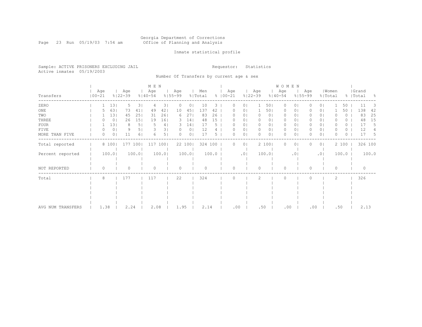#### Georgia Department of Corrections Page 23 Run 05/19/03 7:54 am Office of Planning and Analysis

## Inmate statistical profile

Sample: ACTIVE PRISONERS EXCLUDING JAIL **Requestor:** Statistics Active inmates 05/19/2003

Number Of Transfers by current age & sex

|                   |                   |       |                    |                 | M E N              |                |                    |                |                |       |                    |                |                    |                | <b>WOMEN</b>       |                 |                    |                |                  |          |                    |          |       |
|-------------------|-------------------|-------|--------------------|-----------------|--------------------|----------------|--------------------|----------------|----------------|-------|--------------------|----------------|--------------------|----------------|--------------------|-----------------|--------------------|----------------|------------------|----------|--------------------|----------|-------|
| Transfers         | Age<br>$100 - 21$ |       | Age<br>$8122 - 39$ |                 | Age<br>$8140 - 54$ |                | Age<br>$8155 - 99$ |                | Men<br>% Total |       | Age<br>$8100 - 21$ |                | Age<br>$8122 - 39$ |                | Age<br>$8140 - 54$ |                 | Aqe<br>$8155 - 99$ |                | Women<br>% Total |          | Grand<br>%   Total |          | - 옹   |
| ZERO              |                   | 13    | 5                  | 31              | $\overline{4}$     | 31             | $\Omega$           | 0              | 10             | 3     |                    | 0 <sub>1</sub> |                    | 501            | $\Omega$           | $\Omega$        |                    | 0 <sub>1</sub> |                  | 50       |                    | 11       |       |
| $_{\rm ONE}$      |                   | 63    | 73                 | 41              | 49                 | 42             | 10                 | 45             | 137            | 42    |                    | 0 <sub>1</sub> |                    | 501            | 0                  | $\circ$         |                    | 0 <sub>1</sub> |                  | 50       |                    | 138      | 42    |
| TWO               |                   | 13    | 45                 | 251             | 31                 | 261            | 6                  | 271            | 83             | 26    |                    | 0 <sub>1</sub> |                    | 0 <sub>1</sub> | 0                  | 01              |                    | 0 <sub>1</sub> |                  | 0        |                    | 83       | 25    |
| THREE             |                   | 0     | 26                 | 15 <sub>1</sub> | 19                 | 161            | 3                  | 14             | 48             | 15    |                    | 01             |                    | 0              | 0                  | 01              |                    | 0 <sub>1</sub> |                  | ()       |                    | 48       | 15    |
| FOUR              |                   | 13    | 8                  | 5               | 5                  | 4              | 3.                 | 14             | 17             | 5     |                    | 0 <sub>1</sub> |                    | 0              | $\Omega$           | 01              |                    | 0 <sub>1</sub> |                  | $\circ$  |                    | 17       | 5     |
| FIVE              | $\left( \right)$  | 0     | 9                  | 51              |                    | 3              |                    | 0 <sub>1</sub> | 12             |       |                    | 0 <sub>1</sub> | $\Omega$           | 0 <sub>1</sub> | 0                  | 0 <sub>1</sub>  |                    | 0 <sub>1</sub> |                  | 0        |                    | 12       |       |
| MORE THAN FIVE    | 0                 | 0     | 11                 | 61              | 6                  | 5 <sub>1</sub> | Ω                  | 0 <sub>1</sub> | 17             | 5.    |                    | 0 <sub>1</sub> | $\Omega$           | 0 <sub>1</sub> | $\Omega$           | $\circ$         |                    | 0 <sub>1</sub> | O                | $\Omega$ |                    | 17       | 5     |
| Total reported    |                   | 8 100 |                    | 177 100         | 117 1001           |                |                    | 22 100         | 324 100        |       |                    | 0 <sup>1</sup> |                    | 2 100          | $\Omega$           | $\circ$         |                    | 0 <sub>1</sub> |                  | 2 100    |                    | 326 100  |       |
| Percent reported  |                   | 100.0 |                    | 100.0           |                    | 100.0          |                    | 100.01         |                | 100.0 |                    | .01            |                    | 100.0          |                    | .0 <sub>1</sub> |                    | .01            |                  | 100.0    |                    |          | 100.0 |
| NOT REPORTED      | $\Omega$          |       | 0                  |                 | $\Omega$           |                | $\Omega$           |                | $\Omega$       |       | ∩                  |                | $\cap$             |                | $\Omega$           |                 | O                  |                | $\Omega$         |          |                    | $\Omega$ |       |
| Total             | 8                 |       | 177                |                 | 117                |                | 22                 |                | 324            |       |                    |                | 2                  |                | $\Omega$           |                 |                    |                | $\overline{2}$   |          |                    | 326      |       |
|                   |                   |       |                    |                 |                    |                |                    |                |                |       |                    |                |                    |                |                    |                 |                    |                |                  |          |                    |          |       |
|                   |                   |       |                    |                 |                    |                |                    |                |                |       |                    |                |                    |                |                    |                 |                    |                |                  |          |                    |          |       |
|                   |                   |       |                    |                 |                    |                |                    |                |                |       |                    |                |                    |                |                    |                 |                    |                |                  |          |                    |          |       |
|                   |                   |       |                    |                 |                    |                |                    |                |                |       |                    |                |                    |                |                    |                 |                    |                |                  |          |                    |          |       |
| AVG NUM TRANSFERS | 1.38              |       | 2.24               |                 | 2.08               |                | 1.95               |                | 2.14           |       | .00                |                | .50                |                | .00                |                 | .00                |                | .50              |          |                    | 2.13     |       |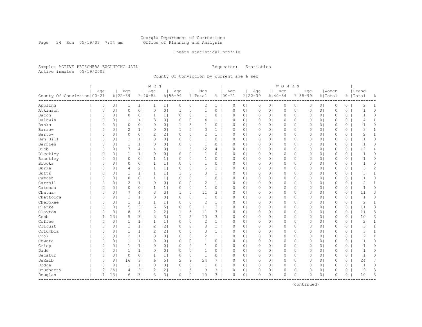#### Georgia Department of Corrections Page 24 Run 05/19/03 7:54 am Office of Planning and Analysis

## Inmate statistical profile

Sample: ACTIVE PRISONERS EXCLUDING JAIL **Requestor:** Statistics Active inmates 05/19/2003

County Of Conviction by current age & sex

|                                               |                |                |                    |                | M E N            |                |                    |                |                |                |                    |                |                    |                | WOMEN               |                |              |                |                  |         |                    |                |
|-----------------------------------------------|----------------|----------------|--------------------|----------------|------------------|----------------|--------------------|----------------|----------------|----------------|--------------------|----------------|--------------------|----------------|---------------------|----------------|--------------|----------------|------------------|---------|--------------------|----------------|
| County Of Conviction   00-21                  | Age            |                | Age<br>$8122 - 39$ |                | Age<br>$%140-54$ |                | Age<br>$8155 - 99$ |                | Men<br>% Total |                | Age<br>$8100 - 21$ |                | Age<br>$8122 - 39$ | $8140 - 54$    | Age                 | $8155 - 99$    | Age          |                | Women<br>% Total |         | Grand<br>%   Total | g.             |
| Appling                                       | 0              | 0 <sub>1</sub> | 1                  | 1              | $\mathbf{1}$     | $1\vert$       | 0                  | 0 <sub>1</sub> | 2              | $1 \mid$       | 0                  | 0 <sub>1</sub> | 0                  | 0 <sub>1</sub> | 0                   | 0 <sub>1</sub> | 0            | 0 <sub>1</sub> | 0                | 0       | $\overline{c}$     | 1              |
| Atkinson                                      | 0              | 0 <sub>1</sub> | $\circ$            | 0 <sub>1</sub> | $\circ$          | 0 <sup>1</sup> | $\mathbf{1}$       | 5 <sub>1</sub> | $\mathbf{1}$   | $\circ$        | $\mathbb O$        | 0 <sub>1</sub> | $\mathbb O$        | 0 <sup>1</sup> | $\mathsf{O}\xspace$ | 0 <sub>1</sub> | 0            | 0 <sub>1</sub> | $\mathbb O$      | $\circ$ | $\mathbf{1}$       | $\circ$        |
| Bacon                                         | 0              | 0 <sub>1</sub> | $\circ$            | 0 <sub>1</sub> | 1                | 1 <sub>1</sub> | 0                  | 0 <sub>1</sub> | $\mathbf{1}$   | 0              | $\circ$            | 0 <sub>1</sub> | $\circ$            | 0              | 0                   | 0 <sub>1</sub> | 0            | 0 <sub>1</sub> | 0                | 0       | $\mathbf 1$        | $\circ$        |
| Baldwin                                       | 0              | 0 <sub>1</sub> |                    | 1 <sub>1</sub> | 3                | 3 <sup>1</sup> | $\Omega$           | 0 <sub>1</sub> | 4              | $\mathbf{1}$   | $\mathbf 0$        | 0 <sub>1</sub> | $\circ$            | 0 <sub>1</sub> | 0                   | 0 <sub>1</sub> | 0            | 0 <sub>1</sub> | $\circ$          | $\circ$ | 4                  | 1              |
| Banks                                         | $\Omega$       | 0 <sub>1</sub> | $\Omega$           | 0 <sup>1</sup> | 0                | 0 <sub>1</sub> | 1                  | 5 <sub>1</sub> |                | 0              | $\Omega$           | 0 <sup>1</sup> | $\circ$            | 0 <sup>1</sup> | 0                   | 0 <sub>1</sub> | $\Omega$     | 0 <sub>1</sub> | $\Omega$         | 0       | $\mathbf{1}$       | $\Omega$       |
| Barrow                                        | 0              | 0 <sub>1</sub> | $\overline{2}$     | 1 <sup>1</sup> | 0                | 0 <sub>1</sub> | 1                  | 5 <sub>1</sub> | 3              | $\mathbf{1}$   | $\circ$            | 0 <sub>1</sub> | $\circ$            | 0 <sup>1</sup> | $\circ$             | 0 <sub>1</sub> | $\Omega$     | 0 <sub>1</sub> | $\circ$          | 0       | 3                  | $\mathbf{1}$   |
| Bartow                                        | 0              | 0 <sub>1</sub> | $\circ$            | 0 <sub>1</sub> | $\mathbf{2}$     | 2 <sub>1</sub> | 0                  | 0 <sub>1</sub> | $\overline{c}$ | $\mathbf{1}$   | $\circ$            | 0 <sub>1</sub> | $\circ$            | 0 <sub>1</sub> | $\circ$             | 0 <sub>1</sub> | $\Omega$     | 0 <sub>1</sub> | $\mathbf{0}$     | $\circ$ | $\overline{c}$     | $\mathbf{1}$   |
| Ben Hill                                      | 0              | 0 <sub>1</sub> | $\mathbf{1}$       | 1 <sub>1</sub> | 0                | 0 <sub>1</sub> | 0                  | 0 <sub>1</sub> | $\mathbf{1}$   | 0              | $\circ$            | 0 <sub>1</sub> | $\circ$            | 0 <sub>1</sub> | 0                   | 0 <sub>1</sub> | 0            | 0 <sub>1</sub> | $\mathbb O$      | 0       | $\mathbf{1}$       | 0              |
| Berrien                                       | 0              | 0 <sup>1</sup> | $\mathbf{1}$       | 1 <sup>1</sup> | $\circ$          | 0 <sub>1</sub> | 0                  | 0 <sub>1</sub> | $\mathbf{1}$   | 0              | $\circ$            | 0 <sub>1</sub> | $\circ$            | 0 <sup>1</sup> | $\circ$             | 0 <sub>1</sub> | 0            | 0 <sup>1</sup> | $\circ$          | 0       | $\mathbf{1}$       | 0              |
| Bibb                                          | $\Omega$       | 0 <sub>1</sub> | 7                  | 4              | 4                | 3              | 1                  | 5 <sub>1</sub> | 12             | 4              | $\Omega$           | 0 <sub>1</sub> | $\circ$            | 0 <sub>1</sub> | $\circ$             | 0 <sub>1</sub> | 0            | 0 <sub>1</sub> | $\Omega$         | $\circ$ | 12                 | $\overline{4}$ |
| Bleckley                                      | $\Omega$       | 0 <sub>1</sub> | $\mathbf{1}$       | 1 <sup>1</sup> | 0                | 0 <sub>1</sub> | $\Omega$           | 0 <sub>1</sub> | $\mathbf{1}$   | 0              | $\Omega$           | 0 <sub>1</sub> | $\circ$            | 0 <sup>1</sup> | 0                   | 0 <sub>1</sub> | $\Omega$     | 0 <sub>1</sub> | $\Omega$         | 0       | $\overline{1}$     | $\Omega$       |
| Brantley                                      | 0              | 0 <sub>1</sub> | $\circ$            | 0 <sub>1</sub> | -1               | 1 <sub>1</sub> | 0                  | 0 <sub>1</sub> | $\mathbf{1}$   | 0              | $\circ$            | 0 <sub>1</sub> | $\circ$            | 0 <sup>1</sup> | 0                   | 0 <sub>1</sub> | $\Omega$     | 0 <sub>1</sub> | $\mathbf{0}$     | 0       | $\mathbf{1}$       | 0              |
| <b>Brooks</b>                                 | 0              | 0 <sub>1</sub> | 0                  | 0 <sub>1</sub> | $\mathbf{1}$     | 1              | $\Omega$           | 0 <sub>1</sub> | 1              | 0              | 0                  | 0 <sub>1</sub> | $\circ$            | 0 <sub>1</sub> | 0                   | 0 <sub>1</sub> | 0            | 0 <sub>1</sub> | $\mathbb O$      | 0       | $\mathbf{1}$       | 0              |
| Burke                                         | 0              | 0 <sub>1</sub> | 4                  | 2 <sub>1</sub> | $\mathbf{1}$     | 1              | 0                  | 0 <sub>1</sub> | 5              | 2              | $\circ$            | 0 <sub>1</sub> | $\circ$            | 0              | 0                   | 0 <sub>1</sub> | 0            | 0 <sub>1</sub> | $\circ$          | 0       | 5                  | $\overline{c}$ |
| <b>Butts</b>                                  | 0              | 0 <sub>1</sub> | $\mathbf{1}$       | 1 <sup>1</sup> | $\mathbf{1}$     | 1 <sub>1</sub> | $\mathbf{1}$       | 51             | 3              | $\mathbf{1}$   | $\circ$            | 0 <sub>1</sub> | $\circ$            | 0 <sup>1</sup> | 0                   | 0 <sub>1</sub> | 0            | 0 <sub>1</sub> | $\circ$          | 0       | 3                  | $\mathbf{1}$   |
| Camden                                        | $\circ$        | 0 <sub>1</sub> | $\circ$            | 0 <sub>1</sub> | 1                | 1              | $\Omega$           | 0 <sub>1</sub> | 1              | 0              | $\Omega$           | 0 <sub>1</sub> | $\circ$            | 0 <sub>1</sub> | 0                   | 0 <sub>1</sub> | 0            | 0 <sub>1</sub> | $\mathbf{0}$     | $\circ$ | $\mathbf{1}$       | 0              |
| Carroll                                       | $\Omega$       | 0 <sub>1</sub> | $\overline{2}$     | 1 <sub>1</sub> | $\circ$          | 0 <sub>1</sub> | 0                  | 0 <sub>1</sub> | $\overline{c}$ | $\mathbf{1}$   | $\Omega$           | 0 <sup>1</sup> | $\circ$            | $\circ$        | 0                   | 0 <sub>1</sub> | $\Omega$     | 0 <sub>1</sub> | $\Omega$         | 0       | 2                  | $\mathbf{1}$   |
| Catoosa                                       | 0              | 0 <sub>1</sub> | $\circ$            | 0 <sub>1</sub> | 1                | 1 <sub>1</sub> | 0                  | 0 <sub>1</sub> | $\mathbf{1}$   | 0              | $\circ$            | 0 <sub>1</sub> | $\circ$            | 0 <sub>1</sub> | 0                   | 0 <sub>1</sub> | $\Omega$     | 0 <sub>1</sub> | $\circ$          | 0       | $\mathbf{1}$       | 0              |
| Chatham                                       | 0              | 0 <sub>1</sub> | 7                  | 4              | 3                | 3 <sup>1</sup> | 1                  | 5 <sub>1</sub> | 11             | 3              | 0                  | 0 <sub>1</sub> | $\circ$            | 0 <sub>1</sub> | 0                   | 0 <sub>1</sub> | 0            | 0 <sub>1</sub> | $\mathbb O$      | 0       | 11                 | 3              |
| Chattooga                                     | 0              | 0 <sup>1</sup> | $\mathbf{1}$       | 1 <sup>1</sup> | $\circ$          | 0 <sub>1</sub> | 0                  | 0 <sub>1</sub> | $\mathbf{1}$   | 0              | $\circ$            | 0 <sub>1</sub> | $\circ$            | 0 <sup>1</sup> | 0                   | 0 <sub>1</sub> | 0            | 0 <sub>1</sub> | $\mathbf{0}$     | 0       | $\mathbf{1}$       | 0              |
| Cherokee                                      | $\Omega$       | 0 <sup>1</sup> | $\mathbf{1}$       | 1 <sup>1</sup> | $\mathbf{1}$     | 1 <sub>1</sub> | $\Omega$           | 0 <sub>1</sub> | 2              | $\mathbf{1}$   | $\mathbf{0}$       | 0 <sub>1</sub> | $\circ$            | 0 <sup>1</sup> | $\circ$             | 0 <sub>1</sub> | $\mathbf{0}$ | 0 <sup>1</sup> | $\mathbf{0}$     | $\circ$ | 2                  | $\mathbf{1}$   |
| Clarke                                        | 0              | 0 <sub>1</sub> | 5                  | 3              | 6                | 5              | $\Omega$           | 0 <sub>1</sub> | 11             | 3              | $\Omega$           | 0 <sub>1</sub> | $\circ$            | 0 <sub>1</sub> | 0                   | 0 <sub>1</sub> | 0            | 0 <sub>1</sub> | $\mathbf{0}$     | 0       | 11                 | 3              |
| Clayton                                       | 0              | 0 <sub>1</sub> | 8                  | 5              | $\mathbf{2}$     | 2 <sub>1</sub> | 1                  | 5 <sub>1</sub> | 11             | $\mathbf{3}$   | $\Omega$           | 0 <sup>1</sup> | $\circ$            | 0 <sub>1</sub> | 0                   | 0 <sub>1</sub> | $\Omega$     | 0 <sub>1</sub> | $\mathbf{0}$     | 0       | 11                 | 3              |
| Cobb                                          | 1              | 131            | 5                  | 3 <sup>1</sup> | 3                | 3 <sup>1</sup> | 1                  | 5 <sub>1</sub> | 10             | $3-1$          | $\circ$            | 0 <sub>1</sub> | $\circ$            | 0 <sub>1</sub> | 0                   | 0 <sub>1</sub> | 0            | 0 <sub>1</sub> | $\circ$          | 0       | 10                 | 3              |
| Coffee                                        | 0              | 0 <sub>1</sub> | 1                  | 1 <sub>1</sub> | 1                | 1              | 0                  | 0 <sub>1</sub> | $\overline{c}$ | $\mathbf{1}$   | 0                  | 0 <sub>1</sub> | $\circ$            | 0 <sub>1</sub> | 0                   | 0 <sub>1</sub> | 0            | 0 <sub>1</sub> | $\mathbb O$      | 0       | 2                  | $\mathbf{1}$   |
| Colquit                                       | $\circ$        | 0 <sub>1</sub> | $\mathbf{1}$       | 1 <sub>1</sub> | $\mathbf{2}$     | 2 <sub>1</sub> | $\Omega$           | 0 <sub>1</sub> | 3              | $\mathbf{1}$   | $\mathbf{0}$       | 0 <sub>1</sub> | $\circ$            | 0 <sup>1</sup> | $\Omega$            | 0 <sub>1</sub> | $\Omega$     | 0 <sub>1</sub> | $\mathbf{0}$     | $\circ$ | 3                  | $\mathbf{1}$   |
| Columbia                                      | $\circ$        | 0 <sub>1</sub> | $\mathbf{1}$       | 1 <sub>1</sub> | 2                | 2 <sub>1</sub> | 0                  | 0 <sub>1</sub> | 3              | $\mathbf{1}$   | $\mathbf{0}$       | 0 <sub>1</sub> | $\circ$            | 0 <sup>1</sup> | 0                   | 0 <sub>1</sub> | 0            | 0 <sub>1</sub> | $\mathbf{0}$     | 0       | 3                  | $\mathbf{1}$   |
| Cook                                          | 0              | 0 <sub>1</sub> | $\mathbf{2}$       | 1              | 0                | 0 <sub>1</sub> | 0                  | 0 <sub>1</sub> | $\overline{c}$ | $\mathbf{1}$   | $\circ$            | 0 <sub>1</sub> | 0                  | 0 <sub>1</sub> | 0                   | 0 <sub>1</sub> | 0            | 0 <sub>1</sub> | $\circ$          | 0       | 2                  | $\mathbf{1}$   |
| Coweta                                        | 0              | 0 <sub>1</sub> | $\mathbf{1}$       | 1 <sub>1</sub> | 0                | 0 <sup>1</sup> | $\Omega$           | 0 <sub>1</sub> | 1              | 0              | $\circ$            | 0 <sup>1</sup> | $\circ$            | 0 <sup>1</sup> | 0                   | 0 <sub>1</sub> | $\Omega$     | 0 <sub>1</sub> | $\Omega$         | 0       | $\mathbf{1}$       | 0              |
| Crisp                                         | 0              | 0 <sub>1</sub> | $\mathbf{1}$       | $1\vert$       | 0                | 0 <sup>1</sup> | 0                  | 0 <sub>1</sub> | $\mathbf{1}$   | 0              | $\circ$            | 0 <sub>1</sub> | $\circ$            | 0 <sub>1</sub> | 0                   | 0 <sub>1</sub> | 0            | 0 <sub>1</sub> | $\circ$          | 0       | $\mathbf 1$        | 0              |
| Dade                                          | 0              | 0 <sub>1</sub> | $\mathbf{1}$       | 1 <sub>1</sub> | 0                | 0 <sub>1</sub> | 0                  | 0 <sub>1</sub> | $\mathbf{1}$   | 0              | $\circ$            | 0 <sub>1</sub> | $\circ$            | 0 <sub>1</sub> | 0                   | 0 <sub>1</sub> | 0            | 0 <sub>1</sub> | $\mathbf{0}$     | 0       | $\mathbf{1}$       | 0              |
| Decatur                                       | $\circ$        | 0 <sub>1</sub> | $\circ$            | 0 <sub>1</sub> | $\mathbf{1}$     | 1              | $\Omega$           | 0 <sub>1</sub> | $\mathbf{1}$   | 0              | $\mathbf{0}$       | 0 <sub>1</sub> | $\circ$            | 0 <sup>1</sup> | 0                   | 0 <sub>1</sub> | 0            | 0 <sub>1</sub> | $\mathbf{0}$     | $\circ$ | $\mathbf{1}$       | 0              |
| DeKalb                                        | $\circ$        | 0 <sup>1</sup> | 16                 | 9 <sub>1</sub> | 6                | 5              | $\mathbf{2}$       | 9 <sub>1</sub> | 24             | 7 <sub>1</sub> | $\mathbf{0}$       | 0 <sub>1</sub> | $\circ$            | $\circ$        | $\circ$             | 0 <sub>1</sub> | 0            | 0 <sub>1</sub> | $\mathbf{0}$     | $\circ$ | 24                 | 7              |
| Dodge                                         | 0              | 0 <sub>1</sub> | 1                  | 1              | 0                | 0 <sub>1</sub> | 0                  | 0 <sub>1</sub> | 1              | $\overline{0}$ | $\circ$            | 0 <sub>1</sub> | 0                  | 0 <sub>1</sub> | $\circ$             | 0 <sub>1</sub> | 0            | 0 <sub>1</sub> | $\circ$          | 0       | $\mathbf 1$        | 0              |
| Dougherty                                     | $\overline{c}$ | 251            | $\overline{4}$     | 2 <sub>1</sub> | 2                | 2 <sub>1</sub> | 1                  | 5 <sub>1</sub> | 9              | 3              | $\Omega$           | $\circ$        | 0                  | 0 <sub>1</sub> | $\Omega$            | $\circ$        | 0            | 0 <sub>1</sub> | $\circ$          | $\circ$ | 9                  | 3              |
| Douglas<br>__________________________________ | 1              | 131            | 6                  | 3 <sup>1</sup> | 3                | 3 <sup>1</sup> | $\circ$            | 0 <sub>1</sub> | 10             | 3 <sup>1</sup> | $\circ$            | 0 <sub>1</sub> | $\circ$            | 0 <sub>1</sub> | 0                   | 0 <sub>1</sub> | $\Omega$     | 0 <sub>1</sub> | $\circ$          | 0       | 10                 | 3              |

(continued)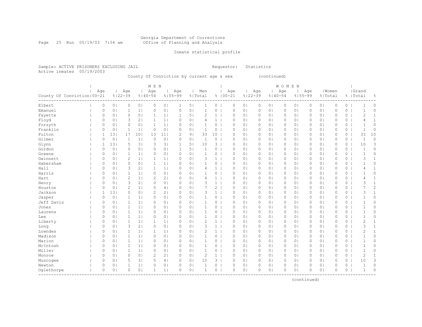#### Georgia Department of Corrections Page 25 Run 05/19/03 7:54 am Office of Planning and Analysis

## Inmate statistical profile

Sample: ACTIVE PRISONERS EXCLUDING JAIL **Requestor:** Statistics Active inmates 05/19/2003

County Of Conviction by current age & sex (continued)

|                              | Age      |                |                    |                 |                    |                |                    |                |                |                |                    |                |                    |                |          |                |          |                |              |         |                    |                |
|------------------------------|----------|----------------|--------------------|-----------------|--------------------|----------------|--------------------|----------------|----------------|----------------|--------------------|----------------|--------------------|----------------|----------|----------------|----------|----------------|--------------|---------|--------------------|----------------|
| County Of Conviction   00-21 |          |                | Age<br>$8122 - 39$ |                 | Age<br>$8140 - 54$ |                | Age<br>$8155 - 99$ |                | Men<br>% Total |                | Age<br>$8100 - 21$ |                | Age<br>$8122 - 39$ | $8140 - 54$    | Age      | $8155 - 99$    | Age      | % Total        | Women        |         | Grand<br>%   Total | 옹              |
| Elbert                       | 0        | 0 <sub>1</sub> | $\circ$            | 0 <sub>1</sub>  | 0                  | 0 <sub>1</sub> | 1                  | 5 <sub>1</sub> | $\mathbf{1}$   | 0              | $\circ$            | 0 <sub>1</sub> | $\circ$            | 01             | $\circ$  | 0 <sub>1</sub> | 0        | 0 <sub>1</sub> | $\circ$      | 0       |                    | 0              |
| Emanuel                      | 0        | 0 <sub>1</sub> | 1                  | 1 <sub>1</sub>  | 0                  | 0 <sub>1</sub> | 0                  | 0 <sub>1</sub> | 1              | 0              | $\circ$            | 0 <sub>1</sub> | $\circ$            | 0 <sup>1</sup> | 0        | 0 <sub>1</sub> | 0        | 0 <sub>1</sub> | $\mathbf{0}$ | 0       | -1                 | 0              |
| Fayette                      | 0        | 0 <sub>1</sub> | $\circ$            | 0 <sub>1</sub>  | $\mathbf 1$        | 1              | 1                  | 5 <sub>1</sub> | $\overline{c}$ | $\mathbf{1}$   | 0                  | 0 <sub>1</sub> | $\circ$            | 0 <sub>1</sub> | 0        | 0 <sub>1</sub> | 0        | 0 <sub>1</sub> | $\mathbf{0}$ | 0       | 2                  | $\mathbf{1}$   |
|                              | 0        | 0 <sub>1</sub> | 3                  | 21              | $\mathbf{1}$       | 1              | 0                  | 0 <sub>1</sub> | 4              | $\mathbf{1}$   | $\circ$            | 0 <sub>1</sub> | $\circ$            | 0 <sup>1</sup> | 0        | 0 <sub>1</sub> | 0        | 0 <sub>1</sub> | $\mathbf{0}$ | 0       | 4                  | $\mathbf{1}$   |
| Floyd                        |          |                | $\circ$            |                 |                    |                |                    |                |                |                |                    |                |                    |                |          |                |          |                | $\mathbf{0}$ |         |                    | $\circ$        |
| Forsyth                      | 0        | 0 <sub>1</sub> |                    | 0 <sub>1</sub>  | 1                  | 1 <sub>1</sub> | 0                  | 0 <sub>1</sub> | $\mathbf{1}$   | $0-1$          | $\circ$            | 0 <sub>1</sub> | $\circ$            | 0 <sup>1</sup> | 0        | 0 <sub>1</sub> | 0        | 0 <sub>1</sub> |              | 0       | 1                  |                |
| Franklin                     | $\circ$  | 0 <sub>1</sub> | $\mathbf{1}$       | $1\vert$        | $\circ$            | 0 <sub>1</sub> | 0                  | 0 <sub>1</sub> | 1              | 0              | $\circ$            | 0 <sub>1</sub> | $\circ$            | 0 <sub>1</sub> | 0        | 0 <sub>1</sub> | 0        | 0 <sub>1</sub> | $\circ$      | 0       | $\mathbf 1$        | $\circ$        |
| Fulton                       | 1        | 131            | 17                 | 10 <sub>1</sub> | 13                 | 11             | $\overline{c}$     | 9 <sub>1</sub> | 33             | 10             | $\Omega$           | 0 <sub>1</sub> | 0                  | 0 <sub>1</sub> | 0        | 0 <sub>1</sub> | $\Omega$ | 0 <sub>1</sub> | $\mathbf{0}$ | 0       | 33                 | 10             |
| Gilmer                       | $\circ$  | 0 <sub>1</sub> | 1                  | $\mathbf{1}$    | $\circ$            | 0 <sup>1</sup> | 0                  | 0 <sub>1</sub> | 1              | 0              | $\Omega$           | $\circ$        | $\circ$            | 0 <sub>1</sub> | 0        | 0 <sub>1</sub> | 0        | 0 <sub>1</sub> | $\mathbf{0}$ | 0       | $\mathbf{1}$       | 0              |
| Glynn                        | 1        | 131            | 5                  | 3 <sup>1</sup>  | 3                  | 3 <sup>1</sup> | 1                  | 5 <sub>1</sub> | 10             | 3              | $\Omega$           | 0 <sup>1</sup> | $\circ$            | 0 <sub>1</sub> | 0        | 0 <sub>1</sub> | $\Omega$ | 0 <sub>1</sub> | $\Omega$     | 0       | 10                 | 3              |
| Gordon                       | $\circ$  | 0 <sub>1</sub> | $\circ$            | 0 <sub>1</sub>  | $\circ$            | 0 <sub>1</sub> | $\mathbf{1}$       | 51             | $\mathbf{1}$   | 0              | $\circ$            | 0 <sub>1</sub> | $\circ$            | 0 <sup>1</sup> | 0        | 0 <sub>1</sub> | $\Omega$ | 0 <sub>1</sub> | $\mathbf{0}$ | 0       | 1                  | 0              |
| Greene                       | 0        | 0 <sub>1</sub> | $\mathbf{1}$       | 1 <sub>1</sub>  | 0                  | 0 <sub>1</sub> | $\circ$            | 0 <sub>1</sub> | 1              | 0              | 0                  | 0 <sub>1</sub> | $\circ$            | 0 <sub>1</sub> | 0        | 0 <sub>1</sub> | 0        | 0 <sub>1</sub> | $\circ$      | 0       | 1                  | 0              |
| Gwinnett                     | 0        | 0 <sub>1</sub> | $\mathbf{2}$       | 1 <sub>1</sub>  | $\mathbf{1}$       | 1              | 0                  | 0 <sub>1</sub> | 3              | $\mathbf{1}$   | $\circ$            | 0 <sub>1</sub> | $\circ$            | 0 <sup>1</sup> | 0        | 0 <sub>1</sub> | 0        | 0 <sub>1</sub> | $\mathbf{0}$ | 0       | 3                  | $\mathbf{1}$   |
| Habersham                    | 0        | 0 <sub>1</sub> | $\circ$            | 0 <sub>1</sub>  | $\mathbf{1}$       | 1              | $\Omega$           | 0 <sub>1</sub> | $\mathbf{1}$   | 0              | $\circ$            | 0 <sub>1</sub> | $\circ$            | 01             | $\circ$  | 0 <sub>1</sub> | 0        | 0 <sub>1</sub> | $\circ$      | 0       | $\mathbf 1$        | 0              |
| Hall                         | 0        | 0 <sub>1</sub> | 3                  | 2 <sub>1</sub>  | $\mathbf{1}$       | 1 <sub>1</sub> | $\Omega$           | 0 <sub>1</sub> | $\overline{4}$ | $\mathbf{1}$   | $\Omega$           | 0 <sub>1</sub> | $\circ$            | 01             | 0        | 0 <sub>1</sub> | 0        | 0 <sup>1</sup> | $\Omega$     | 0       | 4                  | $\mathbf{1}$   |
| Harris                       | $\Omega$ | 0 <sub>1</sub> | $\mathbf{1}$       | 1 <sup>1</sup>  | $\circ$            | 0 <sub>1</sub> | $\Omega$           | 0 <sub>1</sub> | 1              | 0              | $\circ$            | 0 <sub>1</sub> | $\circ$            | 0 <sub>1</sub> | $\circ$  | 0 <sub>1</sub> | 0        | 0 <sub>1</sub> | $\circ$      | 0       |                    | 0              |
| Hart                         | $\Omega$ | 0 <sub>1</sub> | $\overline{2}$     | 1 <sub>1</sub>  | 2                  | 2 <sub>1</sub> | $\Omega$           | 0 <sub>1</sub> | 4              | $\mathbf{1}$   | $\Omega$           | 0 <sub>1</sub> | 0                  | 0 <sub>1</sub> | 0        | 0 <sub>1</sub> | $\Omega$ | 0 <sub>1</sub> | $\circ$      | 0       | 4                  | 1              |
| Henry                        | $\Omega$ | 0 <sub>1</sub> | 3                  | 2 <sub>1</sub>  | 0                  | 0 <sup>1</sup> | $\Omega$           | 0 <sub>1</sub> | 3              | $\mathbf{1}$   | $\Omega$           | 0 <sup>1</sup> | $\circ$            | 0 <sup>1</sup> | 0        | 0 <sub>1</sub> | $\Omega$ | 0 <sub>1</sub> | $\Omega$     | 0       | 3                  | $\mathbf{1}$   |
| Houston                      | 0        | 0 <sub>1</sub> | $\overline{c}$     | 1 <sub>1</sub>  | 5                  | 4              | 0                  | 0 <sub>1</sub> | 7              | $\overline{2}$ | $\circ$            | 0 <sub>1</sub> | $\circ$            | 0 <sup>1</sup> | 0        | 0 <sub>1</sub> | 0        | 0 <sub>1</sub> | $\circ$      | 0       | 7                  | $\overline{c}$ |
| Jackson                      | 1        | 131            | $\circ$            | 0 <sub>1</sub>  | $\overline{2}$     | 2 <sub>1</sub> | 0                  | 0 <sub>1</sub> | 3              | $\mathbf{1}$   | $\circ$            | 0 <sub>1</sub> | $\circ$            | 0 <sub>1</sub> | 0        | 0 <sub>1</sub> | 0        | 0 <sub>1</sub> | $\circ$      | 0       | 3                  | $\mathbf{1}$   |
| Jasper                       | 0        | 0 <sub>1</sub> | 1                  | $1\vert$        | 0                  | 0 <sub>1</sub> | $\Omega$           | 0 <sub>1</sub> | 1              | 0              | 0                  | 0 <sub>1</sub> | $\circ$            | 0 <sub>1</sub> | 0        | 0 <sub>1</sub> | 0        | 0 <sub>1</sub> | $\circ$      | 0       | $\mathbf 1$        | 0              |
| Jeff Davis                   | 0        | 0 <sub>1</sub> | $\mathbf{1}$       | 1               | 0                  | 0 <sup>1</sup> | 0                  | 0 <sub>1</sub> | $\mathbf{1}$   | 0              | $\circ$            | 0 <sub>1</sub> | $\circ$            | 0 <sup>1</sup> | 0        | 0 <sub>1</sub> | 0        | 0 <sub>1</sub> | $\mathbf{0}$ | 0       | $\mathbf{1}$       | 0              |
| Jones                        | 0        | 0 <sub>1</sub> | $\mathbf{1}$       | 1               | 0                  | 0 <sub>1</sub> | 0                  | 0 <sub>1</sub> | $\mathbf{1}$   | 0              | $\circ$            | 0 <sub>1</sub> | $\circ$            | 0 <sup>1</sup> | 0        | 0 <sub>1</sub> | 0        | 0 <sub>1</sub> | $\mathbf{0}$ | 0       | $\mathbf{1}$       | 0              |
| Laurens                      | 0        | 0 <sub>1</sub> | $\mathbf{1}$       | 1 <sub>1</sub>  | 0                  | 0 <sub>1</sub> | 0                  | 0 <sub>1</sub> | $\mathbf{1}$   | 0              | $\circ$            | 0 <sub>1</sub> | $\circ$            | 0 <sub>1</sub> | 0        | 0 <sub>1</sub> | 0        | 0 <sub>1</sub> | $\circ$      | 0       | -1                 | 0              |
| Lee                          | $\circ$  | 0 <sub>1</sub> | $\mathbf 1$        | 1 <sub>1</sub>  | 0                  | 0 <sub>1</sub> | $\Omega$           | 0 <sub>1</sub> | 1              | 0              | $\Omega$           | 0 <sub>1</sub> | 0                  | 0 <sub>1</sub> | 0        | 0 <sub>1</sub> | 0        | 0 <sub>1</sub> | $\circ$      | 0       | 1                  | 0              |
| Liberty                      | 0        | 0 <sub>1</sub> | $\mathbf{1}$       | 1               | $\mathbf{1}$       | 1 <sub>1</sub> | 0                  | 0 <sub>1</sub> | $\overline{c}$ | $\mathbf{1}$   | $\Omega$           | 0 <sup>1</sup> | $\circ$            | 0 <sub>1</sub> | 0        | 0 <sub>1</sub> | $\Omega$ | 0 <sub>1</sub> | $\mathbf{0}$ | 0       | 2                  | $\mathbf{1}$   |
| Long                         | 0        | 0 <sub>1</sub> | 3                  | 2 <sub>1</sub>  | 0                  | 0 <sub>1</sub> | 0                  | 0 <sub>1</sub> | 3              | $\mathbf{1}$   | $\circ$            | 0 <sup>1</sup> | $\circ$            | 0 <sub>1</sub> | 0        | 0 <sub>1</sub> | $\Omega$ | 0 <sub>1</sub> | $\circ$      | 0       | 3                  | $\mathbf{1}$   |
| Lowndes                      | 0        | 0 <sub>1</sub> | $\mathbf{1}$       | 1 <sub>1</sub>  | -1                 | 1 <sub>1</sub> | 0                  | 0 <sub>1</sub> | $\overline{c}$ | $\mathbf{1}$   | $\circ$            | 0 <sub>1</sub> | $\circ$            | 0 <sup>1</sup> | 0        | 0 <sub>1</sub> | $\Omega$ | 0 <sub>1</sub> | $\mathbf{0}$ | 0       | $\overline{2}$     | $\mathbf{1}$   |
| Madison                      | 0        | 0 <sub>1</sub> | $\mathbf{1}$       | 1 <sub>1</sub>  | 0                  | 0 <sub>1</sub> | 0                  | 0 <sub>1</sub> | 1              | $\circ$        | 0                  | 0 <sub>1</sub> | $\circ$            | 0 <sub>1</sub> | 0        | 0 <sub>1</sub> | 0        | 0 <sub>1</sub> | $\mathbb O$  | 0       | $\mathbf{1}$       | 0              |
| Marion                       | 0        | 0 <sub>1</sub> | $\mathbf{1}$       | 1 <sub>1</sub>  | 0                  | 0 <sub>1</sub> | $\Omega$           | 0 <sub>1</sub> | $\mathbf 1$    | 0              | $\circ$            | 0 <sub>1</sub> | $\circ$            | 0 <sub>1</sub> | 0        | 0 <sub>1</sub> | 0        | 0 <sub>1</sub> | 0            | 0       | $\mathbf 1$        | 0              |
| McIntosh                     | 0        | 0 <sub>1</sub> | $\mathbf{1}$       | 1 <sub>1</sub>  | $\circ$            | 0 <sub>1</sub> | $\Omega$           | 0 <sub>1</sub> | $\mathbf{1}$   | 0              | $\circ$            | 0 <sub>1</sub> | $\circ$            | 0 <sup>1</sup> | $\circ$  | 0 <sub>1</sub> | 0        | 0 <sub>1</sub> | $\circ$      | 0       | 1                  | 0              |
| Miller                       | 0        | 0 <sub>1</sub> | $\mathbf{1}$       | 1 <sub>1</sub>  | $\circ$            | 0 <sub>1</sub> | $\Omega$           | 0 <sub>1</sub> | $\mathbf{1}$   | 0              | $\Omega$           | 0 <sub>1</sub> | $\circ$            | 0 <sub>1</sub> | $\circ$  | 0 <sub>1</sub> | 0        | 0 <sup>1</sup> | $\circ$      | 0       | $\mathbf 1$        | 0              |
| Monroe                       | 0        | 0 <sub>1</sub> | $\circ$            | 0 <sub>1</sub>  | 2                  | 2 <sub>1</sub> | $\Omega$           | 0 <sub>1</sub> | 2              | $\mathbf{1}$   | $\circ$            | 0 <sub>1</sub> | $\circ$            | 0 <sub>1</sub> | $\circ$  | 0 <sub>1</sub> | 0        | 0 <sub>1</sub> | $\circ$      | 0       | $\overline{2}$     | $\mathbf{1}$   |
| Muscogee                     | 0        | 0 <sub>1</sub> | 5                  | 3               | 5                  | 4 <sup>1</sup> | 0                  | 0 <sub>1</sub> | 10             | 3 <sup>1</sup> | $\Omega$           | 0 <sub>1</sub> | 0                  | 0 <sub>1</sub> | 0        | 0 <sub>1</sub> | $\Omega$ | 0 <sub>1</sub> | $\circ$      | $\circ$ | 10                 | 3              |
| Newton                       | 0        | 0 <sub>1</sub> | 1                  | 1               | 0                  | 0 <sup>1</sup> | 0                  | 0 <sub>1</sub> | $\mathbf{1}$   | 0              | $\Omega$           | $\circ$        | $\Omega$           | $\circ$        | 0        | 0 <sub>1</sub> | $\Omega$ | 0 <sub>1</sub> | $\circ$      | 0       | $\mathbf 1$        | 0              |
| Oqlethorpe                   | $\Omega$ | 0 <sub>1</sub> | $\Omega$           | 0 <sup>1</sup>  | -1                 | 1 <sub>1</sub> | $\Omega$           | 0 <sub>1</sub> | 1              | 0              | $\Omega$           | 0 <sub>1</sub> | $\Omega$           | 0 <sub>1</sub> | $\Omega$ | 0 <sub>1</sub> | $\Omega$ | 0 <sub>1</sub> | $\Omega$     | 0       | $\mathbf{1}$       | $\Omega$       |

(continued)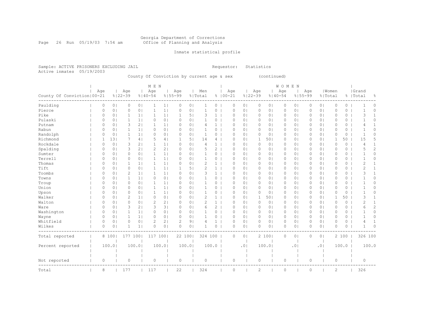#### Georgia Department of Corrections Page 26 Run 05/19/03 7:54 am Office of Planning and Analysis

## Inmate statistical profile

Sample: ACTIVE PRISONERS EXCLUDING JAIL **Requestor:** Statistics Active inmates 05/19/2003

County Of Conviction by current age & sex (continued)

|                              |          |                |              |                | M E N                                                                                                            |                |             |                |                |                |             |                |             |                | <b>WOMEN</b> |                |             |                |              |         |                |                |
|------------------------------|----------|----------------|--------------|----------------|------------------------------------------------------------------------------------------------------------------|----------------|-------------|----------------|----------------|----------------|-------------|----------------|-------------|----------------|--------------|----------------|-------------|----------------|--------------|---------|----------------|----------------|
|                              | Age      |                | Age          |                | Age                                                                                                              |                | Age         |                | Men            |                | Age         |                | Age         |                | Age          |                | Age         |                | Women        |         | Grand          |                |
| County Of Conviction   00-21 |          |                | $8122 - 39$  |                | $8140 - 54$                                                                                                      |                | $8155 - 99$ |                | % Total        |                | $8100 - 21$ |                | $8122 - 39$ |                | $8140 - 54$  |                | $8155 - 99$ |                | % Total      |         | %   Total      | 옹              |
| Paulding                     | 0        | 0 <sub>1</sub> | 0            | 0 <sub>1</sub> | 1                                                                                                                | 1              | 0           | 0 <sub>1</sub> |                | 0              | 0           | 0 <sub>1</sub> | 0           | 0              | 0            | 0 <sub>1</sub> | 0           | 0 <sub>1</sub> | 0            | 0       |                | 0              |
| Pierce                       | 0        | 0 <sub>1</sub> | $\circ$      | 0 <sub>1</sub> | $\mathbf{1}$                                                                                                     | 1              | 0           | 0              | 1              | 0              | $\Omega$    | $\circ$        | $\mathbf 0$ | $\circ$        | 0            | 0 <sub>1</sub> | $\Omega$    | 0 <sub>1</sub> | $\mathbf{0}$ | 0       | $\mathbf{1}$   | $\circ$        |
| Pike                         | 0        | 0 <sub>1</sub> | 1            | 1 <sub>1</sub> | $\mathbf{1}$                                                                                                     | 1 <sub>1</sub> | 1           | 5 <sub>1</sub> | 3              | $\mathbf{1}$   | $\Omega$    | 0 <sup>1</sup> | $\circ$     | 0 <sup>1</sup> | $\circ$      | 0 <sub>1</sub> | $\Omega$    | 0 <sub>1</sub> | $\Omega$     | 0       | 3              | 1              |
| Pulaski                      | 0        | 0 <sub>1</sub> | $\mathbf 1$  | 1 <sub>1</sub> | 0                                                                                                                | 0 <sub>1</sub> | 0           | 0 <sub>1</sub> | 1              | 0              | $\Omega$    | 0 <sup>1</sup> | $\circ$     | $\circ$        | 0            | 0 <sub>1</sub> | $\Omega$    | 0 <sub>1</sub> | $\circ$      | 0       |                | $\Omega$       |
| Putnam                       | 0        | 0 <sub>1</sub> | 3            | 2 <sub>1</sub> | -1                                                                                                               | 1              | 0           | 0 <sub>1</sub> | 4              | $\mathbf{1}$   | $\Omega$    | 0 <sup>1</sup> | 0           | 01             | 0            | 0 <sub>1</sub> | 0           | 0 <sub>1</sub> | $\circ$      | 0       | 4              |                |
| Rabun                        | 0        | 0 <sub>1</sub> | 1            | 1 <sub>1</sub> | 0                                                                                                                | 0 <sub>1</sub> | 0           | 0 <sub>1</sub> | 1              | 0              | 0           | 0 <sub>1</sub> | 0           | 0 <sup>1</sup> | 0            | 0 <sub>1</sub> | 0           | 0 <sub>1</sub> | $\circ$      | 0       |                | $\Omega$       |
| Randolph                     | 0        | 0 <sub>1</sub> | $\mathbf{1}$ | 1 <sub>1</sub> | 0                                                                                                                | 0 <sub>1</sub> | 0           | 0 <sub>1</sub> | $\mathbf 1$    | 0              | 0           | 0 <sub>1</sub> | $\circ$     | 0 <sub>1</sub> | 0            | 0 <sub>1</sub> | 0           | 0 <sub>1</sub> | 0            | 0       | $\mathbf{1}$   | $\Omega$       |
| Richmond                     | 1        | 131            | 7            | 4 <sub>1</sub> | 5                                                                                                                | 4              |             | 5 <sub>1</sub> | 14             | 4              | 0           | 0 <sub>1</sub> | 1           | 501            | 0            | 0 <sub>1</sub> | 0           | 0 <sub>1</sub> | 1            | 50      | 15             | 5              |
| Rockdale                     | 0        | 0 <sub>1</sub> | 3            | 2 <sub>1</sub> | $\mathbf{1}$                                                                                                     | 1              | 0           | 0 <sub>1</sub> | 4              | $\mathbf{1}$   | $\circ$     | 0 <sub>1</sub> | $\circ$     | 0 <sub>1</sub> | 0            | 0 <sub>1</sub> | 0           | 0 <sub>1</sub> | $\mathbb O$  | $\circ$ | 4              | 1              |
| Spalding                     | $\Omega$ | 0 <sub>1</sub> | 3            | 2 <sub>1</sub> | $\mathfrak{2}% _{T}=\mathfrak{2}_{T}\!\left( a,b\right) ,\mathfrak{2}_{T}=\mathfrak{2}_{T}\!\left( a,b\right) ,$ | 2 <sub>1</sub> | $\Omega$    | 0 <sub>1</sub> | 5              | 2              | $\circ$     | 0 <sub>1</sub> | $\circ$     | $\circ$        | $\circ$      | 0 <sub>1</sub> | $\Omega$    | 0 <sub>1</sub> | $\circ$      | 0       | 5              | 2              |
| Sumter                       | 0        | 0 <sub>1</sub> | $\circ$      | 0 <sub>1</sub> | $\mathbf{1}$                                                                                                     | 1              | 0           | 0 <sub>1</sub> | $\mathbf 1$    | $\overline{0}$ | $\circ$     | 0 <sub>1</sub> | $\circ$     | 0 <sub>1</sub> | $\circ$      | 0 <sub>1</sub> | 0           | 0 <sub>1</sub> | $\circ$      | 0       | -1             | 0              |
| Terrell                      | $\Omega$ | 0 <sub>1</sub> | $\circ$      | 0 <sub>1</sub> | -1                                                                                                               | 1              | $\Omega$    | 0 <sub>1</sub> | 1              | 0              | $\Omega$    | 0 <sub>1</sub> | 0           | 01             | 0            | 0 <sub>1</sub> | 0           | 0 <sup>1</sup> | $\circ$      | 0       | -1             | 0              |
| Thomas                       | $\Omega$ | 0 <sub>1</sub> | 1            | $1\vert$       | $\mathbf{1}$                                                                                                     | 1 <sub>1</sub> | $\Omega$    | 0 <sub>1</sub> | $\overline{2}$ | $\mathbf{1}$   | $\Omega$    | 0 <sub>1</sub> | 0           | 0 <sub>1</sub> | 0            | 0 <sub>1</sub> | $\Omega$    | 0 <sup>1</sup> | $\Omega$     | 0       | 2              | 1              |
| Tift                         | 0        | 0 <sub>1</sub> | 0            | 0 <sub>1</sub> | 1                                                                                                                | 1              |             | 5 <sub>1</sub> | 2              | $\mathbf{1}$   | $\Omega$    | 0 <sub>1</sub> | 0           | 0 <sub>1</sub> | 0            | 0 <sub>1</sub> | 0           | 0 <sub>1</sub> | $\circ$      | 0       | 2              | 1              |
| Toombs                       | 0        | 0 <sub>1</sub> | 2            | 1 <sub>1</sub> | 1                                                                                                                | 1              | $\Omega$    | 0 <sub>1</sub> | 3              | $\mathbf{1}$   | $\Omega$    | 0 <sub>1</sub> | 0           | 0              | 0            | 0 <sub>1</sub> | 0           | 0 <sub>1</sub> | $\circ$      | 0       | 3              | 1              |
| Towns                        | $\Omega$ | 0 <sub>1</sub> | 1            | 1 <sub>1</sub> | 0                                                                                                                | 0 <sub>1</sub> | $\Omega$    | 0 <sub>1</sub> |                | 0              | $\Omega$    | 0 <sup>1</sup> | 0           | 0              | 0            | 0              | 0           | 0 <sub>1</sub> | $\Omega$     | 0       | -1             | $\Omega$       |
| Troup                        | 0        | 0 <sub>1</sub> | $\circ$      | 0 <sup>1</sup> | $\mathbf{1}$                                                                                                     | 1 <sub>1</sub> | $\Omega$    | 0 <sup>1</sup> | 1              | 0              | $\Omega$    | 0 <sup>1</sup> | $\circ$     | 0              | $\circ$      | $\circ$        | $\Omega$    | 0 <sub>1</sub> | $\circ$      | 0       |                | $\Omega$       |
| Union                        | 0        | 0 <sub>1</sub> | $\circ$      | 0 <sup>1</sup> | 1                                                                                                                | 1 <sub>1</sub> | 0           | 0 <sub>1</sub> | 1              | 0              | $\circ$     | 0 <sup>1</sup> | $\circ$     | $\circ$        | $\circ$      | 0 <sub>1</sub> | $\Omega$    | 0 <sub>1</sub> | $\circ$      | 0       |                | $\Omega$       |
| Upson                        | 0        | 0 <sub>1</sub> | 0            | 0 <sub>1</sub> | -1                                                                                                               | 1 <sub>1</sub> | 0           | 0 <sub>1</sub> | 1              | 0              | $\Omega$    | 0 <sup>1</sup> | $\circ$     | 0 <sup>1</sup> | 0            | 0 <sub>1</sub> | 0           | 0 <sub>1</sub> | $\circ$      | 0       |                | $\Omega$       |
| Walker                       | 0        | 0 <sub>1</sub> | 2            | 1 <sub>1</sub> | $\circ$                                                                                                          | 0 <sub>1</sub> | 0           | 0 <sub>1</sub> | $\overline{c}$ | $\mathbf{1}$   | $\Omega$    | 0 <sup>1</sup> | -1          | 501            | 0            | 0 <sub>1</sub> | 0           | 0 <sub>1</sub> | 1            | 50      | 3              |                |
| Walton                       | 0        | 0 <sub>1</sub> | $\circ$      | 0 <sub>1</sub> | $\overline{c}$                                                                                                   | 2 <sub>1</sub> | 0           | 0 <sub>1</sub> | $\overline{c}$ | 1 <sup>1</sup> | $\circ$     | 0 <sub>1</sub> | $\circ$     | 0 <sub>1</sub> | 0            | 0 <sub>1</sub> | 0           | 0 <sub>1</sub> | $\mathbf{0}$ | $\circ$ | $\overline{2}$ | 1              |
| Ware                         | 0        | 0 <sub>1</sub> | 3            | 2 <sub>1</sub> | 3                                                                                                                | 3              | $\Omega$    | 0 <sub>1</sub> | 6              | $\overline{2}$ | 0           | 0 <sub>1</sub> | 0           | 0 <sub>1</sub> | 0            | 0 <sub>1</sub> | 0           | 0 <sub>1</sub> | 0            | 0       | 6              | $\overline{c}$ |
| Washington                   | 0        | 0 <sub>1</sub> | $\mathbf{1}$ | 1 <sub>1</sub> | 0                                                                                                                | 0 <sub>1</sub> | 0           | 0 <sub>1</sub> |                | 0              | $\circ$     | 0 <sub>1</sub> | $\circ$     | 0              | 0            | 0 <sub>1</sub> | 0           | 0 <sub>1</sub> | $\circ$      | 0       |                | $\Omega$       |
| Wayne                        | 0        | 0 <sub>1</sub> | $\mathbf{1}$ | $1\vert$       | $\circ$                                                                                                          | 0 <sub>1</sub> | 0           | 0 <sub>1</sub> | $\mathbf{1}$   | 0              | $\circ$     | 0 <sub>1</sub> | $\circ$     | $\circ$        | $\circ$      | 0 <sub>1</sub> | 0           | 0 <sub>1</sub> | $\mathbf{0}$ | 0       | $\mathbf{1}$   | 0              |
| Whitfield                    | 0        | 0 <sub>1</sub> | $\circ$      | 0 <sub>1</sub> | 2                                                                                                                | 2 <sub>1</sub> | 2           | 9 <sub>1</sub> | 4              | $1 \mid$       | $\circ$     | 0 <sub>1</sub> | $\circ$     | 0 <sup>1</sup> | $\circ$      | 0 <sub>1</sub> | 0           | 0 <sub>1</sub> | $\circ$      | 0       | 4              | $\mathbf{1}$   |
| Wilkes                       | 0        | 0 <sub>1</sub> | -1           | $1\vert$       | O                                                                                                                | 0 <sub>1</sub> | $\Omega$    | 0 <sub>1</sub> | -1             | $\circ$        | $\Omega$    | 0 <sub>1</sub> | $\Omega$    | 01             | 0            | 0 <sub>1</sub> | 0           | 0 <sub>1</sub> | $\Omega$     | 0       | 1              | $\Omega$       |
| Total reported               |          | 8 100          | 177          | 1001           | 117 100                                                                                                          |                | 22 1001     |                | 324 100        |                | $\circ$     | 0 <sub>1</sub> |             | 2 100          | $\circ$      | 0 <sub>1</sub> | 0           | 0 <sub>1</sub> |              | 2 100   | 326 100        |                |
| Percent reported             |          | 100.0          |              | 100.01         |                                                                                                                  | 100.0          |             | 100.01         |                | 100.0          |             | .01            |             | 100.0          |              | .0             |             | .01            |              | 100.0   |                | 100.0          |
| Not reported                 | 0        |                | $\circ$      |                | 0                                                                                                                |                | $\circ$     |                | $\circ$        |                | 0           |                | $\circ$     |                | 0            |                | 0           |                | $\circ$      |         | $\circ$        |                |
| Total                        | 8        |                | 177          |                | 117                                                                                                              |                | 22          |                | 324            |                | $\circ$     |                | 2           |                | 0            |                | 0           |                | 2            |         | 326            |                |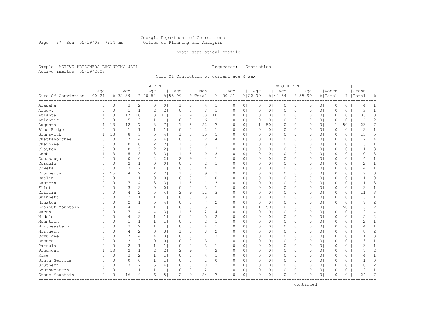#### Georgia Department of Corrections Page 27 Run 05/19/03 7:54 am Office of Planning and Analysis

## Inmate statistical profile

Sample: ACTIVE PRISONERS EXCLUDING JAIL **Requestor:** Statistics Active inmates 05/19/2003

Circ Of Conviction by current age & sex

| Age<br>Age<br>  Grand<br>Age<br>Age<br>Aqe<br>Men<br>Age<br>Age<br>Age<br>  Women<br>$100 - 21$<br>$8122 - 39$<br>$8140 - 54$<br>$8155 - 99$<br>$8100 - 21$<br>$8122 - 39$<br>$8140 - 54$<br>$8155 - 99$<br>Circ Of Conviction<br>% Total<br>% Total<br>%   Total<br>옹<br>Alapaha<br>0<br>0 <sub>1</sub><br>3<br>2 <sub>1</sub><br>$\circ$<br>0 <sub>1</sub><br>$\mathbf{1}$<br>5 <sub>1</sub><br>1 <sup>1</sup><br>$\circ$<br>0 <sub>1</sub><br>$\circ$<br>0 <sub>1</sub><br>$\circ$<br>0 <sub>1</sub><br>0<br>0 <sub>1</sub><br>$\circ$<br>$\circ$<br>$\mathbf{1}$<br>4<br>4<br>$\overline{c}$<br>2 <sub>1</sub><br>$\mathbf{1}$<br>1 <sub>1</sub><br>$\circ$<br>0 <sub>1</sub><br>3<br>$\mathbf{1}$<br>0 <sub>1</sub><br>0 <sub>1</sub><br>3<br>$\mathbf{1}$<br>Alcovy<br>0<br>0 <sup>1</sup><br>$\circ$<br>0 <sub>1</sub><br>$\circ$<br>0 <sub>1</sub><br>$\circ$<br>0<br>$\circ$<br>0<br>Atlanta<br>131<br>17<br>101<br>13<br>$\overline{2}$<br>9 <sub>1</sub><br>33<br>10<br>0 <sub>1</sub><br>33<br>10<br>11<br>$\Omega$<br>0 <sub>1</sub><br>$\circ$<br>0 <sub>1</sub><br>$\circ$<br>0 <sub>1</sub><br>$\Omega$<br>$\Omega$<br>$\circ$<br>1<br>$\overline{c}$<br>Atlantic<br>0 <sub>1</sub><br>3 <sup>1</sup><br>$\mathbf{1}$<br>0 <sub>1</sub><br>$\overline{c}$<br>0 <sub>1</sub><br>6<br>$\Omega$<br>5<br>1 <sub>1</sub><br>$\Omega$<br>6<br>$\Omega$<br>$\circ$<br>0 <sub>1</sub><br>$\Omega$<br>0 <sub>1</sub><br>0<br>$\circ$<br>$\circ$<br>0<br>7<br>7 <sub>1</sub><br>23<br>Augusta<br>131<br>12<br>71<br>8<br>5 <sub>1</sub><br>22<br>7<br>1<br>501<br>0 <sub>1</sub><br>$\Omega$<br>0 <sub>1</sub><br>1<br>50<br>1<br>1<br>$\Omega$<br>$\circ$<br>0<br>2<br>$\mathbf{1}$<br>2<br>Blue Ridge<br>0 <sub>1</sub><br>1 <sup>1</sup><br>$\mathbf{1}$<br>1 <sub>1</sub><br>0 <sub>1</sub><br>0 <sub>1</sub><br>$\circ$<br>0 <sub>1</sub><br>0 <sub>1</sub><br>0<br>0 <sup>1</sup><br>$\circ$<br>0<br>$\mathbf{1}$<br>0<br>1<br>$\circ$<br>$\circ$<br>$\circ$<br>5<br>5<br>15<br>$5-1$<br>15<br>Brunswick<br>131<br>8<br>5 <sub>1</sub><br>$\mathbf{1}$<br>5 <sub>1</sub><br>$\Omega$<br>0 <sub>1</sub><br>0 <sub>1</sub><br>0 <sub>1</sub><br>$\mathbf{0}$<br>$\circ$<br>$\mathbf{1}$<br>4  <br>$\circ$<br>0 <sub>1</sub><br>$\circ$<br>$\Omega$<br>5<br>Chattahoochee<br>0 <sub>1</sub><br>12<br>12<br>0<br>0 <sub>1</sub><br>7<br>4 <sup>1</sup><br>4  <br>$\circ$<br>4<br>$\circ$<br>0 <sub>1</sub><br>$\circ$<br>$\circ$<br>0 <sub>1</sub><br>0 <sub>1</sub><br>$\circ$<br>0<br>4<br>01<br>0<br>Cherokee<br>$\overline{c}$<br>3<br>3<br>0 <sup>1</sup><br>0<br>0 <sub>1</sub><br>2 <sub>1</sub><br>$\mathbf{1}$<br>5 <sub>1</sub><br>1 <sup>1</sup><br>0 <sub>1</sub><br>$\circ$<br>0<br>$\mathbf{1}$<br>0<br>$\circ$<br>0 <sub>1</sub><br>$\circ$<br>0 <sub>1</sub><br>$\circ$<br>0 <sub>1</sub><br>0<br>$\overline{c}$<br>2 <sub>1</sub><br>3<br>Clayton<br>8<br>51<br>51<br>3<br>0 <sub>1</sub><br>$\mathbf{0}$<br>$\Omega$<br>0 <sup>1</sup><br>1<br>11<br>$\Omega$<br>0 <sub>1</sub><br>$\circ$<br>0 <sub>1</sub><br>$\circ$<br>0 <sub>1</sub><br>$\Omega$<br>$\circ$<br>11<br>3<br>3<br>Cobb<br>5<br>31<br>51<br>10<br>10<br>1<br>131<br>3 <br>$\mathbf{1}$<br>3<br>$\Omega$<br>$\Omega$<br>$\circ$<br>0 <sub>1</sub><br>$\circ$<br>0 <sub>1</sub><br>0<br>0 <sub>1</sub><br>$\Omega$<br>0<br>$\overline{c}$<br>2 <sub>1</sub><br>$\overline{2}$<br>9 <sub>1</sub><br>0<br>0 <sub>1</sub><br>0<br>0 <sub>1</sub><br>$\mathbf{1}$<br>0 <sub>1</sub><br>$\circ$<br>0 <sub>1</sub><br>0 <sub>1</sub><br>$\Omega$<br>0 <sub>1</sub><br>$\circ$<br>0<br>$\mathbf{1}$<br>Conasauga<br>4<br>$\Omega$<br>0<br>4<br>Cordele<br>$\overline{c}$<br>$\circ$<br>0 <sub>1</sub><br>$\overline{2}$<br>0 <sub>1</sub><br>1 <sup>1</sup><br>0 <sub>1</sub><br>$\circ$<br>2<br>$\mathbf{1}$<br>0 <sub>1</sub><br>0 <sub>1</sub><br>0 <sub>1</sub><br>$\circ$<br>0<br>$\mathbf{1}$<br>$\Omega$<br>$\Omega$<br>$\circ$<br>0 <sub>1</sub><br>$\Omega$<br>0<br>$\mathbf{1}$<br>3<br>2 <sub>1</sub><br>$\mathbf{1}$<br>$\mathbf{1}$<br>0 <sub>1</sub><br>$\Omega$<br>Coweta<br>$\Omega$<br>0 <sup>1</sup><br>1 <br>$\Omega$<br>0 <sub>1</sub><br>4<br>$\circ$<br>0 <sub>1</sub><br>$\circ$<br>0 <sub>1</sub><br>$\circ$<br>0 <sub>1</sub><br>$\Omega$<br>0<br>4<br>3<br>Dougherty<br>$\overline{2}$<br>251<br>$\overline{2}$<br>2 <sub>1</sub><br>3<br>9<br>$\overline{4}$<br>2 <sub>1</sub><br>$\mathbf{1}$<br>5 <br>9<br>0 <sub>1</sub><br>$\circ$<br>0 <sub>1</sub><br>0 <sub>1</sub><br>$\circ$<br>$\Omega$<br>0 <sub>1</sub><br>0<br>0<br>0<br>Dublin<br>0<br>0 <sup>1</sup><br>$\circ$<br>0 <sub>1</sub><br>$\Omega$<br>0 <sub>1</sub><br>0 <sup>1</sup><br>$\Omega$<br>$\Omega$<br>1<br>1 <sub>1</sub><br>$\mathbf{1}$<br>0<br>$\Omega$<br>0 <sub>1</sub><br>$\circ$<br>0 <sub>1</sub><br>$\Omega$<br>0 <sub>1</sub><br>$\Omega$<br>$\Omega$<br>$\overline{7}$<br>3<br>3<br>3 <sub>1</sub><br>$\mathbf{1}$<br>51<br>11<br>3<br>0 <sub>1</sub><br>$\Omega$<br>11<br>Eastern<br>$\Omega$<br>0<br>4 <sup>1</sup><br>$\Omega$<br>$\Omega$<br>$\circ$<br>0 <sup>1</sup><br>$\circ$<br>0 <sub>1</sub><br>0<br>$\circ$<br>Flint<br>3<br>3<br>3<br>2 <sub>1</sub><br>$\circ$<br>0  <br>$\circ$<br>0 <sub>1</sub><br>$\mathbf{1}$<br>$\circ$<br>0 <sub>1</sub><br>0 <sub>1</sub><br>0<br>0 <sub>1</sub><br>$\circ$<br>0<br>1<br>0<br>01<br>0<br>$\circ$<br>0<br>Griffin<br>2 <sub>1</sub><br>5<br>3<br>3<br>4<br>2<br>9 <sub>1</sub><br>11<br>0 <sub>1</sub><br>0 <sub>1</sub><br>0 <sup>1</sup><br>$\circ$<br>11<br>0<br>0 <sub>1</sub><br>4  <br>0<br>0<br>01<br>0<br>0<br>0<br>$\overline{c}$<br>3<br>$\mathbf{1}$<br>Gwinnett<br>1 <sub>1</sub><br>$\mathbf{1}$<br>$\circ$<br>0 <sub>1</sub><br>3<br>$\mathbf{1}$<br>0 <sub>1</sub><br>0 <sub>1</sub><br>$\mathbf{0}$<br>$\circ$<br>$\Omega$<br>0 <sub>1</sub><br>1 <sub>1</sub><br>$\Omega$<br>$\circ$<br>0 <sub>1</sub><br>$\Omega$<br>0 <sub>1</sub><br>0<br>$\overline{c}$<br>5<br>7<br>$\overline{c}$<br>1 <br>$\Omega$<br>$\overline{2}$<br>0 <sub>1</sub><br>$\mathbf{0}$<br>7<br>Houston<br>$\Omega$<br>0 <sup>1</sup><br>4  <br>0 <sub>1</sub><br>$\circ$<br>0 <sub>1</sub><br>$\circ$<br>0 <sub>1</sub><br>$\circ$<br>0 <sub>1</sub><br>0<br>0<br>$\overline{c}$<br>$\overline{4}$<br>Lookout Mountain<br>$\Omega$<br>2 <sub>1</sub><br>$\mathbf 1$<br>1 <sub>1</sub><br>$\circ$<br>0 <sub>1</sub><br>5<br>$\overline{2}$<br>0 <sub>1</sub><br>1<br>501<br>0 <sub>1</sub><br>0 <sup>1</sup><br>1<br>50<br>6<br>0 <sup>1</sup><br>$\Omega$<br>$\circ$<br>0<br>12<br>3 <sub>1</sub><br>1<br>5 <sub>1</sub><br>0 <sub>1</sub><br>$\mathbf{0}$<br>$\circ$<br>12<br>4<br>$\Omega$<br>0<br>4 <sub>1</sub><br>$\overline{4}$<br>$\Omega$<br>$\circ$<br>$\circ$<br>0 <sup>1</sup><br>$\Omega$<br>0 <sub>1</sub><br>0<br>Macon<br>4<br>Middle<br>5<br>$\overline{c}$<br>5<br>2<br>01<br>$\overline{4}$<br>2 <sub>1</sub><br>1<br>1 <sub>1</sub><br>$\circ$<br>0 <sub>1</sub><br>$\circ$<br>$\circ$<br>$\circ$<br>0 <sup>1</sup><br>0 <sub>1</sub><br>$\Omega$<br>0 <sub>1</sub><br>$\circ$<br>$\circ$<br>O<br>0<br>2<br>$\mathbf{1}$<br>Mountain<br>1<br>1 <sub>1</sub><br>$\mathbf{1}$<br>1 <sub>1</sub><br>0 <sub>1</sub><br>2<br>$\mathbf{1}$<br>0 <sub>1</sub><br>0 <sub>1</sub><br>0 <sub>1</sub><br>$\circ$<br>0<br>0<br>0 <sub>1</sub><br>0<br>0<br>0<br>0 <sub>1</sub><br>0<br>0<br>2 <sub>1</sub><br>Northeastern<br>0 <sub>1</sub><br>3<br>$\mathbf{1}$<br>0 <sub>1</sub><br>$\mathbf{1}$<br>0 <sub>1</sub><br>0 <sub>1</sub><br>0 <sub>1</sub><br>$\mathbf{0}$<br>$\circ$<br>1<br>$\Omega$<br>1 <sub>1</sub><br>$\circ$<br>4<br>$\Omega$<br>$\circ$<br>0 <sub>1</sub><br>$\Omega$<br>0<br>4<br>$\overline{c}$<br>$\overline{2}$<br>Northern<br>$\overline{4}$<br>2 <sub>1</sub><br>3<br>3 <sub>1</sub><br>$\mathbf{1}$<br>5 <sub>1</sub><br>8<br>0 <sub>1</sub><br>$\mathbf{0}$<br>8<br>$\Omega$<br>0 <sub>1</sub><br>$\Omega$<br>0 <sub>1</sub><br>$\circ$<br>0 <sub>1</sub><br>$\circ$<br>0 <sub>1</sub><br>$\Omega$<br>0<br>3<br>Ocmulgee<br>7<br>3 <sub>1</sub><br>3<br>$\Omega$<br>0 <sub>1</sub><br>4 <br>$\circ$<br>0 <sub>1</sub><br>11<br>0 <sub>1</sub><br>$\circ$<br>0 <sub>1</sub><br>0 <sub>1</sub><br>$\circ$<br>11<br>4<br>0<br>0 <sub>1</sub><br>0<br>0<br>0<br>3<br>Oconee<br>3<br>2 <sub>1</sub><br>0 <sub>1</sub><br>0 <sup>1</sup><br>3<br>0 <sub>1</sub><br>0 <sub>1</sub><br>$\circ$<br>1<br>$\Omega$<br>0 <sub>1</sub><br>0<br>$\circ$<br>$\mathbf{1}$<br>$\Omega$<br>$\circ$<br>$\circ$<br>0 <sub>1</sub><br>0<br>0<br>$\circ$<br>$\overline{c}$<br>Pataula<br>$\mathcal{R}$<br>3<br>$\mathbf{1}$<br>$\Omega$<br>0<br>1 <sub>1</sub><br>$\mathbf 1$<br>1 <sub>1</sub><br>$\Omega$<br>0 <sup>1</sup><br>$\mathbf{1}$<br>$\Omega$<br>$\Omega$<br>$\circ$<br>0 <sub>1</sub><br>$\circ$<br>0 <sub>1</sub><br>$\Omega$<br>0 <sub>1</sub><br>$\Omega$<br>$\Omega$<br>$\overline{c}$<br>Piedmont<br>$\overline{c}$<br>$\overline{c}$<br>2 <sub>1</sub><br>$\overline{c}$<br>9 <sub>1</sub><br>$\mathbf{2}^{\prime}$<br>131<br>1 <sub>1</sub><br>7<br>0 <sub>1</sub><br>$\circ$<br>0 <sub>1</sub><br>0 <sub>1</sub><br>$\Omega$<br>0 <sub>1</sub><br>$\circ$<br>0<br>7<br>1<br>0<br>0<br>0 <sub>1</sub><br>3<br>2 <sub>1</sub><br>$\mathbf 1$<br>0 <sub>1</sub><br>$\mathbf{1}$<br>0 <sub>1</sub><br>0 <sub>1</sub><br>$\circ$<br>0<br>1<br>$\Omega$<br>1 <sub>1</sub><br>$\circ$<br>4<br>$\circ$<br>0 <sub>1</sub><br>$\circ$<br>0 <sub>1</sub><br>$\circ$<br>0<br>4<br>Rome<br>0<br>South Georgia<br>$\circ$<br>0 <sub>1</sub><br>$\mathbf{1}$<br>1 <sub>1</sub><br>$\Omega$<br>0 <sub>1</sub><br>$\mathbf{1}$<br>0<br>0 <sub>1</sub><br>$\circ$<br>$\circ$<br>0 <sub>1</sub><br>$\mathbf{0}$<br>$\circ$<br>$\mathbf{1}$<br>$\Omega$<br>0 <sub>1</sub><br>$\Omega$<br>0 <sub>1</sub><br>0 <sub>1</sub><br>$\Omega$<br>$\overline{c}$<br>Southern<br>3<br>2 <sub>1</sub><br>5<br>8<br>$\mathbf{2}^{\prime}$<br>8<br>0<br>0 <sub>1</sub><br>4  <br>$\Omega$<br>0 <sub>1</sub><br>0 <sub>1</sub><br>0 <sub>1</sub><br>0 <sub>1</sub><br>$\circ$<br>0<br>$\Omega$<br>0<br>0 <sub>1</sub><br>0<br>0<br>Southwestern<br>0 <sup>1</sup><br>2<br>$\circ$<br>2<br>$\mathbf{1}$<br>0<br>0 <sub>1</sub><br>1<br>1 <sub>1</sub><br>1<br>1 <sub>1</sub><br>0<br>$\mathbf{1}$<br>$\Omega$<br>0 <sub>1</sub><br>01<br>0<br>0 <sub>1</sub><br>0 <sub>1</sub><br>0<br>0<br>0<br>7<br>5 <sub>1</sub><br>$\Omega$<br>16<br>91<br>6<br>2<br>9 <sub>1</sub><br>24<br>7 <sub>1</sub><br>$\Omega$<br>$\Omega$<br>0 <sub>1</sub><br>$\Omega$<br>0 <sup>1</sup><br>0 <sup>1</sup><br>$\Omega$<br>$\Omega$<br>24<br>Stone Mountain<br>01<br>$\Omega$<br>O |  |  | M E N |  |  |  |  | <b>WOMEN</b> |  |  |  |  |
|----------------------------------------------------------------------------------------------------------------------------------------------------------------------------------------------------------------------------------------------------------------------------------------------------------------------------------------------------------------------------------------------------------------------------------------------------------------------------------------------------------------------------------------------------------------------------------------------------------------------------------------------------------------------------------------------------------------------------------------------------------------------------------------------------------------------------------------------------------------------------------------------------------------------------------------------------------------------------------------------------------------------------------------------------------------------------------------------------------------------------------------------------------------------------------------------------------------------------------------------------------------------------------------------------------------------------------------------------------------------------------------------------------------------------------------------------------------------------------------------------------------------------------------------------------------------------------------------------------------------------------------------------------------------------------------------------------------------------------------------------------------------------------------------------------------------------------------------------------------------------------------------------------------------------------------------------------------------------------------------------------------------------------------------------------------------------------------------------------------------------------------------------------------------------------------------------------------------------------------------------------------------------------------------------------------------------------------------------------------------------------------------------------------------------------------------------------------------------------------------------------------------------------------------------------------------------------------------------------------------------------------------------------------------------------------------------------------------------------------------------------------------------------------------------------------------------------------------------------------------------------------------------------------------------------------------------------------------------------------------------------------------------------------------------------------------------------------------------------------------------------------------------------------------------------------------------------------------------------------------------------------------------------------------------------------------------------------------------------------------------------------------------------------------------------------------------------------------------------------------------------------------------------------------------------------------------------------------------------------------------------------------------------------------------------------------------------------------------------------------------------------------------------------------------------------------------------------------------------------------------------------------------------------------------------------------------------------------------------------------------------------------------------------------------------------------------------------------------------------------------------------------------------------------------------------------------------------------------------------------------------------------------------------------------------------------------------------------------------------------------------------------------------------------------------------------------------------------------------------------------------------------------------------------------------------------------------------------------------------------------------------------------------------------------------------------------------------------------------------------------------------------------------------------------------------------------------------------------------------------------------------------------------------------------------------------------------------------------------------------------------------------------------------------------------------------------------------------------------------------------------------------------------------------------------------------------------------------------------------------------------------------------------------------------------------------------------------------------------------------------------------------------------------------------------------------------------------------------------------------------------------------------------------------------------------------------------------------------------------------------------------------------------------------------------------------------------------------------------------------------------------------------------------------------------------------------------------------------------------------------------------------------------------------------------------------------------------------------------------------------------------------------------------------------------------------------------------------------------------------------------------------------------------------------------------------------------------------------------------------------------------------------------------------------------------------------------------------------------------------------------------------------------------------------------------------------------------------------------------------------------------------------------------------------------------------------------------------------------------------------------------------------------------------------------------------------------------------------------------------------------------------------------------------------------------------------------------------------------------------------------------------------------------------------------------------------------------------------------------------------------------------------------------------------------------------------------------------------------------------------------------------------------------------------------------------------------------------------------------------------------------------------------------------------------------------------------------------------------------------------------------------------------------------------------------------------------------------------------------------------------------------------------------------------------------------------------------------------------------------------------------------------------------------------------------------------------------------------------------------------------------------------------------------------------------------------------------------------------------------------------------------------------------------------------------------------------------------------------------------------------------------------------------------------------------------------------------------------------------------------------------------------------------------------------------------------------------------------------------------------------------------------------------------------------------------------------------------------------------------------------------------------------------------------------------------------------------------------------------------------------------------------------------------------------------------------------------------------------------------------------------------------------------------------------------------------------------------------------------------------------------------------------------------------------------------------------------------------------------------------------------------------------------------------------------------------------------------------------------------------------------------------------------------------------------------------------------------------------------------------------------------------------------------------------------------------------------------------------------------------------------------------------------------------------------------------------------------------------------------------------------------------------------------------------------------------------------------------------------------------------------------------------------------------------------------------------------------------------------------------------------------------------------------------------------------------------------------------------------------------------------------------------------------------------------------------------------------------------------------------------------------------------------------------------------------------------------------------------------------------------------------------------------------------------------------------------------------------------------------------------------------------------------------------------------------------------------------------------------------------------------------------------------------------------------------------------------------------------------------------------------------------------------------------------------------------------------------------------------------------------------------------------------------------------------------------------------------------------------|--|--|-------|--|--|--|--|--------------|--|--|--|--|
|                                                                                                                                                                                                                                                                                                                                                                                                                                                                                                                                                                                                                                                                                                                                                                                                                                                                                                                                                                                                                                                                                                                                                                                                                                                                                                                                                                                                                                                                                                                                                                                                                                                                                                                                                                                                                                                                                                                                                                                                                                                                                                                                                                                                                                                                                                                                                                                                                                                                                                                                                                                                                                                                                                                                                                                                                                                                                                                                                                                                                                                                                                                                                                                                                                                                                                                                                                                                                                                                                                                                                                                                                                                                                                                                                                                                                                                                                                                                                                                                                                                                                                                                                                                                                                                                                                                                                                                                                                                                                                                                                                                                                                                                                                                                                                                                                                                                                                                                                                                                                                                                                                                                                                                                                                                                                                                                                                                                                                                                                                                                                                                                                                                                                                                                                                                                                                                                                                                                                                                                                                                                                                                                                                                                                                                                                                                                                                                                                                                                                                                                                                                                                                                                                                                                                                                                                                                                                                                                                                                                                                                                                                                                                                                                                                                                                                                                                                                                                                                                                                                                                                                                                                                                                                                                                                                                                                                                                                                                                                                                                                                                                                                                                                                                                                                                                                                                                                                                                                                                                                                                                                                                                                                                                                                                                                                                                                                                                                                                                                                                                                                                                                                                                                                                                                                                                                                                                                                                                                                                                                                                                                                                                                                                                                                                                                                                                                                                                                                                                                                                                                                                                                                                                                                                                                                                                                                                                                                                                                                                                                                                                                                                                |  |  |       |  |  |  |  |              |  |  |  |  |
|                                                                                                                                                                                                                                                                                                                                                                                                                                                                                                                                                                                                                                                                                                                                                                                                                                                                                                                                                                                                                                                                                                                                                                                                                                                                                                                                                                                                                                                                                                                                                                                                                                                                                                                                                                                                                                                                                                                                                                                                                                                                                                                                                                                                                                                                                                                                                                                                                                                                                                                                                                                                                                                                                                                                                                                                                                                                                                                                                                                                                                                                                                                                                                                                                                                                                                                                                                                                                                                                                                                                                                                                                                                                                                                                                                                                                                                                                                                                                                                                                                                                                                                                                                                                                                                                                                                                                                                                                                                                                                                                                                                                                                                                                                                                                                                                                                                                                                                                                                                                                                                                                                                                                                                                                                                                                                                                                                                                                                                                                                                                                                                                                                                                                                                                                                                                                                                                                                                                                                                                                                                                                                                                                                                                                                                                                                                                                                                                                                                                                                                                                                                                                                                                                                                                                                                                                                                                                                                                                                                                                                                                                                                                                                                                                                                                                                                                                                                                                                                                                                                                                                                                                                                                                                                                                                                                                                                                                                                                                                                                                                                                                                                                                                                                                                                                                                                                                                                                                                                                                                                                                                                                                                                                                                                                                                                                                                                                                                                                                                                                                                                                                                                                                                                                                                                                                                                                                                                                                                                                                                                                                                                                                                                                                                                                                                                                                                                                                                                                                                                                                                                                                                                                                                                                                                                                                                                                                                                                                                                                                                                                                                                                                |  |  |       |  |  |  |  |              |  |  |  |  |
|                                                                                                                                                                                                                                                                                                                                                                                                                                                                                                                                                                                                                                                                                                                                                                                                                                                                                                                                                                                                                                                                                                                                                                                                                                                                                                                                                                                                                                                                                                                                                                                                                                                                                                                                                                                                                                                                                                                                                                                                                                                                                                                                                                                                                                                                                                                                                                                                                                                                                                                                                                                                                                                                                                                                                                                                                                                                                                                                                                                                                                                                                                                                                                                                                                                                                                                                                                                                                                                                                                                                                                                                                                                                                                                                                                                                                                                                                                                                                                                                                                                                                                                                                                                                                                                                                                                                                                                                                                                                                                                                                                                                                                                                                                                                                                                                                                                                                                                                                                                                                                                                                                                                                                                                                                                                                                                                                                                                                                                                                                                                                                                                                                                                                                                                                                                                                                                                                                                                                                                                                                                                                                                                                                                                                                                                                                                                                                                                                                                                                                                                                                                                                                                                                                                                                                                                                                                                                                                                                                                                                                                                                                                                                                                                                                                                                                                                                                                                                                                                                                                                                                                                                                                                                                                                                                                                                                                                                                                                                                                                                                                                                                                                                                                                                                                                                                                                                                                                                                                                                                                                                                                                                                                                                                                                                                                                                                                                                                                                                                                                                                                                                                                                                                                                                                                                                                                                                                                                                                                                                                                                                                                                                                                                                                                                                                                                                                                                                                                                                                                                                                                                                                                                                                                                                                                                                                                                                                                                                                                                                                                                                                                                                |  |  |       |  |  |  |  |              |  |  |  |  |
|                                                                                                                                                                                                                                                                                                                                                                                                                                                                                                                                                                                                                                                                                                                                                                                                                                                                                                                                                                                                                                                                                                                                                                                                                                                                                                                                                                                                                                                                                                                                                                                                                                                                                                                                                                                                                                                                                                                                                                                                                                                                                                                                                                                                                                                                                                                                                                                                                                                                                                                                                                                                                                                                                                                                                                                                                                                                                                                                                                                                                                                                                                                                                                                                                                                                                                                                                                                                                                                                                                                                                                                                                                                                                                                                                                                                                                                                                                                                                                                                                                                                                                                                                                                                                                                                                                                                                                                                                                                                                                                                                                                                                                                                                                                                                                                                                                                                                                                                                                                                                                                                                                                                                                                                                                                                                                                                                                                                                                                                                                                                                                                                                                                                                                                                                                                                                                                                                                                                                                                                                                                                                                                                                                                                                                                                                                                                                                                                                                                                                                                                                                                                                                                                                                                                                                                                                                                                                                                                                                                                                                                                                                                                                                                                                                                                                                                                                                                                                                                                                                                                                                                                                                                                                                                                                                                                                                                                                                                                                                                                                                                                                                                                                                                                                                                                                                                                                                                                                                                                                                                                                                                                                                                                                                                                                                                                                                                                                                                                                                                                                                                                                                                                                                                                                                                                                                                                                                                                                                                                                                                                                                                                                                                                                                                                                                                                                                                                                                                                                                                                                                                                                                                                                                                                                                                                                                                                                                                                                                                                                                                                                                                                                |  |  |       |  |  |  |  |              |  |  |  |  |
|                                                                                                                                                                                                                                                                                                                                                                                                                                                                                                                                                                                                                                                                                                                                                                                                                                                                                                                                                                                                                                                                                                                                                                                                                                                                                                                                                                                                                                                                                                                                                                                                                                                                                                                                                                                                                                                                                                                                                                                                                                                                                                                                                                                                                                                                                                                                                                                                                                                                                                                                                                                                                                                                                                                                                                                                                                                                                                                                                                                                                                                                                                                                                                                                                                                                                                                                                                                                                                                                                                                                                                                                                                                                                                                                                                                                                                                                                                                                                                                                                                                                                                                                                                                                                                                                                                                                                                                                                                                                                                                                                                                                                                                                                                                                                                                                                                                                                                                                                                                                                                                                                                                                                                                                                                                                                                                                                                                                                                                                                                                                                                                                                                                                                                                                                                                                                                                                                                                                                                                                                                                                                                                                                                                                                                                                                                                                                                                                                                                                                                                                                                                                                                                                                                                                                                                                                                                                                                                                                                                                                                                                                                                                                                                                                                                                                                                                                                                                                                                                                                                                                                                                                                                                                                                                                                                                                                                                                                                                                                                                                                                                                                                                                                                                                                                                                                                                                                                                                                                                                                                                                                                                                                                                                                                                                                                                                                                                                                                                                                                                                                                                                                                                                                                                                                                                                                                                                                                                                                                                                                                                                                                                                                                                                                                                                                                                                                                                                                                                                                                                                                                                                                                                                                                                                                                                                                                                                                                                                                                                                                                                                                                                                |  |  |       |  |  |  |  |              |  |  |  |  |
|                                                                                                                                                                                                                                                                                                                                                                                                                                                                                                                                                                                                                                                                                                                                                                                                                                                                                                                                                                                                                                                                                                                                                                                                                                                                                                                                                                                                                                                                                                                                                                                                                                                                                                                                                                                                                                                                                                                                                                                                                                                                                                                                                                                                                                                                                                                                                                                                                                                                                                                                                                                                                                                                                                                                                                                                                                                                                                                                                                                                                                                                                                                                                                                                                                                                                                                                                                                                                                                                                                                                                                                                                                                                                                                                                                                                                                                                                                                                                                                                                                                                                                                                                                                                                                                                                                                                                                                                                                                                                                                                                                                                                                                                                                                                                                                                                                                                                                                                                                                                                                                                                                                                                                                                                                                                                                                                                                                                                                                                                                                                                                                                                                                                                                                                                                                                                                                                                                                                                                                                                                                                                                                                                                                                                                                                                                                                                                                                                                                                                                                                                                                                                                                                                                                                                                                                                                                                                                                                                                                                                                                                                                                                                                                                                                                                                                                                                                                                                                                                                                                                                                                                                                                                                                                                                                                                                                                                                                                                                                                                                                                                                                                                                                                                                                                                                                                                                                                                                                                                                                                                                                                                                                                                                                                                                                                                                                                                                                                                                                                                                                                                                                                                                                                                                                                                                                                                                                                                                                                                                                                                                                                                                                                                                                                                                                                                                                                                                                                                                                                                                                                                                                                                                                                                                                                                                                                                                                                                                                                                                                                                                                                                                |  |  |       |  |  |  |  |              |  |  |  |  |
|                                                                                                                                                                                                                                                                                                                                                                                                                                                                                                                                                                                                                                                                                                                                                                                                                                                                                                                                                                                                                                                                                                                                                                                                                                                                                                                                                                                                                                                                                                                                                                                                                                                                                                                                                                                                                                                                                                                                                                                                                                                                                                                                                                                                                                                                                                                                                                                                                                                                                                                                                                                                                                                                                                                                                                                                                                                                                                                                                                                                                                                                                                                                                                                                                                                                                                                                                                                                                                                                                                                                                                                                                                                                                                                                                                                                                                                                                                                                                                                                                                                                                                                                                                                                                                                                                                                                                                                                                                                                                                                                                                                                                                                                                                                                                                                                                                                                                                                                                                                                                                                                                                                                                                                                                                                                                                                                                                                                                                                                                                                                                                                                                                                                                                                                                                                                                                                                                                                                                                                                                                                                                                                                                                                                                                                                                                                                                                                                                                                                                                                                                                                                                                                                                                                                                                                                                                                                                                                                                                                                                                                                                                                                                                                                                                                                                                                                                                                                                                                                                                                                                                                                                                                                                                                                                                                                                                                                                                                                                                                                                                                                                                                                                                                                                                                                                                                                                                                                                                                                                                                                                                                                                                                                                                                                                                                                                                                                                                                                                                                                                                                                                                                                                                                                                                                                                                                                                                                                                                                                                                                                                                                                                                                                                                                                                                                                                                                                                                                                                                                                                                                                                                                                                                                                                                                                                                                                                                                                                                                                                                                                                                                                                |  |  |       |  |  |  |  |              |  |  |  |  |
|                                                                                                                                                                                                                                                                                                                                                                                                                                                                                                                                                                                                                                                                                                                                                                                                                                                                                                                                                                                                                                                                                                                                                                                                                                                                                                                                                                                                                                                                                                                                                                                                                                                                                                                                                                                                                                                                                                                                                                                                                                                                                                                                                                                                                                                                                                                                                                                                                                                                                                                                                                                                                                                                                                                                                                                                                                                                                                                                                                                                                                                                                                                                                                                                                                                                                                                                                                                                                                                                                                                                                                                                                                                                                                                                                                                                                                                                                                                                                                                                                                                                                                                                                                                                                                                                                                                                                                                                                                                                                                                                                                                                                                                                                                                                                                                                                                                                                                                                                                                                                                                                                                                                                                                                                                                                                                                                                                                                                                                                                                                                                                                                                                                                                                                                                                                                                                                                                                                                                                                                                                                                                                                                                                                                                                                                                                                                                                                                                                                                                                                                                                                                                                                                                                                                                                                                                                                                                                                                                                                                                                                                                                                                                                                                                                                                                                                                                                                                                                                                                                                                                                                                                                                                                                                                                                                                                                                                                                                                                                                                                                                                                                                                                                                                                                                                                                                                                                                                                                                                                                                                                                                                                                                                                                                                                                                                                                                                                                                                                                                                                                                                                                                                                                                                                                                                                                                                                                                                                                                                                                                                                                                                                                                                                                                                                                                                                                                                                                                                                                                                                                                                                                                                                                                                                                                                                                                                                                                                                                                                                                                                                                                                                |  |  |       |  |  |  |  |              |  |  |  |  |
|                                                                                                                                                                                                                                                                                                                                                                                                                                                                                                                                                                                                                                                                                                                                                                                                                                                                                                                                                                                                                                                                                                                                                                                                                                                                                                                                                                                                                                                                                                                                                                                                                                                                                                                                                                                                                                                                                                                                                                                                                                                                                                                                                                                                                                                                                                                                                                                                                                                                                                                                                                                                                                                                                                                                                                                                                                                                                                                                                                                                                                                                                                                                                                                                                                                                                                                                                                                                                                                                                                                                                                                                                                                                                                                                                                                                                                                                                                                                                                                                                                                                                                                                                                                                                                                                                                                                                                                                                                                                                                                                                                                                                                                                                                                                                                                                                                                                                                                                                                                                                                                                                                                                                                                                                                                                                                                                                                                                                                                                                                                                                                                                                                                                                                                                                                                                                                                                                                                                                                                                                                                                                                                                                                                                                                                                                                                                                                                                                                                                                                                                                                                                                                                                                                                                                                                                                                                                                                                                                                                                                                                                                                                                                                                                                                                                                                                                                                                                                                                                                                                                                                                                                                                                                                                                                                                                                                                                                                                                                                                                                                                                                                                                                                                                                                                                                                                                                                                                                                                                                                                                                                                                                                                                                                                                                                                                                                                                                                                                                                                                                                                                                                                                                                                                                                                                                                                                                                                                                                                                                                                                                                                                                                                                                                                                                                                                                                                                                                                                                                                                                                                                                                                                                                                                                                                                                                                                                                                                                                                                                                                                                                                                                |  |  |       |  |  |  |  |              |  |  |  |  |
|                                                                                                                                                                                                                                                                                                                                                                                                                                                                                                                                                                                                                                                                                                                                                                                                                                                                                                                                                                                                                                                                                                                                                                                                                                                                                                                                                                                                                                                                                                                                                                                                                                                                                                                                                                                                                                                                                                                                                                                                                                                                                                                                                                                                                                                                                                                                                                                                                                                                                                                                                                                                                                                                                                                                                                                                                                                                                                                                                                                                                                                                                                                                                                                                                                                                                                                                                                                                                                                                                                                                                                                                                                                                                                                                                                                                                                                                                                                                                                                                                                                                                                                                                                                                                                                                                                                                                                                                                                                                                                                                                                                                                                                                                                                                                                                                                                                                                                                                                                                                                                                                                                                                                                                                                                                                                                                                                                                                                                                                                                                                                                                                                                                                                                                                                                                                                                                                                                                                                                                                                                                                                                                                                                                                                                                                                                                                                                                                                                                                                                                                                                                                                                                                                                                                                                                                                                                                                                                                                                                                                                                                                                                                                                                                                                                                                                                                                                                                                                                                                                                                                                                                                                                                                                                                                                                                                                                                                                                                                                                                                                                                                                                                                                                                                                                                                                                                                                                                                                                                                                                                                                                                                                                                                                                                                                                                                                                                                                                                                                                                                                                                                                                                                                                                                                                                                                                                                                                                                                                                                                                                                                                                                                                                                                                                                                                                                                                                                                                                                                                                                                                                                                                                                                                                                                                                                                                                                                                                                                                                                                                                                                                                                |  |  |       |  |  |  |  |              |  |  |  |  |
|                                                                                                                                                                                                                                                                                                                                                                                                                                                                                                                                                                                                                                                                                                                                                                                                                                                                                                                                                                                                                                                                                                                                                                                                                                                                                                                                                                                                                                                                                                                                                                                                                                                                                                                                                                                                                                                                                                                                                                                                                                                                                                                                                                                                                                                                                                                                                                                                                                                                                                                                                                                                                                                                                                                                                                                                                                                                                                                                                                                                                                                                                                                                                                                                                                                                                                                                                                                                                                                                                                                                                                                                                                                                                                                                                                                                                                                                                                                                                                                                                                                                                                                                                                                                                                                                                                                                                                                                                                                                                                                                                                                                                                                                                                                                                                                                                                                                                                                                                                                                                                                                                                                                                                                                                                                                                                                                                                                                                                                                                                                                                                                                                                                                                                                                                                                                                                                                                                                                                                                                                                                                                                                                                                                                                                                                                                                                                                                                                                                                                                                                                                                                                                                                                                                                                                                                                                                                                                                                                                                                                                                                                                                                                                                                                                                                                                                                                                                                                                                                                                                                                                                                                                                                                                                                                                                                                                                                                                                                                                                                                                                                                                                                                                                                                                                                                                                                                                                                                                                                                                                                                                                                                                                                                                                                                                                                                                                                                                                                                                                                                                                                                                                                                                                                                                                                                                                                                                                                                                                                                                                                                                                                                                                                                                                                                                                                                                                                                                                                                                                                                                                                                                                                                                                                                                                                                                                                                                                                                                                                                                                                                                                                                |  |  |       |  |  |  |  |              |  |  |  |  |
|                                                                                                                                                                                                                                                                                                                                                                                                                                                                                                                                                                                                                                                                                                                                                                                                                                                                                                                                                                                                                                                                                                                                                                                                                                                                                                                                                                                                                                                                                                                                                                                                                                                                                                                                                                                                                                                                                                                                                                                                                                                                                                                                                                                                                                                                                                                                                                                                                                                                                                                                                                                                                                                                                                                                                                                                                                                                                                                                                                                                                                                                                                                                                                                                                                                                                                                                                                                                                                                                                                                                                                                                                                                                                                                                                                                                                                                                                                                                                                                                                                                                                                                                                                                                                                                                                                                                                                                                                                                                                                                                                                                                                                                                                                                                                                                                                                                                                                                                                                                                                                                                                                                                                                                                                                                                                                                                                                                                                                                                                                                                                                                                                                                                                                                                                                                                                                                                                                                                                                                                                                                                                                                                                                                                                                                                                                                                                                                                                                                                                                                                                                                                                                                                                                                                                                                                                                                                                                                                                                                                                                                                                                                                                                                                                                                                                                                                                                                                                                                                                                                                                                                                                                                                                                                                                                                                                                                                                                                                                                                                                                                                                                                                                                                                                                                                                                                                                                                                                                                                                                                                                                                                                                                                                                                                                                                                                                                                                                                                                                                                                                                                                                                                                                                                                                                                                                                                                                                                                                                                                                                                                                                                                                                                                                                                                                                                                                                                                                                                                                                                                                                                                                                                                                                                                                                                                                                                                                                                                                                                                                                                                                                                                |  |  |       |  |  |  |  |              |  |  |  |  |
|                                                                                                                                                                                                                                                                                                                                                                                                                                                                                                                                                                                                                                                                                                                                                                                                                                                                                                                                                                                                                                                                                                                                                                                                                                                                                                                                                                                                                                                                                                                                                                                                                                                                                                                                                                                                                                                                                                                                                                                                                                                                                                                                                                                                                                                                                                                                                                                                                                                                                                                                                                                                                                                                                                                                                                                                                                                                                                                                                                                                                                                                                                                                                                                                                                                                                                                                                                                                                                                                                                                                                                                                                                                                                                                                                                                                                                                                                                                                                                                                                                                                                                                                                                                                                                                                                                                                                                                                                                                                                                                                                                                                                                                                                                                                                                                                                                                                                                                                                                                                                                                                                                                                                                                                                                                                                                                                                                                                                                                                                                                                                                                                                                                                                                                                                                                                                                                                                                                                                                                                                                                                                                                                                                                                                                                                                                                                                                                                                                                                                                                                                                                                                                                                                                                                                                                                                                                                                                                                                                                                                                                                                                                                                                                                                                                                                                                                                                                                                                                                                                                                                                                                                                                                                                                                                                                                                                                                                                                                                                                                                                                                                                                                                                                                                                                                                                                                                                                                                                                                                                                                                                                                                                                                                                                                                                                                                                                                                                                                                                                                                                                                                                                                                                                                                                                                                                                                                                                                                                                                                                                                                                                                                                                                                                                                                                                                                                                                                                                                                                                                                                                                                                                                                                                                                                                                                                                                                                                                                                                                                                                                                                                                                |  |  |       |  |  |  |  |              |  |  |  |  |
|                                                                                                                                                                                                                                                                                                                                                                                                                                                                                                                                                                                                                                                                                                                                                                                                                                                                                                                                                                                                                                                                                                                                                                                                                                                                                                                                                                                                                                                                                                                                                                                                                                                                                                                                                                                                                                                                                                                                                                                                                                                                                                                                                                                                                                                                                                                                                                                                                                                                                                                                                                                                                                                                                                                                                                                                                                                                                                                                                                                                                                                                                                                                                                                                                                                                                                                                                                                                                                                                                                                                                                                                                                                                                                                                                                                                                                                                                                                                                                                                                                                                                                                                                                                                                                                                                                                                                                                                                                                                                                                                                                                                                                                                                                                                                                                                                                                                                                                                                                                                                                                                                                                                                                                                                                                                                                                                                                                                                                                                                                                                                                                                                                                                                                                                                                                                                                                                                                                                                                                                                                                                                                                                                                                                                                                                                                                                                                                                                                                                                                                                                                                                                                                                                                                                                                                                                                                                                                                                                                                                                                                                                                                                                                                                                                                                                                                                                                                                                                                                                                                                                                                                                                                                                                                                                                                                                                                                                                                                                                                                                                                                                                                                                                                                                                                                                                                                                                                                                                                                                                                                                                                                                                                                                                                                                                                                                                                                                                                                                                                                                                                                                                                                                                                                                                                                                                                                                                                                                                                                                                                                                                                                                                                                                                                                                                                                                                                                                                                                                                                                                                                                                                                                                                                                                                                                                                                                                                                                                                                                                                                                                                                                                |  |  |       |  |  |  |  |              |  |  |  |  |
|                                                                                                                                                                                                                                                                                                                                                                                                                                                                                                                                                                                                                                                                                                                                                                                                                                                                                                                                                                                                                                                                                                                                                                                                                                                                                                                                                                                                                                                                                                                                                                                                                                                                                                                                                                                                                                                                                                                                                                                                                                                                                                                                                                                                                                                                                                                                                                                                                                                                                                                                                                                                                                                                                                                                                                                                                                                                                                                                                                                                                                                                                                                                                                                                                                                                                                                                                                                                                                                                                                                                                                                                                                                                                                                                                                                                                                                                                                                                                                                                                                                                                                                                                                                                                                                                                                                                                                                                                                                                                                                                                                                                                                                                                                                                                                                                                                                                                                                                                                                                                                                                                                                                                                                                                                                                                                                                                                                                                                                                                                                                                                                                                                                                                                                                                                                                                                                                                                                                                                                                                                                                                                                                                                                                                                                                                                                                                                                                                                                                                                                                                                                                                                                                                                                                                                                                                                                                                                                                                                                                                                                                                                                                                                                                                                                                                                                                                                                                                                                                                                                                                                                                                                                                                                                                                                                                                                                                                                                                                                                                                                                                                                                                                                                                                                                                                                                                                                                                                                                                                                                                                                                                                                                                                                                                                                                                                                                                                                                                                                                                                                                                                                                                                                                                                                                                                                                                                                                                                                                                                                                                                                                                                                                                                                                                                                                                                                                                                                                                                                                                                                                                                                                                                                                                                                                                                                                                                                                                                                                                                                                                                                                                                |  |  |       |  |  |  |  |              |  |  |  |  |
|                                                                                                                                                                                                                                                                                                                                                                                                                                                                                                                                                                                                                                                                                                                                                                                                                                                                                                                                                                                                                                                                                                                                                                                                                                                                                                                                                                                                                                                                                                                                                                                                                                                                                                                                                                                                                                                                                                                                                                                                                                                                                                                                                                                                                                                                                                                                                                                                                                                                                                                                                                                                                                                                                                                                                                                                                                                                                                                                                                                                                                                                                                                                                                                                                                                                                                                                                                                                                                                                                                                                                                                                                                                                                                                                                                                                                                                                                                                                                                                                                                                                                                                                                                                                                                                                                                                                                                                                                                                                                                                                                                                                                                                                                                                                                                                                                                                                                                                                                                                                                                                                                                                                                                                                                                                                                                                                                                                                                                                                                                                                                                                                                                                                                                                                                                                                                                                                                                                                                                                                                                                                                                                                                                                                                                                                                                                                                                                                                                                                                                                                                                                                                                                                                                                                                                                                                                                                                                                                                                                                                                                                                                                                                                                                                                                                                                                                                                                                                                                                                                                                                                                                                                                                                                                                                                                                                                                                                                                                                                                                                                                                                                                                                                                                                                                                                                                                                                                                                                                                                                                                                                                                                                                                                                                                                                                                                                                                                                                                                                                                                                                                                                                                                                                                                                                                                                                                                                                                                                                                                                                                                                                                                                                                                                                                                                                                                                                                                                                                                                                                                                                                                                                                                                                                                                                                                                                                                                                                                                                                                                                                                                                                                |  |  |       |  |  |  |  |              |  |  |  |  |
|                                                                                                                                                                                                                                                                                                                                                                                                                                                                                                                                                                                                                                                                                                                                                                                                                                                                                                                                                                                                                                                                                                                                                                                                                                                                                                                                                                                                                                                                                                                                                                                                                                                                                                                                                                                                                                                                                                                                                                                                                                                                                                                                                                                                                                                                                                                                                                                                                                                                                                                                                                                                                                                                                                                                                                                                                                                                                                                                                                                                                                                                                                                                                                                                                                                                                                                                                                                                                                                                                                                                                                                                                                                                                                                                                                                                                                                                                                                                                                                                                                                                                                                                                                                                                                                                                                                                                                                                                                                                                                                                                                                                                                                                                                                                                                                                                                                                                                                                                                                                                                                                                                                                                                                                                                                                                                                                                                                                                                                                                                                                                                                                                                                                                                                                                                                                                                                                                                                                                                                                                                                                                                                                                                                                                                                                                                                                                                                                                                                                                                                                                                                                                                                                                                                                                                                                                                                                                                                                                                                                                                                                                                                                                                                                                                                                                                                                                                                                                                                                                                                                                                                                                                                                                                                                                                                                                                                                                                                                                                                                                                                                                                                                                                                                                                                                                                                                                                                                                                                                                                                                                                                                                                                                                                                                                                                                                                                                                                                                                                                                                                                                                                                                                                                                                                                                                                                                                                                                                                                                                                                                                                                                                                                                                                                                                                                                                                                                                                                                                                                                                                                                                                                                                                                                                                                                                                                                                                                                                                                                                                                                                                                                                |  |  |       |  |  |  |  |              |  |  |  |  |
|                                                                                                                                                                                                                                                                                                                                                                                                                                                                                                                                                                                                                                                                                                                                                                                                                                                                                                                                                                                                                                                                                                                                                                                                                                                                                                                                                                                                                                                                                                                                                                                                                                                                                                                                                                                                                                                                                                                                                                                                                                                                                                                                                                                                                                                                                                                                                                                                                                                                                                                                                                                                                                                                                                                                                                                                                                                                                                                                                                                                                                                                                                                                                                                                                                                                                                                                                                                                                                                                                                                                                                                                                                                                                                                                                                                                                                                                                                                                                                                                                                                                                                                                                                                                                                                                                                                                                                                                                                                                                                                                                                                                                                                                                                                                                                                                                                                                                                                                                                                                                                                                                                                                                                                                                                                                                                                                                                                                                                                                                                                                                                                                                                                                                                                                                                                                                                                                                                                                                                                                                                                                                                                                                                                                                                                                                                                                                                                                                                                                                                                                                                                                                                                                                                                                                                                                                                                                                                                                                                                                                                                                                                                                                                                                                                                                                                                                                                                                                                                                                                                                                                                                                                                                                                                                                                                                                                                                                                                                                                                                                                                                                                                                                                                                                                                                                                                                                                                                                                                                                                                                                                                                                                                                                                                                                                                                                                                                                                                                                                                                                                                                                                                                                                                                                                                                                                                                                                                                                                                                                                                                                                                                                                                                                                                                                                                                                                                                                                                                                                                                                                                                                                                                                                                                                                                                                                                                                                                                                                                                                                                                                                                                                |  |  |       |  |  |  |  |              |  |  |  |  |
|                                                                                                                                                                                                                                                                                                                                                                                                                                                                                                                                                                                                                                                                                                                                                                                                                                                                                                                                                                                                                                                                                                                                                                                                                                                                                                                                                                                                                                                                                                                                                                                                                                                                                                                                                                                                                                                                                                                                                                                                                                                                                                                                                                                                                                                                                                                                                                                                                                                                                                                                                                                                                                                                                                                                                                                                                                                                                                                                                                                                                                                                                                                                                                                                                                                                                                                                                                                                                                                                                                                                                                                                                                                                                                                                                                                                                                                                                                                                                                                                                                                                                                                                                                                                                                                                                                                                                                                                                                                                                                                                                                                                                                                                                                                                                                                                                                                                                                                                                                                                                                                                                                                                                                                                                                                                                                                                                                                                                                                                                                                                                                                                                                                                                                                                                                                                                                                                                                                                                                                                                                                                                                                                                                                                                                                                                                                                                                                                                                                                                                                                                                                                                                                                                                                                                                                                                                                                                                                                                                                                                                                                                                                                                                                                                                                                                                                                                                                                                                                                                                                                                                                                                                                                                                                                                                                                                                                                                                                                                                                                                                                                                                                                                                                                                                                                                                                                                                                                                                                                                                                                                                                                                                                                                                                                                                                                                                                                                                                                                                                                                                                                                                                                                                                                                                                                                                                                                                                                                                                                                                                                                                                                                                                                                                                                                                                                                                                                                                                                                                                                                                                                                                                                                                                                                                                                                                                                                                                                                                                                                                                                                                                                                |  |  |       |  |  |  |  |              |  |  |  |  |
|                                                                                                                                                                                                                                                                                                                                                                                                                                                                                                                                                                                                                                                                                                                                                                                                                                                                                                                                                                                                                                                                                                                                                                                                                                                                                                                                                                                                                                                                                                                                                                                                                                                                                                                                                                                                                                                                                                                                                                                                                                                                                                                                                                                                                                                                                                                                                                                                                                                                                                                                                                                                                                                                                                                                                                                                                                                                                                                                                                                                                                                                                                                                                                                                                                                                                                                                                                                                                                                                                                                                                                                                                                                                                                                                                                                                                                                                                                                                                                                                                                                                                                                                                                                                                                                                                                                                                                                                                                                                                                                                                                                                                                                                                                                                                                                                                                                                                                                                                                                                                                                                                                                                                                                                                                                                                                                                                                                                                                                                                                                                                                                                                                                                                                                                                                                                                                                                                                                                                                                                                                                                                                                                                                                                                                                                                                                                                                                                                                                                                                                                                                                                                                                                                                                                                                                                                                                                                                                                                                                                                                                                                                                                                                                                                                                                                                                                                                                                                                                                                                                                                                                                                                                                                                                                                                                                                                                                                                                                                                                                                                                                                                                                                                                                                                                                                                                                                                                                                                                                                                                                                                                                                                                                                                                                                                                                                                                                                                                                                                                                                                                                                                                                                                                                                                                                                                                                                                                                                                                                                                                                                                                                                                                                                                                                                                                                                                                                                                                                                                                                                                                                                                                                                                                                                                                                                                                                                                                                                                                                                                                                                                                                                |  |  |       |  |  |  |  |              |  |  |  |  |
|                                                                                                                                                                                                                                                                                                                                                                                                                                                                                                                                                                                                                                                                                                                                                                                                                                                                                                                                                                                                                                                                                                                                                                                                                                                                                                                                                                                                                                                                                                                                                                                                                                                                                                                                                                                                                                                                                                                                                                                                                                                                                                                                                                                                                                                                                                                                                                                                                                                                                                                                                                                                                                                                                                                                                                                                                                                                                                                                                                                                                                                                                                                                                                                                                                                                                                                                                                                                                                                                                                                                                                                                                                                                                                                                                                                                                                                                                                                                                                                                                                                                                                                                                                                                                                                                                                                                                                                                                                                                                                                                                                                                                                                                                                                                                                                                                                                                                                                                                                                                                                                                                                                                                                                                                                                                                                                                                                                                                                                                                                                                                                                                                                                                                                                                                                                                                                                                                                                                                                                                                                                                                                                                                                                                                                                                                                                                                                                                                                                                                                                                                                                                                                                                                                                                                                                                                                                                                                                                                                                                                                                                                                                                                                                                                                                                                                                                                                                                                                                                                                                                                                                                                                                                                                                                                                                                                                                                                                                                                                                                                                                                                                                                                                                                                                                                                                                                                                                                                                                                                                                                                                                                                                                                                                                                                                                                                                                                                                                                                                                                                                                                                                                                                                                                                                                                                                                                                                                                                                                                                                                                                                                                                                                                                                                                                                                                                                                                                                                                                                                                                                                                                                                                                                                                                                                                                                                                                                                                                                                                                                                                                                                                                |  |  |       |  |  |  |  |              |  |  |  |  |
|                                                                                                                                                                                                                                                                                                                                                                                                                                                                                                                                                                                                                                                                                                                                                                                                                                                                                                                                                                                                                                                                                                                                                                                                                                                                                                                                                                                                                                                                                                                                                                                                                                                                                                                                                                                                                                                                                                                                                                                                                                                                                                                                                                                                                                                                                                                                                                                                                                                                                                                                                                                                                                                                                                                                                                                                                                                                                                                                                                                                                                                                                                                                                                                                                                                                                                                                                                                                                                                                                                                                                                                                                                                                                                                                                                                                                                                                                                                                                                                                                                                                                                                                                                                                                                                                                                                                                                                                                                                                                                                                                                                                                                                                                                                                                                                                                                                                                                                                                                                                                                                                                                                                                                                                                                                                                                                                                                                                                                                                                                                                                                                                                                                                                                                                                                                                                                                                                                                                                                                                                                                                                                                                                                                                                                                                                                                                                                                                                                                                                                                                                                                                                                                                                                                                                                                                                                                                                                                                                                                                                                                                                                                                                                                                                                                                                                                                                                                                                                                                                                                                                                                                                                                                                                                                                                                                                                                                                                                                                                                                                                                                                                                                                                                                                                                                                                                                                                                                                                                                                                                                                                                                                                                                                                                                                                                                                                                                                                                                                                                                                                                                                                                                                                                                                                                                                                                                                                                                                                                                                                                                                                                                                                                                                                                                                                                                                                                                                                                                                                                                                                                                                                                                                                                                                                                                                                                                                                                                                                                                                                                                                                                                                |  |  |       |  |  |  |  |              |  |  |  |  |
|                                                                                                                                                                                                                                                                                                                                                                                                                                                                                                                                                                                                                                                                                                                                                                                                                                                                                                                                                                                                                                                                                                                                                                                                                                                                                                                                                                                                                                                                                                                                                                                                                                                                                                                                                                                                                                                                                                                                                                                                                                                                                                                                                                                                                                                                                                                                                                                                                                                                                                                                                                                                                                                                                                                                                                                                                                                                                                                                                                                                                                                                                                                                                                                                                                                                                                                                                                                                                                                                                                                                                                                                                                                                                                                                                                                                                                                                                                                                                                                                                                                                                                                                                                                                                                                                                                                                                                                                                                                                                                                                                                                                                                                                                                                                                                                                                                                                                                                                                                                                                                                                                                                                                                                                                                                                                                                                                                                                                                                                                                                                                                                                                                                                                                                                                                                                                                                                                                                                                                                                                                                                                                                                                                                                                                                                                                                                                                                                                                                                                                                                                                                                                                                                                                                                                                                                                                                                                                                                                                                                                                                                                                                                                                                                                                                                                                                                                                                                                                                                                                                                                                                                                                                                                                                                                                                                                                                                                                                                                                                                                                                                                                                                                                                                                                                                                                                                                                                                                                                                                                                                                                                                                                                                                                                                                                                                                                                                                                                                                                                                                                                                                                                                                                                                                                                                                                                                                                                                                                                                                                                                                                                                                                                                                                                                                                                                                                                                                                                                                                                                                                                                                                                                                                                                                                                                                                                                                                                                                                                                                                                                                                                                                |  |  |       |  |  |  |  |              |  |  |  |  |
|                                                                                                                                                                                                                                                                                                                                                                                                                                                                                                                                                                                                                                                                                                                                                                                                                                                                                                                                                                                                                                                                                                                                                                                                                                                                                                                                                                                                                                                                                                                                                                                                                                                                                                                                                                                                                                                                                                                                                                                                                                                                                                                                                                                                                                                                                                                                                                                                                                                                                                                                                                                                                                                                                                                                                                                                                                                                                                                                                                                                                                                                                                                                                                                                                                                                                                                                                                                                                                                                                                                                                                                                                                                                                                                                                                                                                                                                                                                                                                                                                                                                                                                                                                                                                                                                                                                                                                                                                                                                                                                                                                                                                                                                                                                                                                                                                                                                                                                                                                                                                                                                                                                                                                                                                                                                                                                                                                                                                                                                                                                                                                                                                                                                                                                                                                                                                                                                                                                                                                                                                                                                                                                                                                                                                                                                                                                                                                                                                                                                                                                                                                                                                                                                                                                                                                                                                                                                                                                                                                                                                                                                                                                                                                                                                                                                                                                                                                                                                                                                                                                                                                                                                                                                                                                                                                                                                                                                                                                                                                                                                                                                                                                                                                                                                                                                                                                                                                                                                                                                                                                                                                                                                                                                                                                                                                                                                                                                                                                                                                                                                                                                                                                                                                                                                                                                                                                                                                                                                                                                                                                                                                                                                                                                                                                                                                                                                                                                                                                                                                                                                                                                                                                                                                                                                                                                                                                                                                                                                                                                                                                                                                                                                |  |  |       |  |  |  |  |              |  |  |  |  |
|                                                                                                                                                                                                                                                                                                                                                                                                                                                                                                                                                                                                                                                                                                                                                                                                                                                                                                                                                                                                                                                                                                                                                                                                                                                                                                                                                                                                                                                                                                                                                                                                                                                                                                                                                                                                                                                                                                                                                                                                                                                                                                                                                                                                                                                                                                                                                                                                                                                                                                                                                                                                                                                                                                                                                                                                                                                                                                                                                                                                                                                                                                                                                                                                                                                                                                                                                                                                                                                                                                                                                                                                                                                                                                                                                                                                                                                                                                                                                                                                                                                                                                                                                                                                                                                                                                                                                                                                                                                                                                                                                                                                                                                                                                                                                                                                                                                                                                                                                                                                                                                                                                                                                                                                                                                                                                                                                                                                                                                                                                                                                                                                                                                                                                                                                                                                                                                                                                                                                                                                                                                                                                                                                                                                                                                                                                                                                                                                                                                                                                                                                                                                                                                                                                                                                                                                                                                                                                                                                                                                                                                                                                                                                                                                                                                                                                                                                                                                                                                                                                                                                                                                                                                                                                                                                                                                                                                                                                                                                                                                                                                                                                                                                                                                                                                                                                                                                                                                                                                                                                                                                                                                                                                                                                                                                                                                                                                                                                                                                                                                                                                                                                                                                                                                                                                                                                                                                                                                                                                                                                                                                                                                                                                                                                                                                                                                                                                                                                                                                                                                                                                                                                                                                                                                                                                                                                                                                                                                                                                                                                                                                                                                                |  |  |       |  |  |  |  |              |  |  |  |  |
|                                                                                                                                                                                                                                                                                                                                                                                                                                                                                                                                                                                                                                                                                                                                                                                                                                                                                                                                                                                                                                                                                                                                                                                                                                                                                                                                                                                                                                                                                                                                                                                                                                                                                                                                                                                                                                                                                                                                                                                                                                                                                                                                                                                                                                                                                                                                                                                                                                                                                                                                                                                                                                                                                                                                                                                                                                                                                                                                                                                                                                                                                                                                                                                                                                                                                                                                                                                                                                                                                                                                                                                                                                                                                                                                                                                                                                                                                                                                                                                                                                                                                                                                                                                                                                                                                                                                                                                                                                                                                                                                                                                                                                                                                                                                                                                                                                                                                                                                                                                                                                                                                                                                                                                                                                                                                                                                                                                                                                                                                                                                                                                                                                                                                                                                                                                                                                                                                                                                                                                                                                                                                                                                                                                                                                                                                                                                                                                                                                                                                                                                                                                                                                                                                                                                                                                                                                                                                                                                                                                                                                                                                                                                                                                                                                                                                                                                                                                                                                                                                                                                                                                                                                                                                                                                                                                                                                                                                                                                                                                                                                                                                                                                                                                                                                                                                                                                                                                                                                                                                                                                                                                                                                                                                                                                                                                                                                                                                                                                                                                                                                                                                                                                                                                                                                                                                                                                                                                                                                                                                                                                                                                                                                                                                                                                                                                                                                                                                                                                                                                                                                                                                                                                                                                                                                                                                                                                                                                                                                                                                                                                                                                                                |  |  |       |  |  |  |  |              |  |  |  |  |
|                                                                                                                                                                                                                                                                                                                                                                                                                                                                                                                                                                                                                                                                                                                                                                                                                                                                                                                                                                                                                                                                                                                                                                                                                                                                                                                                                                                                                                                                                                                                                                                                                                                                                                                                                                                                                                                                                                                                                                                                                                                                                                                                                                                                                                                                                                                                                                                                                                                                                                                                                                                                                                                                                                                                                                                                                                                                                                                                                                                                                                                                                                                                                                                                                                                                                                                                                                                                                                                                                                                                                                                                                                                                                                                                                                                                                                                                                                                                                                                                                                                                                                                                                                                                                                                                                                                                                                                                                                                                                                                                                                                                                                                                                                                                                                                                                                                                                                                                                                                                                                                                                                                                                                                                                                                                                                                                                                                                                                                                                                                                                                                                                                                                                                                                                                                                                                                                                                                                                                                                                                                                                                                                                                                                                                                                                                                                                                                                                                                                                                                                                                                                                                                                                                                                                                                                                                                                                                                                                                                                                                                                                                                                                                                                                                                                                                                                                                                                                                                                                                                                                                                                                                                                                                                                                                                                                                                                                                                                                                                                                                                                                                                                                                                                                                                                                                                                                                                                                                                                                                                                                                                                                                                                                                                                                                                                                                                                                                                                                                                                                                                                                                                                                                                                                                                                                                                                                                                                                                                                                                                                                                                                                                                                                                                                                                                                                                                                                                                                                                                                                                                                                                                                                                                                                                                                                                                                                                                                                                                                                                                                                                                                                |  |  |       |  |  |  |  |              |  |  |  |  |
|                                                                                                                                                                                                                                                                                                                                                                                                                                                                                                                                                                                                                                                                                                                                                                                                                                                                                                                                                                                                                                                                                                                                                                                                                                                                                                                                                                                                                                                                                                                                                                                                                                                                                                                                                                                                                                                                                                                                                                                                                                                                                                                                                                                                                                                                                                                                                                                                                                                                                                                                                                                                                                                                                                                                                                                                                                                                                                                                                                                                                                                                                                                                                                                                                                                                                                                                                                                                                                                                                                                                                                                                                                                                                                                                                                                                                                                                                                                                                                                                                                                                                                                                                                                                                                                                                                                                                                                                                                                                                                                                                                                                                                                                                                                                                                                                                                                                                                                                                                                                                                                                                                                                                                                                                                                                                                                                                                                                                                                                                                                                                                                                                                                                                                                                                                                                                                                                                                                                                                                                                                                                                                                                                                                                                                                                                                                                                                                                                                                                                                                                                                                                                                                                                                                                                                                                                                                                                                                                                                                                                                                                                                                                                                                                                                                                                                                                                                                                                                                                                                                                                                                                                                                                                                                                                                                                                                                                                                                                                                                                                                                                                                                                                                                                                                                                                                                                                                                                                                                                                                                                                                                                                                                                                                                                                                                                                                                                                                                                                                                                                                                                                                                                                                                                                                                                                                                                                                                                                                                                                                                                                                                                                                                                                                                                                                                                                                                                                                                                                                                                                                                                                                                                                                                                                                                                                                                                                                                                                                                                                                                                                                                                                |  |  |       |  |  |  |  |              |  |  |  |  |
|                                                                                                                                                                                                                                                                                                                                                                                                                                                                                                                                                                                                                                                                                                                                                                                                                                                                                                                                                                                                                                                                                                                                                                                                                                                                                                                                                                                                                                                                                                                                                                                                                                                                                                                                                                                                                                                                                                                                                                                                                                                                                                                                                                                                                                                                                                                                                                                                                                                                                                                                                                                                                                                                                                                                                                                                                                                                                                                                                                                                                                                                                                                                                                                                                                                                                                                                                                                                                                                                                                                                                                                                                                                                                                                                                                                                                                                                                                                                                                                                                                                                                                                                                                                                                                                                                                                                                                                                                                                                                                                                                                                                                                                                                                                                                                                                                                                                                                                                                                                                                                                                                                                                                                                                                                                                                                                                                                                                                                                                                                                                                                                                                                                                                                                                                                                                                                                                                                                                                                                                                                                                                                                                                                                                                                                                                                                                                                                                                                                                                                                                                                                                                                                                                                                                                                                                                                                                                                                                                                                                                                                                                                                                                                                                                                                                                                                                                                                                                                                                                                                                                                                                                                                                                                                                                                                                                                                                                                                                                                                                                                                                                                                                                                                                                                                                                                                                                                                                                                                                                                                                                                                                                                                                                                                                                                                                                                                                                                                                                                                                                                                                                                                                                                                                                                                                                                                                                                                                                                                                                                                                                                                                                                                                                                                                                                                                                                                                                                                                                                                                                                                                                                                                                                                                                                                                                                                                                                                                                                                                                                                                                                                                                |  |  |       |  |  |  |  |              |  |  |  |  |
|                                                                                                                                                                                                                                                                                                                                                                                                                                                                                                                                                                                                                                                                                                                                                                                                                                                                                                                                                                                                                                                                                                                                                                                                                                                                                                                                                                                                                                                                                                                                                                                                                                                                                                                                                                                                                                                                                                                                                                                                                                                                                                                                                                                                                                                                                                                                                                                                                                                                                                                                                                                                                                                                                                                                                                                                                                                                                                                                                                                                                                                                                                                                                                                                                                                                                                                                                                                                                                                                                                                                                                                                                                                                                                                                                                                                                                                                                                                                                                                                                                                                                                                                                                                                                                                                                                                                                                                                                                                                                                                                                                                                                                                                                                                                                                                                                                                                                                                                                                                                                                                                                                                                                                                                                                                                                                                                                                                                                                                                                                                                                                                                                                                                                                                                                                                                                                                                                                                                                                                                                                                                                                                                                                                                                                                                                                                                                                                                                                                                                                                                                                                                                                                                                                                                                                                                                                                                                                                                                                                                                                                                                                                                                                                                                                                                                                                                                                                                                                                                                                                                                                                                                                                                                                                                                                                                                                                                                                                                                                                                                                                                                                                                                                                                                                                                                                                                                                                                                                                                                                                                                                                                                                                                                                                                                                                                                                                                                                                                                                                                                                                                                                                                                                                                                                                                                                                                                                                                                                                                                                                                                                                                                                                                                                                                                                                                                                                                                                                                                                                                                                                                                                                                                                                                                                                                                                                                                                                                                                                                                                                                                                                                                |  |  |       |  |  |  |  |              |  |  |  |  |
|                                                                                                                                                                                                                                                                                                                                                                                                                                                                                                                                                                                                                                                                                                                                                                                                                                                                                                                                                                                                                                                                                                                                                                                                                                                                                                                                                                                                                                                                                                                                                                                                                                                                                                                                                                                                                                                                                                                                                                                                                                                                                                                                                                                                                                                                                                                                                                                                                                                                                                                                                                                                                                                                                                                                                                                                                                                                                                                                                                                                                                                                                                                                                                                                                                                                                                                                                                                                                                                                                                                                                                                                                                                                                                                                                                                                                                                                                                                                                                                                                                                                                                                                                                                                                                                                                                                                                                                                                                                                                                                                                                                                                                                                                                                                                                                                                                                                                                                                                                                                                                                                                                                                                                                                                                                                                                                                                                                                                                                                                                                                                                                                                                                                                                                                                                                                                                                                                                                                                                                                                                                                                                                                                                                                                                                                                                                                                                                                                                                                                                                                                                                                                                                                                                                                                                                                                                                                                                                                                                                                                                                                                                                                                                                                                                                                                                                                                                                                                                                                                                                                                                                                                                                                                                                                                                                                                                                                                                                                                                                                                                                                                                                                                                                                                                                                                                                                                                                                                                                                                                                                                                                                                                                                                                                                                                                                                                                                                                                                                                                                                                                                                                                                                                                                                                                                                                                                                                                                                                                                                                                                                                                                                                                                                                                                                                                                                                                                                                                                                                                                                                                                                                                                                                                                                                                                                                                                                                                                                                                                                                                                                                                                                |  |  |       |  |  |  |  |              |  |  |  |  |
|                                                                                                                                                                                                                                                                                                                                                                                                                                                                                                                                                                                                                                                                                                                                                                                                                                                                                                                                                                                                                                                                                                                                                                                                                                                                                                                                                                                                                                                                                                                                                                                                                                                                                                                                                                                                                                                                                                                                                                                                                                                                                                                                                                                                                                                                                                                                                                                                                                                                                                                                                                                                                                                                                                                                                                                                                                                                                                                                                                                                                                                                                                                                                                                                                                                                                                                                                                                                                                                                                                                                                                                                                                                                                                                                                                                                                                                                                                                                                                                                                                                                                                                                                                                                                                                                                                                                                                                                                                                                                                                                                                                                                                                                                                                                                                                                                                                                                                                                                                                                                                                                                                                                                                                                                                                                                                                                                                                                                                                                                                                                                                                                                                                                                                                                                                                                                                                                                                                                                                                                                                                                                                                                                                                                                                                                                                                                                                                                                                                                                                                                                                                                                                                                                                                                                                                                                                                                                                                                                                                                                                                                                                                                                                                                                                                                                                                                                                                                                                                                                                                                                                                                                                                                                                                                                                                                                                                                                                                                                                                                                                                                                                                                                                                                                                                                                                                                                                                                                                                                                                                                                                                                                                                                                                                                                                                                                                                                                                                                                                                                                                                                                                                                                                                                                                                                                                                                                                                                                                                                                                                                                                                                                                                                                                                                                                                                                                                                                                                                                                                                                                                                                                                                                                                                                                                                                                                                                                                                                                                                                                                                                                                                                |  |  |       |  |  |  |  |              |  |  |  |  |
|                                                                                                                                                                                                                                                                                                                                                                                                                                                                                                                                                                                                                                                                                                                                                                                                                                                                                                                                                                                                                                                                                                                                                                                                                                                                                                                                                                                                                                                                                                                                                                                                                                                                                                                                                                                                                                                                                                                                                                                                                                                                                                                                                                                                                                                                                                                                                                                                                                                                                                                                                                                                                                                                                                                                                                                                                                                                                                                                                                                                                                                                                                                                                                                                                                                                                                                                                                                                                                                                                                                                                                                                                                                                                                                                                                                                                                                                                                                                                                                                                                                                                                                                                                                                                                                                                                                                                                                                                                                                                                                                                                                                                                                                                                                                                                                                                                                                                                                                                                                                                                                                                                                                                                                                                                                                                                                                                                                                                                                                                                                                                                                                                                                                                                                                                                                                                                                                                                                                                                                                                                                                                                                                                                                                                                                                                                                                                                                                                                                                                                                                                                                                                                                                                                                                                                                                                                                                                                                                                                                                                                                                                                                                                                                                                                                                                                                                                                                                                                                                                                                                                                                                                                                                                                                                                                                                                                                                                                                                                                                                                                                                                                                                                                                                                                                                                                                                                                                                                                                                                                                                                                                                                                                                                                                                                                                                                                                                                                                                                                                                                                                                                                                                                                                                                                                                                                                                                                                                                                                                                                                                                                                                                                                                                                                                                                                                                                                                                                                                                                                                                                                                                                                                                                                                                                                                                                                                                                                                                                                                                                                                                                                                                |  |  |       |  |  |  |  |              |  |  |  |  |
|                                                                                                                                                                                                                                                                                                                                                                                                                                                                                                                                                                                                                                                                                                                                                                                                                                                                                                                                                                                                                                                                                                                                                                                                                                                                                                                                                                                                                                                                                                                                                                                                                                                                                                                                                                                                                                                                                                                                                                                                                                                                                                                                                                                                                                                                                                                                                                                                                                                                                                                                                                                                                                                                                                                                                                                                                                                                                                                                                                                                                                                                                                                                                                                                                                                                                                                                                                                                                                                                                                                                                                                                                                                                                                                                                                                                                                                                                                                                                                                                                                                                                                                                                                                                                                                                                                                                                                                                                                                                                                                                                                                                                                                                                                                                                                                                                                                                                                                                                                                                                                                                                                                                                                                                                                                                                                                                                                                                                                                                                                                                                                                                                                                                                                                                                                                                                                                                                                                                                                                                                                                                                                                                                                                                                                                                                                                                                                                                                                                                                                                                                                                                                                                                                                                                                                                                                                                                                                                                                                                                                                                                                                                                                                                                                                                                                                                                                                                                                                                                                                                                                                                                                                                                                                                                                                                                                                                                                                                                                                                                                                                                                                                                                                                                                                                                                                                                                                                                                                                                                                                                                                                                                                                                                                                                                                                                                                                                                                                                                                                                                                                                                                                                                                                                                                                                                                                                                                                                                                                                                                                                                                                                                                                                                                                                                                                                                                                                                                                                                                                                                                                                                                                                                                                                                                                                                                                                                                                                                                                                                                                                                                                                                |  |  |       |  |  |  |  |              |  |  |  |  |
|                                                                                                                                                                                                                                                                                                                                                                                                                                                                                                                                                                                                                                                                                                                                                                                                                                                                                                                                                                                                                                                                                                                                                                                                                                                                                                                                                                                                                                                                                                                                                                                                                                                                                                                                                                                                                                                                                                                                                                                                                                                                                                                                                                                                                                                                                                                                                                                                                                                                                                                                                                                                                                                                                                                                                                                                                                                                                                                                                                                                                                                                                                                                                                                                                                                                                                                                                                                                                                                                                                                                                                                                                                                                                                                                                                                                                                                                                                                                                                                                                                                                                                                                                                                                                                                                                                                                                                                                                                                                                                                                                                                                                                                                                                                                                                                                                                                                                                                                                                                                                                                                                                                                                                                                                                                                                                                                                                                                                                                                                                                                                                                                                                                                                                                                                                                                                                                                                                                                                                                                                                                                                                                                                                                                                                                                                                                                                                                                                                                                                                                                                                                                                                                                                                                                                                                                                                                                                                                                                                                                                                                                                                                                                                                                                                                                                                                                                                                                                                                                                                                                                                                                                                                                                                                                                                                                                                                                                                                                                                                                                                                                                                                                                                                                                                                                                                                                                                                                                                                                                                                                                                                                                                                                                                                                                                                                                                                                                                                                                                                                                                                                                                                                                                                                                                                                                                                                                                                                                                                                                                                                                                                                                                                                                                                                                                                                                                                                                                                                                                                                                                                                                                                                                                                                                                                                                                                                                                                                                                                                                                                                                                                                                |  |  |       |  |  |  |  |              |  |  |  |  |
|                                                                                                                                                                                                                                                                                                                                                                                                                                                                                                                                                                                                                                                                                                                                                                                                                                                                                                                                                                                                                                                                                                                                                                                                                                                                                                                                                                                                                                                                                                                                                                                                                                                                                                                                                                                                                                                                                                                                                                                                                                                                                                                                                                                                                                                                                                                                                                                                                                                                                                                                                                                                                                                                                                                                                                                                                                                                                                                                                                                                                                                                                                                                                                                                                                                                                                                                                                                                                                                                                                                                                                                                                                                                                                                                                                                                                                                                                                                                                                                                                                                                                                                                                                                                                                                                                                                                                                                                                                                                                                                                                                                                                                                                                                                                                                                                                                                                                                                                                                                                                                                                                                                                                                                                                                                                                                                                                                                                                                                                                                                                                                                                                                                                                                                                                                                                                                                                                                                                                                                                                                                                                                                                                                                                                                                                                                                                                                                                                                                                                                                                                                                                                                                                                                                                                                                                                                                                                                                                                                                                                                                                                                                                                                                                                                                                                                                                                                                                                                                                                                                                                                                                                                                                                                                                                                                                                                                                                                                                                                                                                                                                                                                                                                                                                                                                                                                                                                                                                                                                                                                                                                                                                                                                                                                                                                                                                                                                                                                                                                                                                                                                                                                                                                                                                                                                                                                                                                                                                                                                                                                                                                                                                                                                                                                                                                                                                                                                                                                                                                                                                                                                                                                                                                                                                                                                                                                                                                                                                                                                                                                                                                                                                |  |  |       |  |  |  |  |              |  |  |  |  |
|                                                                                                                                                                                                                                                                                                                                                                                                                                                                                                                                                                                                                                                                                                                                                                                                                                                                                                                                                                                                                                                                                                                                                                                                                                                                                                                                                                                                                                                                                                                                                                                                                                                                                                                                                                                                                                                                                                                                                                                                                                                                                                                                                                                                                                                                                                                                                                                                                                                                                                                                                                                                                                                                                                                                                                                                                                                                                                                                                                                                                                                                                                                                                                                                                                                                                                                                                                                                                                                                                                                                                                                                                                                                                                                                                                                                                                                                                                                                                                                                                                                                                                                                                                                                                                                                                                                                                                                                                                                                                                                                                                                                                                                                                                                                                                                                                                                                                                                                                                                                                                                                                                                                                                                                                                                                                                                                                                                                                                                                                                                                                                                                                                                                                                                                                                                                                                                                                                                                                                                                                                                                                                                                                                                                                                                                                                                                                                                                                                                                                                                                                                                                                                                                                                                                                                                                                                                                                                                                                                                                                                                                                                                                                                                                                                                                                                                                                                                                                                                                                                                                                                                                                                                                                                                                                                                                                                                                                                                                                                                                                                                                                                                                                                                                                                                                                                                                                                                                                                                                                                                                                                                                                                                                                                                                                                                                                                                                                                                                                                                                                                                                                                                                                                                                                                                                                                                                                                                                                                                                                                                                                                                                                                                                                                                                                                                                                                                                                                                                                                                                                                                                                                                                                                                                                                                                                                                                                                                                                                                                                                                                                                                                                |  |  |       |  |  |  |  |              |  |  |  |  |

(continued)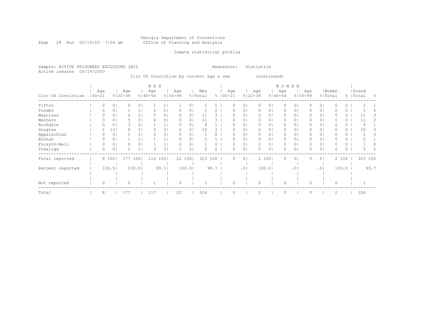#### Georgia Department of Corrections Page 28 Run 05/19/03 7:54 am Office of Planning and Analysis

## Inmate statistical profile

Sample: ACTIVE PRISONERS EXCLUDING JAIL **Requestor:** Statistics Active inmates 05/19/2003

Circ Of Conviction by current age & sex (continued)

|                    |                   |                |                    |                | M E N              |                |                    |          |                |               |            |          |                 |                    |        | WOMEN              |                 |          |                |         |       |                    |                |
|--------------------|-------------------|----------------|--------------------|----------------|--------------------|----------------|--------------------|----------|----------------|---------------|------------|----------|-----------------|--------------------|--------|--------------------|-----------------|----------|----------------|---------|-------|--------------------|----------------|
| Circ Of Conviction | Age<br>$100 - 21$ |                | Age<br>$8122 - 39$ |                | Age<br>$8140 - 54$ |                | Age<br>$8155 - 99$ |          | Men<br>% Total | $\frac{6}{6}$ | $100 - 21$ | Age      |                 | Age<br>$8122 - 39$ |        | Age<br>$8140 - 54$ | $8155 - 99$     | Age      | % Total        | Women   |       | Grand<br>%   Total | $\frac{6}{10}$ |
| Tifton             |                   | 0 <sup>1</sup> | 0                  | 0 <sup>1</sup> |                    |                |                    | 5.       |                |               |            | 0        | 0               | $\mathbf{0}$       | 01     | 0                  | 0               | 0        | 0 <sup>1</sup> |         | 0     |                    |                |
| Toombs             |                   | 0              |                    |                |                    | 0 <sub>1</sub> |                    | 0        |                |               |            | O        | 0               | $\mathbf{0}$       | 01     | 0                  | 0               | 0        | 0 <sub>1</sub> |         | 0     |                    |                |
| Waycross           |                   |                |                    |                |                    | 61             |                    | 0.       | 11             |               |            | O        | 0               | $\Omega$           | 0      | 0                  | 0               |          | 0 <sub>1</sub> |         | 0     |                    |                |
| Western            |                   |                | 5                  | 31             | 6                  | 5.             |                    | $\Omega$ | 11             |               |            | O        | 0               | $\Omega$           | 01     | 0                  | 0               | 0        | 0 <sup>1</sup> |         | 0     | 11                 | 3              |
| Rockdale           |                   | 0              | 3                  |                |                    |                |                    | 0        |                |               |            | O        | 0               | $\mathbf{0}$       | 01     | 0                  | 0               | 0        | 01             |         | 0     |                    |                |
| Douglas            |                   | 13             | 6.                 | 3              |                    | 31             |                    | 0        | 10             |               |            |          | 0               | 0                  | 01     | 0                  | 0               | 0        | 0 <sup>1</sup> |         | 0     | 10                 |                |
| Appalachian        |                   | 0              |                    |                |                    | 0 <sub>1</sub> | $\Omega$           | 0.       |                |               |            | O        | 0               | $\circ$            | 01     | $\circ$            | 0               | 0        | 0 <sup>1</sup> |         | 0     |                    |                |
| Enotah             |                   | 0              |                    |                |                    |                |                    | $\Omega$ |                |               |            | 0        | 0               | $\mathbf{0}$       | 01     | 0                  | 0               | 0        | $\circ$        |         | 0     |                    |                |
| Forsyth-Bell       |                   | 0              | 0                  | 0              |                    |                |                    | 0        |                |               |            | O        | 0               | $\mathbf{0}$       | 01     | 0                  | 0               |          | 0 <sup>1</sup> |         | 0     |                    |                |
| Towaliga           | 0                 | 0              |                    |                | 3                  | 31             |                    | 5        |                |               |            | O        | 0               | $\Omega$           | 0      | 0                  | 0               |          | $\circ$        |         | 0     |                    |                |
| Total reported     |                   | 8 100          |                    | 177 1001       | 116                | 1001           |                    | 22 1001  | 323            | 100           |            | 0        | $\circ$         |                    | 2 1001 | $\circ$            | $\circ$         | 0        | 0 <sub>1</sub> |         | 2 100 | 325 100            |                |
| Percent reported   |                   | 100.0          |                    | 100.01         |                    | 99.1           |                    | 100.01   |                | 99.7          |            |          | .0 <sub>1</sub> |                    | 100.01 |                    | .0 <sup>1</sup> |          | .01            |         | 100.0 |                    | 99.7           |
|                    |                   |                |                    |                |                    |                |                    |          |                |               |            |          |                 |                    |        |                    |                 |          |                |         |       |                    |                |
|                    |                   |                |                    |                |                    |                |                    |          |                |               |            |          |                 |                    |        |                    |                 |          |                |         |       |                    |                |
| Not reported       | $\Omega$          |                | $\Omega$           |                |                    |                | $\Omega$           |          |                |               |            | $\Omega$ |                 | $\circ$            |        | $\circ$            |                 | $\Omega$ |                | $\circ$ |       |                    |                |
| Total              | 8                 |                | 177                |                | 117                |                | 22                 |          | 324            |               |            | $\Omega$ |                 | 2                  |        | $\circ$            |                 | $\Omega$ |                | 2       |       | 326                |                |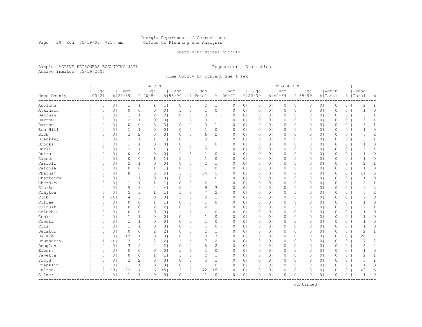#### Georgia Department of Corrections Page 29 Run 05/19/03 7:54 am Office of Planning and Analysis

## Inmate statistical profile

Sample: ACTIVE PRISONERS EXCLUDING JAIL **Requestor:** Statistics Active inmates 05/19/2003

Home County by current age & sex

|               |                   |                |                    |                | M E N              |                |                    |                |                |                |                    |                |                    |                | WOMEN    |                |          |                |                  |          |                    |                |
|---------------|-------------------|----------------|--------------------|----------------|--------------------|----------------|--------------------|----------------|----------------|----------------|--------------------|----------------|--------------------|----------------|----------|----------------|----------|----------------|------------------|----------|--------------------|----------------|
| Home County   | Age<br>$100 - 21$ |                | Age<br>$8122 - 39$ |                | Age<br>$8140 - 54$ |                | Aqe<br>$8155 - 99$ |                | Men<br>% Total |                | Age<br>$8100 - 21$ |                | Age<br>$8122 - 39$ | $8140 - 54$    | Age      | $8155 - 99$    | Age      |                | Women<br>% Total |          | Grand<br>%   Total | 옹              |
| Appling       | $\circ$           | 0 <sub>1</sub> | $\mathbf{1}$       | 1              | 1                  | 1              | $\circ$            | 0 <sub>1</sub> | $\mathbf{2}$   | $1 \mid$       | 0                  | 0 <sub>1</sub> | $\circ$            | 0 <sub>1</sub> | $\circ$  | 0 <sub>1</sub> | 0        | 0 <sub>1</sub> | $\mathbb O$      | $\circ$  | $\overline{c}$     | 1              |
| Atkinson      | $\circ$           | 0 <sub>1</sub> | $\mathbf{0}$       | 0 <sub>1</sub> | $\circ$            | 0 <sub>1</sub> | $\mathbf{1}$       | 6 <sub>1</sub> | $1\,$          | 0              | $\mathbf{0}$       | 0 <sub>1</sub> | $\circ$            | 0 <sub>1</sub> | 0        | 0 <sub>1</sub> | 0        | 0 <sub>1</sub> | $\mathbf{0}$     | $\circ$  | $\mathbf{1}$       | 0              |
| Baldwin       | 0                 | 0 <sup>1</sup> | $\mathbf{1}$       | 1 <sub>1</sub> | $\overline{2}$     | 2 <sub>1</sub> | 0                  | 0 <sub>1</sub> | 3              | $\mathbf{1}$   | $\circ$            | 0 <sub>1</sub> | 0                  | 0 <sub>1</sub> | 0        | 0 <sub>1</sub> | 0        | 0 <sub>1</sub> | $\circ$          | 0        | 3                  | $\mathbf{1}$   |
| Barrow        | 0                 | 0 <sub>1</sub> | $\overline{2}$     | 1 <sub>1</sub> | 0                  | 0 <sup>1</sup> | 1                  | 61             | 3              | $\mathbf{1}$   | $\Omega$           | 0 <sub>1</sub> | 0                  | 0 <sub>1</sub> | $\Omega$ | 0 <sub>1</sub> | 0        | 0 <sub>1</sub> | $\circ$          | $\circ$  | 3                  | $\mathbf{1}$   |
| Bartow        | 0                 | 0 <sub>1</sub> | $\circ$            | 0 <sub>1</sub> | 3                  | 3 <sup>1</sup> | $\circ$            | 0 <sub>1</sub> | 3              | $\mathbf{1}$   | $\circ$            | 0 <sup>1</sup> | $\circ$            | 0 <sup>1</sup> | $\circ$  | 0 <sub>1</sub> | 0        | 0 <sub>1</sub> | $\circ$          | 0        | 3                  | $\mathbf{1}$   |
| Ben Hill      | 0                 | 0 <sup>1</sup> | $\mathbf{1}$       | 1 <sup>1</sup> | 0                  | 0 <sub>1</sub> | $\circ$            | 0 <sub>1</sub> | 1              | 0              | $\circ$            | 0 <sub>1</sub> | $\circ$            | 0 <sub>1</sub> | $\circ$  | 0 <sub>1</sub> | 0        | 0 <sub>1</sub> | $\circ$          | 0        | $\mathbf{1}$       | 0              |
| <b>Bibb</b>   | $\circ$           | 0 <sub>1</sub> | 3                  | 2 <sub>1</sub> | 3                  | 3 <sub>1</sub> | 0                  | 0 <sub>1</sub> | 6              | $\overline{2}$ | $\mathbf{0}$       | 0 <sub>1</sub> | $\circ$            | 0 <sub>1</sub> | 0        | 0 <sub>1</sub> | $\Omega$ | 0 <sub>1</sub> | $\mathbf{0}$     | $\circ$  | 6                  | $\overline{c}$ |
| Bleckley      | 0                 | 0 <sub>1</sub> | $\overline{c}$     | 1 <sub>1</sub> | $\mathbf{1}$       | 1              | $\circ$            | 0 <sub>1</sub> | 3              | 1 <sup>1</sup> | $\mathbf{0}$       | 0 <sub>1</sub> | $\circ$            | 0 <sub>1</sub> | $\circ$  | 0 <sub>1</sub> | 0        | 0 <sub>1</sub> | $\mathbf{0}$     | 0        | 3                  | $\mathbf{1}$   |
| <b>Brooks</b> | 0                 | 0 <sub>1</sub> | $\mathbf{1}$       | 1              | 0                  | 0 <sub>1</sub> | $\circ$            | 0 <sub>1</sub> | $\mathbf{1}$   | 0              | $\circ$            | 0 <sub>1</sub> | $\circ$            | 0 <sub>1</sub> | $\circ$  | 0 <sub>1</sub> | 0        | 0 <sub>1</sub> | $\circ$          | 0        | $\mathbf 1$        | 0              |
| Burke         | 0                 | 0 <sub>1</sub> | $\overline{2}$     | 1 <sub>1</sub> | $\mathbf{1}$       | 1 <sub>1</sub> | $\Omega$           | 0 <sub>1</sub> | 3              | $\mathbf{1}$   | $\Omega$           | 0 <sub>1</sub> | $\circ$            | 0 <sup>1</sup> | 0        | 0 <sub>1</sub> | 0        | 0 <sub>1</sub> | $\circ$          | $\circ$  | 3                  | 1              |
| <b>Butts</b>  | 0                 | 0 <sub>1</sub> | $\circ$            | 0 <sub>1</sub> | $\circ$            | 0 <sub>1</sub> | 1                  | 61             | 1              | 0              | $\circ$            | 0 <sub>1</sub> | $\circ$            | 0 <sup>1</sup> | $\circ$  | 0 <sub>1</sub> | 0        | 0 <sub>1</sub> | $\circ$          | 0        | $\mathbf{1}$       | 0              |
| Camden        | 0                 | 0 <sup>1</sup> | $\circ$            | 0 <sub>1</sub> | 1                  | 1              | 0                  | 0 <sub>1</sub> | $\mathbf{1}$   | 0              | $\circ$            | 0 <sub>1</sub> | $\circ$            | 0 <sub>1</sub> | 0        | 0 <sub>1</sub> | $\Omega$ | 0 <sub>1</sub> | $\mathbf{0}$     | 0        | $\mathbf{1}$       | 0              |
| Carroll       | $\circ$           | 0 <sub>1</sub> | $\overline{2}$     | 1 <sub>1</sub> | $\circ$            | 0 <sub>1</sub> | $\circ$            | 0 <sub>1</sub> | $\overline{c}$ | $\mathbf{1}$   | $\mathbf{0}$       | 0 <sub>1</sub> | $\circ$            | 0 <sup>1</sup> | 0        | 0 <sub>1</sub> | $\Omega$ | 0 <sub>1</sub> | $\mathbf{0}$     | $\circ$  | $\overline{c}$     | $\mathbf{1}$   |
| Catoosa       | $\circ$           | 0 <sup>1</sup> | $\circ$            | 0 <sub>1</sub> | 1                  | 1 <sub>1</sub> | $\circ$            | 0 <sub>1</sub> | $\mathbf{1}$   | $0-1$          | $\circ$            | 0 <sub>1</sub> | $\circ$            | 0 <sub>1</sub> | 0        | 0 <sub>1</sub> | 0        | 0 <sub>1</sub> | $\mathbf{0}$     | 0        | $\overline{1}$     | 0              |
| Chatham       | 0                 | 0 <sub>1</sub> | 8                  | 5 <sub>1</sub> | 5                  | 5 <sub>1</sub> | 1                  | 6              | 14             | $5-1$          | $\circ$            | 0 <sub>1</sub> | $\circ$            | 0 <sub>1</sub> | 0        | 0 <sub>1</sub> | 0        | 0 <sub>1</sub> | $\circ$          | 0        | 14                 | 5              |
| Chattooga     | 0                 | 0 <sub>1</sub> | $\mathbf{1}$       | 1 <sub>1</sub> | 0                  | 0 <sup>1</sup> | 0                  | 0 <sub>1</sub> | $\mathbf{1}$   | 0              | $\Omega$           | 0 <sub>1</sub> | $\circ$            | 0 <sup>1</sup> | 0        | 0 <sub>1</sub> | 0        | 0 <sub>1</sub> | $\circ$          | $\circ$  | $\mathbf{1}$       | 0              |
| Cherokee      | $\Omega$          | 0 <sub>1</sub> | $\mathbf{1}$       | 1 <sup>1</sup> | 1                  | 1 <sub>1</sub> | $\Omega$           | 0 <sup>1</sup> | $\overline{c}$ | $\mathbf{1}$   | $\Omega$           | $\Omega$       | $\circ$            | 0 <sup>1</sup> | $\circ$  | 0 <sub>1</sub> | $\Omega$ | 0 <sub>1</sub> | $\Omega$         | $\Omega$ | 2                  | $\mathbf{1}$   |
| Clarke        | 0                 | 0 <sub>1</sub> | 5                  | 3 <sub>1</sub> | 4                  | 4              | $\circ$            | 0 <sub>1</sub> | 9              | 3              | $\circ$            | 0 <sub>1</sub> | $\circ$            | 0 <sub>1</sub> | $\circ$  | 0 <sub>1</sub> | $\Omega$ | 0 <sub>1</sub> | $\mathbf{0}$     | $\circ$  | 9                  | 3              |
| Clayton       | $\circ$           | 0 <sub>1</sub> | 5                  | 3              | $\mathbf{1}$       | 1              | $\mathbf{1}$       | 6              | 7              | $\overline{c}$ | $\mathbf{0}$       | 0 <sub>1</sub> | $\circ$            | 0 <sub>1</sub> | 0        | 0 <sub>1</sub> | 0        | 0 <sub>1</sub> | $\mathbb O$      | 0        | 7                  | $\overline{c}$ |
| Cobb          | 1                 | 14             | 4                  | 3              | 3                  | 3 <sub>1</sub> | $\mathbf{1}$       | 6 <sup>1</sup> | 9              | $3-1$          | $\circ$            | 0 <sub>1</sub> | $\circ$            | 0 <sub>1</sub> | $\circ$  | 0 <sub>1</sub> | 0        | 0 <sub>1</sub> | $\mathbf{0}$     | 0        | 9                  | 3              |
| Coffee        | 0                 | 0 <sub>1</sub> | $\circ$            | 0 <sub>1</sub> | $\mathbf{1}$       | 1 <sub>1</sub> | 0                  | 0 <sub>1</sub> | $\mathbf{1}$   | 0              | $\circ$            | 0 <sub>1</sub> | $\circ$            | 0 <sub>1</sub> | $\circ$  | 0 <sub>1</sub> | 0        | 0 <sup>1</sup> | $\circ$          | 0        | $\mathbf 1$        | 0              |
| Colquit       | $\Omega$          | 0 <sub>1</sub> | $\circ$            | 0 <sup>1</sup> | $\overline{c}$     | 2 <sub>1</sub> | $\Omega$           | 0 <sub>1</sub> | $\overline{c}$ | $\mathbf{1}$   | $\Omega$           | 0 <sub>1</sub> | $\circ$            | 0 <sup>1</sup> | 0        | 0 <sub>1</sub> | $\Omega$ | 0 <sub>1</sub> | $\mathbf{0}$     | 0        | $\overline{c}$     | $\mathbf{1}$   |
| Columbia      | $\Omega$          | 0 <sub>1</sub> | $\circ$            | 0 <sup>1</sup> | 0                  | 0 <sub>1</sub> | $\mathbf{1}$       | 61             | 1              | 0              | $\mathbf{0}$       | 0 <sub>1</sub> | $\circ$            | 0 <sup>1</sup> | 0        | 0 <sub>1</sub> | $\Omega$ | 0 <sub>1</sub> | $\Omega$         | $\Omega$ | $\mathbf{1}$       | $\Omega$       |
| Cook          | 0                 | 0 <sub>1</sub> | 1                  | 1 <sub>1</sub> | 0                  | 0 <sub>1</sub> | 0                  | 0 <sub>1</sub> | 1              | 0              | $\circ$            | 0 <sub>1</sub> | $\circ$            | 0 <sub>1</sub> | 0        | 0 <sub>1</sub> | 0        | 0 <sub>1</sub> | $\mathbf{0}$     | 0        | $\mathbf{1}$       | 0              |
| Coweta        | $\circ$           | 0 <sub>1</sub> | $\mathbf{1}$       | 1 <sub>1</sub> | 0                  | 0 <sub>1</sub> | 0                  | 0 <sub>1</sub> | $\mathbf{1}$   | 0              | 0                  | 0 <sub>1</sub> | $\circ$            | 0 <sub>1</sub> | 0        | 0 <sub>1</sub> | 0        | 0 <sub>1</sub> | $\mathbb O$      | 0        | $\mathbf{1}$       | 0              |
| Crisp         | 0                 | 0 <sub>1</sub> | $\mathbf{1}$       | 1 <sup>1</sup> | $\circ$            | 0 <sub>1</sub> | 0                  | 0 <sub>1</sub> | $\mathbf{1}$   | 0              | $\circ$            | 0 <sub>1</sub> | $\circ$            | 0 <sup>1</sup> | 0        | 0 <sub>1</sub> | 0        | 0 <sub>1</sub> | $\circ$          | 0        | $\mathbf{1}$       | 0              |
| Decatur       | 0                 | 0 <sub>1</sub> | $\circ$            | 0 <sub>1</sub> | $\overline{2}$     | 2 <sub>1</sub> | 0                  | 0 <sub>1</sub> | $\overline{c}$ | $\mathbf{1}$   | $\circ$            | 0 <sub>1</sub> | $\circ$            | 0 <sub>1</sub> | 0        | 0 <sub>1</sub> | 0        | 0 <sub>1</sub> | $\circ$          | 0        | $\overline{c}$     | $\mathbf{1}$   |
| DeKalb        | $\Omega$          | 0 <sub>1</sub> | 17                 | 11             | 3                  | 3 <sup>1</sup> | 0                  | 0 <sub>1</sub> | 20             | $\overline{7}$ | $\Omega$           | 0 <sub>1</sub> | $\circ$            | 0 <sup>1</sup> | $\Omega$ | 0 <sub>1</sub> | $\Omega$ | 0 <sub>1</sub> | $\mathbf{0}$     | $\circ$  | 20                 | 7              |
| Dougherty     | 1                 | 14             | 3                  | 2 <sub>1</sub> | $\mathbf{2}$       | 2 <sub>1</sub> | 1                  | 6 <sup>1</sup> | 7              | $\overline{c}$ | $\circ$            | 0 <sup>1</sup> | $\circ$            | 0 <sup>1</sup> | $\circ$  | 0 <sub>1</sub> | $\Omega$ | 0 <sub>1</sub> | $\Omega$         | 0        | $\overline{7}$     | $\overline{c}$ |
| Douglas       | 0                 | 0 <sub>1</sub> | 3                  | 2 <sub>1</sub> | 2                  | 2 <sub>1</sub> | 0                  | 0 <sub>1</sub> | 5              | $\overline{2}$ | $\circ$            | 0 <sub>1</sub> | $\circ$            | 0 <sub>1</sub> | 0        | 0 <sub>1</sub> | 0        | 0 <sub>1</sub> | $\circ$          | 0        | 5                  | $\overline{c}$ |
| Elbert        | 0                 | 0 <sub>1</sub> | $\circ$            | 0 <sub>1</sub> | $\circ$            | 0 <sub>1</sub> | 1                  | 6              | $\mathbf{1}$   | $0-1$          | 0                  | 0 <sub>1</sub> | $\circ$            | 0 <sub>1</sub> | 0        | 0 <sub>1</sub> | 0        | 0 <sub>1</sub> | $\mathbb O$      | 0        | $\mathbf{1}$       | 0              |
| Fayette       | 0                 | 0 <sub>1</sub> | $\circ$            | 0 <sub>1</sub> | $\mathbf{1}$       | 1 <sub>1</sub> | $\mathbf{1}$       | 6 <sup>1</sup> | $\overline{c}$ | 1              | $\circ$            | 0 <sub>1</sub> | $\circ$            | 0 <sub>1</sub> | $\circ$  | 0 <sub>1</sub> | 0        | 0 <sub>1</sub> | $\circ$          | 0        | 2                  | $\mathbf{1}$   |
| Floyd         | $\circ$           | 0 <sub>1</sub> | 3                  | 2 <sub>1</sub> | $\circ$            | 0 <sub>1</sub> | $\Omega$           | 0 <sub>1</sub> | 3              | $\mathbf{1}$   | $\Omega$           | 0 <sub>1</sub> | $\circ$            | 0 <sub>1</sub> | $\circ$  | 0 <sub>1</sub> | 0        | 0 <sup>1</sup> | $\circ$          | $\circ$  | 3                  | $\mathbf{1}$   |
| Franklin      | $\circ$           | 0 <sub>1</sub> | 1                  | 1              | 0                  | 0 <sub>1</sub> | $\Omega$           | 0 <sub>1</sub> | 1              | 0              | $\Omega$           | 0 <sub>1</sub> | 0                  | 0 <sub>1</sub> | 0        | 0 <sub>1</sub> | $\Omega$ | 0 <sub>1</sub> | $\mathbf{0}$     | $\circ$  | $\mathbf{1}$       | 0              |
| Fulton        | $\mathbf{2}$      | 291            | 22                 | 14             | 16                 | 151            | 2                  | 12             | 42             | 15             | $\Omega$           | 0 <sup>1</sup> | $\circ$            | 0 <sub>1</sub> | 0        | 0 <sub>1</sub> | $\Omega$ | 0 <sub>1</sub> | $\circ$          | 0        | 42                 | 15             |
| Gilmer        | $\circ$           | 0 <sub>1</sub> | 1                  | $\mathbf{1}$   | $\circ$            | 0 <sub>1</sub> | 0                  | 0 <sub>1</sub> | $\mathbf{1}$   | 0              | $\circ$            | 0 <sub>1</sub> | $\circ$            | 0 <sub>1</sub> | 0        | 0 <sub>1</sub> | $\Omega$ | 0 <sub>1</sub> | $\circ$          | $\circ$  | $\mathbf{1}$       | $\circ$        |

(continued)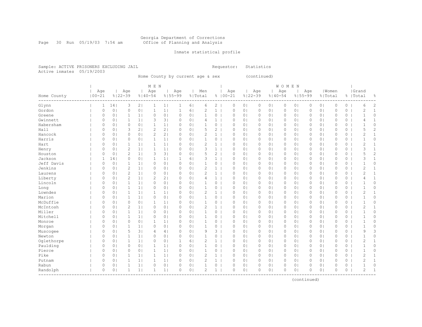# Georgia Department of Corrections<br>Office of Planning and Analysis

Page 30 Run 05/19/03 7:54 am

## Inmate statistical profile

Sample: ACTIVE PRISONERS EXCLUDING JAIL **Requestor:** Statistics Active inmates 05/19/2003

Home County by current age & sex (continued)

|                                 |                   |                |                    |                | M E N              |                |                    |                |                |                |                    |                |                    |                | W O M E N   |                |          |                |             |          |                    |                |
|---------------------------------|-------------------|----------------|--------------------|----------------|--------------------|----------------|--------------------|----------------|----------------|----------------|--------------------|----------------|--------------------|----------------|-------------|----------------|----------|----------------|-------------|----------|--------------------|----------------|
| Home County<br>---------------- | Age<br>$100 - 21$ |                | Aqe<br>$8122 - 39$ |                | Age<br>$8140 - 54$ |                | Age<br>$8155 - 99$ |                | Men<br>% Total |                | Age<br>$8100 - 21$ |                | Age<br>$8122 - 39$ | $8140 - 54$    | Age         | $8155 - 99$    | Age      | % Total        | Women       |          | Grand<br>%   Total | န္             |
| Glynn                           | 1                 | 14             | 3                  | 2              | $\mathbf{1}$       | 1              | $\mathbf 1$        | 6              | 6              | 2 <sup>1</sup> | 0                  | 0 <sub>1</sub> | 0                  | 0 <sub>1</sub> | $\circ$     | 0 <sub>1</sub> | 0        | 0 <sub>1</sub> | 0           | $\circ$  | 6                  | 2              |
| Gordon                          | $\circ$           | 0 <sub>1</sub> | $\circ$            | 0 <sub>1</sub> | $\mathbf{1}$       | 1 <sub>1</sub> | $\mathbf{1}$       | 6              | $\overline{2}$ | $\mathbf{1}$   | $\circ$            | 0 <sub>1</sub> | $\mathbb O$        | 0 <sub>1</sub> | $\mathbb O$ | 0 <sub>1</sub> | 0        | 0 <sub>1</sub> | $\circ$     | $\circ$  | $\overline{c}$     | $\mathbf{1}$   |
| Greene                          | 0                 | 0 <sup>1</sup> | 1                  | 1 <sub>1</sub> | $\circ$            | 0 <sub>1</sub> | $\circ$            | 0 <sub>1</sub> | $\mathbf{1}$   | 0              | $\circ$            | 0 <sub>1</sub> | 0                  | 0 <sub>1</sub> | $\circ$     | 0 <sub>1</sub> | 0        | 0 <sub>1</sub> | $\circ$     | 0        | $\mathbf{1}$       | 0              |
| Gwinnett                        | $\circ$           | 0 <sub>1</sub> | $\mathbf{1}$       | 1              | 3                  | 3 <sub>1</sub> | $\circ$            | 0 <sub>1</sub> | 4              | $\mathbf{1}$   | $\mathbf 0$        | 0 <sub>1</sub> | 0                  | 0 <sub>1</sub> | $\circ$     | 0 <sub>1</sub> | 0        | 0 <sub>1</sub> | $\circ$     | 0        | 4                  | $\mathbf{1}$   |
| Habersham                       | 0                 | 0 <sup>1</sup> | $\mathbf 0$        | 0 <sub>1</sub> | $\mathbf{1}$       | 1 <sub>1</sub> | $\circ$            | 0 <sub>1</sub> |                | 0              | $\circ$            | 0 <sub>1</sub> | $\circ$            | 0 <sub>1</sub> | $\circ$     | 0 <sub>1</sub> | 0        | 0 <sub>1</sub> | $\circ$     | 0        |                    | 0              |
| Hall                            | 0                 | 0              | 3                  | 2 <sub>1</sub> | $\overline{c}$     | 2 <sub>1</sub> | $\Omega$           | 0 <sub>1</sub> | 5              | $\overline{2}$ | $\Omega$           | 0 <sub>1</sub> | $\circ$            | 0 <sup>1</sup> | $\Omega$    | 0 <sub>1</sub> | $\Omega$ | 0 <sub>1</sub> | $\circ$     | 0        | 5                  | $\overline{c}$ |
| Hancock                         | $\Omega$          | 0              | $\mathbf 0$        | 0 <sub>1</sub> | $\overline{c}$     | 2 <sub>1</sub> | $\Omega$           | 0 <sup>1</sup> | $\mathcal{D}$  | $\mathbf{1}$   | $\Omega$           | 0 <sub>1</sub> | $\circ$            | 0 <sup>1</sup> | $\circ$     | $\circ$        | $\Omega$ | 0 <sub>1</sub> | $\Omega$    | $\Omega$ | 2                  | $\mathbf{1}$   |
| Harris                          | 0                 | 0              | $\circ$            | 0 <sub>1</sub> | $\mathbf{1}$       | 1 <sub>1</sub> | $\circ$            | 0 <sub>1</sub> | 1              | 0              | $\circ$            | 0 <sub>1</sub> | $\circ$            | 0 <sup>1</sup> | $\circ$     | $\circ$        | $\Omega$ | 0 <sub>1</sub> | $\circ$     | 0        | $\mathbf 1$        | 0              |
| Hart                            | 0                 | 0 <sub>1</sub> | 1                  | 1 <sub>1</sub> | 1                  | 1 <sub>1</sub> | $\circ$            | 0 <sub>1</sub> | $\overline{2}$ | 1              | $\circ$            | 0 <sub>1</sub> | $\circ$            | 0 <sub>1</sub> | 0           | 0 <sub>1</sub> | $\Omega$ | 0 <sub>1</sub> | $\mathbf 0$ | 0        | 2                  | $\mathbf{1}$   |
| Henry                           | 0                 | 0 <sup>1</sup> | $\overline{2}$     | 1 <sub>1</sub> | $\mathbf{1}$       | 1 <sub>1</sub> | $\circ$            | 0 <sub>1</sub> | 3              | 1              | $\circ$            | 0 <sub>1</sub> | $\circ$            | 0 <sub>1</sub> | $\circ$     | 0 <sub>1</sub> | 0        | 0 <sub>1</sub> | $\mathbf 0$ | 0        | 3                  | $\mathbf{1}$   |
| Houston                         | $\circ$           | 0 <sup>1</sup> | $\overline{c}$     | 1 <sub>1</sub> | 3                  | 3 <sub>1</sub> | $\circ$            | 0 <sub>1</sub> | 5              | $\overline{2}$ | $\circ$            | 0 <sub>1</sub> | $\circ$            | 0 <sub>1</sub> | $\circ$     | 0 <sub>1</sub> | $\Omega$ | 0 <sub>1</sub> | $\mathbf 0$ | 0        | 5                  | $\overline{c}$ |
| Jackson                         | $\mathbf{1}$      | 14             | $\mathbf 0$        | 0 <sub>1</sub> | $\mathbf{1}$       | 1 <sub>1</sub> | $\mathbf{1}$       | 6              | 3              | $\mathbf{1}$   | $\mathbf 0$        | 0 <sub>1</sub> | $\circ$            | 0 <sub>1</sub> | $\circ$     | 0 <sub>1</sub> | $\Omega$ | 0 <sub>1</sub> | $\mathbf 0$ | 0        | 3                  | $\mathbf{1}$   |
| Jeff Davis                      | 0                 | 0 <sup>1</sup> | $\mathbf{1}$       | 1 <sub>1</sub> | $\circ$            | 0 <sub>1</sub> | $\circ$            | 0 <sub>1</sub> | $\mathbf{1}$   | $\circ$        | $\Omega$           | 0 <sub>1</sub> | $\circ$            | 0 <sub>1</sub> | $\circ$     | 0 <sub>1</sub> | $\Omega$ | 0 <sub>1</sub> | $\circ$     | 0        | $\mathbf{1}$       | 0              |
| Jenkins                         | 0                 | 0 <sub>1</sub> | $\overline{2}$     | 1 <sub>1</sub> | 0                  | 0 <sub>1</sub> | $\circ$            | 0 <sub>1</sub> | $\overline{2}$ | $\mathbf{1}$   | $\circ$            | 0 <sub>1</sub> | 0                  | 0 <sub>1</sub> | $\circ$     | 0 <sub>1</sub> | 0        | 0 <sub>1</sub> | $\circ$     | 0        | $\overline{2}$     | 1              |
| Laurens                         | 0                 | 0 <sup>1</sup> | $\overline{c}$     | 1 <sub>1</sub> | 0                  | 0 <sub>1</sub> | $\circ$            | 0 <sub>1</sub> | $\overline{2}$ | $\mathbf{1}$   | $\circ$            | 0 <sub>1</sub> | $\circ$            | 0 <sub>1</sub> | $\circ$     | 0 <sub>1</sub> | 0        | 0 <sub>1</sub> | $\circ$     | 0        | $\overline{c}$     | $\mathbf{1}$   |
| Liberty                         | 0                 | 0              | $\overline{c}$     | 1 <sub>1</sub> | $\overline{c}$     | 2 <sub>1</sub> | $\Omega$           | 0 <sub>1</sub> | 4              | $\mathbf{1}$   | $\circ$            | 0 <sub>1</sub> | $\circ$            | 0 <sup>1</sup> | $\circ$     | 0 <sub>1</sub> | $\Omega$ | 0 <sub>1</sub> | $\mathbf 0$ | 0        | 4                  | $\mathbf{1}$   |
| Lincoln                         | 0                 | 0              | $\mathbf{1}$       | 1 <sub>1</sub> | 0                  | 0 <sub>1</sub> | $\Omega$           | 0 <sub>1</sub> |                | 0              | $\circ$            | 0 <sub>1</sub> | $\circ$            | 0 <sup>1</sup> | $\circ$     | 0 <sub>1</sub> | $\Omega$ | 0 <sub>1</sub> | $\Omega$    | 0        | $\mathbf 1$        | 0              |
| Long                            | 0                 | 0 <sup>1</sup> | $\mathbf{1}$       | 1 <sub>1</sub> | 0                  | 0 <sub>1</sub> | $\circ$            | 0 <sub>1</sub> | 1              | 0              | $\Omega$           | 0 <sub>1</sub> | $\circ$            | 0 <sup>1</sup> | $\circ$     | $\circ$        | $\Omega$ | 0 <sub>1</sub> | $\circ$     | 0        | $\mathbf{1}$       | 0              |
| Lowndes                         | 0                 | 0 <sub>1</sub> | $\mathbf{1}$       | 1 <sub>1</sub> | $\mathbf 1$        | 1 <sub>1</sub> | $\circ$            | 0 <sub>1</sub> | 2              | 1              | $\circ$            | 0 <sub>1</sub> | 0                  | 0 <sub>1</sub> | 0           | 0 <sub>1</sub> | 0        | 0 <sub>1</sub> | $\circ$     | 0        | $\overline{2}$     | $\mathbf{1}$   |
| Marion                          | 0                 | 0 <sub>1</sub> | $\mathbf{1}$       | 1 <sub>1</sub> | 0                  | 0 <sub>1</sub> | $\circ$            | 0 <sub>1</sub> | 1              | 0              | $\circ$            | 0 <sub>1</sub> | $\circ$            | 0 <sub>1</sub> | $\circ$     | 0 <sub>1</sub> | 0        | 0 <sub>1</sub> | $\mathbf 0$ | 0        |                    | 0              |
| McDuffie                        | 0                 | 0 <sub>1</sub> | $\circ$            | 0 <sub>1</sub> | $\mathbf 1$        | 1              | $\circ$            | 0 <sub>1</sub> | $\mathbf{1}$   | 0              | $\circ$            | 0 <sub>1</sub> | 0                  | 0 <sub>1</sub> | 0           | 0 <sub>1</sub> | $\Omega$ | 0 <sub>1</sub> | $\mathbf 0$ | 0        | $\mathbf{1}$       | 0              |
| McIntosh                        | 0                 | 0 <sup>1</sup> | $\overline{c}$     | 1              | 0                  | 0 <sub>1</sub> | $\Omega$           | 0 <sub>1</sub> | 2              | $\mathbf{1}$   | $\circ$            | 0 <sub>1</sub> | 0                  | 0 <sub>1</sub> | $\circ$     | 0 <sub>1</sub> | 0        | 0 <sub>1</sub> | $\mathbf 0$ | 0        | $\mathbf{2}$       | $\mathbf{1}$   |
| Miller                          | 0                 | 0 <sup>1</sup> | $\mathbf{1}$       | 1 <sub>1</sub> | 0                  | 0 <sub>1</sub> | $\circ$            | 0 <sub>1</sub> | $\mathbf{1}$   | $\circ$        | $\Omega$           | 0 <sub>1</sub> | $\circ$            | 0 <sub>1</sub> | $\circ$     | 0 <sub>1</sub> | $\Omega$ | 0 <sub>1</sub> | $\circ$     | 0        | $\mathbf 1$        | 0              |
| Mitchell                        | $\circ$           | 0 <sub>1</sub> | $\mathbf{1}$       | 1 <sub>1</sub> | 0                  | 0 <sub>1</sub> | $\circ$            | 0 <sub>1</sub> | $\mathbf{1}$   | 0              | $\mathbf 0$        | 0 <sub>1</sub> | 0                  | 0 <sub>1</sub> | $\circ$     | 0 <sub>1</sub> | 0        | 0 <sub>1</sub> | $\mathbf 0$ | 0        | $\mathbf 1$        | 0              |
| Monroe                          | $\circ$           | 0 <sup>1</sup> | $\mathbf 0$        | 0 <sub>1</sub> | $\mathbf 1$        | 1 <sub>1</sub> | $\circ$            | 0 <sub>1</sub> | 1              | 0              | $\circ$            | 0 <sub>1</sub> | $\circ$            | 0 <sub>1</sub> | $\mathbf 0$ | 0 <sub>1</sub> | 0        | 0 <sub>1</sub> | $\mathbf 0$ | 0        | $\mathbf 1$        | 0              |
| Morgan                          | 0                 | 0              | 1                  | 1 <sub>1</sub> | 0                  | 0 <sub>1</sub> | $\Omega$           | 0 <sub>1</sub> | 1              | 0              | $\circ$            | 0 <sub>1</sub> | 0                  | 0 <sup>1</sup> | $\Omega$    | 0 <sub>1</sub> | $\Omega$ | 0 <sub>1</sub> | $\Omega$    | 0        | $\mathbf 1$        | 0              |
| Muscogee                        | 0                 | 0              | 5                  | 3              | $\overline{4}$     | 4              | $\Omega$           | 0 <sub>1</sub> | 9              | 3              | $\Omega$           | 0 <sub>1</sub> | $\circ$            | 0 <sup>1</sup> | $\circ$     | $\circ$        | $\Omega$ | 0 <sub>1</sub> | $\Omega$    | 0        | 9                  | 3              |
| Newton                          | 0                 | 0 <sup>1</sup> | $\mathbf{1}$       | 1 <sup>1</sup> | 0                  | 0 <sub>1</sub> | $\circ$            | 0 <sub>1</sub> | 1              | 0              | $\circ$            | 0 <sub>1</sub> | $\circ$            | 0 <sup>1</sup> | $\circ$     | $\circ$        | $\Omega$ | 0 <sub>1</sub> | $\circ$     | 0        | $\mathbf{1}$       | 0              |
| Oqlethorpe                      | $\circ$           | 0 <sub>1</sub> | 1                  | 1 <sub>1</sub> | $\circ$            | 0 <sub>1</sub> | 1                  | 6              | 2              | 1 <sup>1</sup> | $\circ$            | 0 <sub>1</sub> | $\circ$            | 0 <sub>1</sub> | 0           | 0 <sub>1</sub> | 0        | 0 <sub>1</sub> | $\mathbf 0$ | $\circ$  | $\overline{c}$     | $\mathbf 1$    |
| Paulding                        | $\circ$           | 0 <sub>1</sub> | $\circ$            | 0 <sub>1</sub> | $\mathbf{1}$       | 1 <sub>1</sub> | $\circ$            | 0 <sub>1</sub> | 1              | 0              | $\circ$            | 0 <sub>1</sub> | $\mathbf{0}$       | 0 <sub>1</sub> | $\circ$     | 0 <sub>1</sub> | 0        | 0 <sub>1</sub> | $\mathbf 0$ | 0        | $\mathbf{1}$       | 0              |
| Pierce                          | 0                 | 0 <sub>1</sub> | $\circ$            | 0 <sub>1</sub> | $\mathbf{1}$       | 1 <sub>1</sub> | $\circ$            | 0 <sub>1</sub> | $\mathbf{1}$   | 0              | $\mathbf 0$        | 0 <sub>1</sub> | $\circ$            | 0 <sub>1</sub> | $\circ$     | 0 <sub>1</sub> | 0        | 0 <sub>1</sub> | $\mathbf 0$ | 0        | $\mathbf{1}$       | 0              |
| Pike                            | 0                 | 0 <sub>1</sub> | $\mathbf{1}$       | 1 <sub>1</sub> | $\mathbf{1}$       | 1 <sub>1</sub> | $\circ$            | 0 <sub>1</sub> | $\overline{2}$ | $\mathbf{1}$   | $\circ$            | 0 <sub>1</sub> | 0                  | 0 <sub>1</sub> | $\circ$     | 0 <sub>1</sub> | 0        | 0 <sub>1</sub> | $\circ$     | 0        | $\overline{c}$     | $1\,$          |
| Putnam                          | 0                 | 0 <sup>1</sup> | $\mathbf{1}$       | 1 <sub>1</sub> | 1                  | 1 <sub>1</sub> | $\circ$            | 0 <sub>1</sub> | $\overline{2}$ | 1 <sup>1</sup> | $\circ$            | 0 <sub>1</sub> | $\circ$            | 0 <sub>1</sub> | $\circ$     | 0 <sub>1</sub> | 0        | 0 <sub>1</sub> | $\circ$     | 0        | 2                  | $\mathbf{1}$   |
| Rabun                           | 0                 | 0 <sub>1</sub> | 1                  | 1              | 0                  | 0 <sub>1</sub> | $\circ$            | 0 <sub>1</sub> | 1              | 0              | $\circ$            | 0 <sub>1</sub> | $\circ$            | 0 <sub>1</sub> | $\circ$     | 0 <sub>1</sub> | 0        | 0 <sub>1</sub> | $\circ$     | 0        |                    | 0              |
| Randolph                        | $\circ$           | 0 <sup>1</sup> | $\mathbf{1}$       | 1              | 1                  | 1 <sub>1</sub> | $\circ$            | 0 <sub>1</sub> | $\mathcal{D}$  | $\mathbf{1}$   | $\mathbf 0$        | 0 <sub>1</sub> | $\Omega$           | 0 <sub>1</sub> | $\circ$     | 0 <sub>1</sub> | $\Omega$ | 0 <sub>1</sub> | $\circ$     | 0        | $\overline{c}$     | $\mathbf{1}$   |

(continued)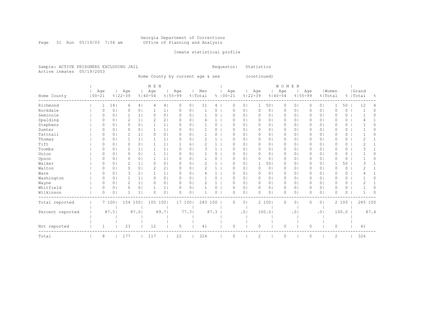#### Georgia Department of Corrections Page 31 Run 05/19/03 7:54 am Office of Planning and Analysis

## Inmate statistical profile

Sample: ACTIVE PRISONERS EXCLUDING JAIL **Requestor:** Statistics Active inmates 05/19/2003

Home County by current age & sex (continued)

|                           |        |                |                |                | M E N         |                |             |                |         |          |             |                |                |                | WOMEN       |                |          |                |               |          |           |      |
|---------------------------|--------|----------------|----------------|----------------|---------------|----------------|-------------|----------------|---------|----------|-------------|----------------|----------------|----------------|-------------|----------------|----------|----------------|---------------|----------|-----------|------|
| Age                       |        | Age            |                |                | Age           |                | Age         |                | Men     |          | Age         |                | Age            |                | Age         |                | Age      |                | Women         |          | Grand     |      |
| $100 - 21$<br>Home County |        | $8122 - 39$    |                | $8140 - 54$    |               |                | $8155 - 99$ |                | % Total |          | $8100 - 21$ |                | $8122 - 39$    |                | $8140 - 54$ | $8155 - 99$    |          | % Total        |               |          | %   Total | 옹    |
| Richmond                  | 14     |                | 6              | 4              |               | 4              | 0           | 0 <sub>1</sub> | 11      | 4        | $\Omega$    | 0 <sub>1</sub> | 1              | 501            | 0           | 0              | 0        | 0 <sub>1</sub> |               | 50       | 12        | 4    |
| Rockdale<br>$\Omega$      |        | 0 <sub>1</sub> | 0              | 0 <sub>1</sub> |               | 1              | $\Omega$    | 0 <sub>1</sub> |         | 0        | $\Omega$    | 0 <sup>1</sup> | 0              | 01             | 0           | 0              | 0        | 0 <sub>1</sub> | 0             | 0        |           | 0    |
| Seminole                  |        | 0 <sub>1</sub> |                | 1 <sup>1</sup> | $\Omega$      | 0 <sub>1</sub> | $\Omega$    | 0 <sup>1</sup> |         | $\Omega$ | $\Omega$    | 0 <sub>1</sub> | $\circ$        | 01             | $\circ$     | 0 <sup>1</sup> | 0        | 0 <sup>1</sup> | $\Omega$      | 0        |           | Ω    |
| Spalding<br>$\Omega$      |        | 0 <sub>1</sub> | $\overline{2}$ | 1 <sub>1</sub> | $\mathcal{D}$ | 2 <sub>1</sub> | $\Omega$    | 0 <sub>1</sub> |         |          | $\Omega$    | 0 <sub>1</sub> | 0              | 01             | $\Omega$    | 0              | 0        | 0 <sup>1</sup> | 0             | $\Omega$ |           |      |
| Stephens<br>$\Omega$      |        | 0 <sub>1</sub> | 0              | 0 <sub>1</sub> |               | 1 <sub>1</sub> | $\Omega$    | 0 <sub>1</sub> |         | 0        | $\Omega$    | 0 <sup>1</sup> | 0              | 01             | $\circ$     | 0              | 0        | 0 <sup>1</sup> | $\Omega$      | 0        |           |      |
| Sumter                    |        | 0 <sub>1</sub> | Ω              | 0 <sub>1</sub> |               | 1 <sub>1</sub> | $\Omega$    | 0 <sup>1</sup> |         | 0        | $\Omega$    | 0 <sub>1</sub> | $\circ$        | 01             | 0           | 0              | 0        | 0 <sup>1</sup> | $\Omega$      | 0        |           |      |
| Tattnall<br>$\Omega$      |        | 0 <sub>1</sub> |                | 1 <sup>1</sup> | $\Omega$      | 0 <sub>1</sub> | $\Omega$    | 0 <sup>1</sup> |         | 0        | $\Omega$    | 0 <sub>1</sub> | $\circ$        | 0 <sub>1</sub> | $\circ$     | 0              | 0        | 0 <sup>1</sup> | $\Omega$      | 0        |           | 0    |
| Thomas                    |        | 0 <sub>1</sub> |                | 1 <sup>1</sup> |               | 1 <sub>1</sub> | $\Omega$    | 0 <sub>1</sub> |         |          | O           | 01             | $\circ$        | 01             | $\circ$     | 0              | 0        | 0 <sup>1</sup> | 0             | 0        |           |      |
| Tift                      |        | 0 <sup>1</sup> | Ω              | 0 <sub>1</sub> |               | 1 <sub>1</sub> |             | 61             |         |          | $\Omega$    | $\Omega$ I     | 0              | $\Omega$       | $\Omega$    | 0              | 0        | 0 <sup>1</sup> | O             | $\Omega$ |           |      |
| Toombs<br>$\Omega$        |        | 0 <sub>1</sub> | 2              | 1 <sup>1</sup> |               | 1 <sub>1</sub> | $\bigcap$   | 0 <sup>1</sup> | ٦       |          | $\Omega$    | 0 <sub>1</sub> | $\circ$        | 01             | $\circ$     | 0              | $\Omega$ | 0 <sup>1</sup> | $\Omega$      | 0        |           |      |
| Union<br>$\Omega$         |        | 0 <sub>1</sub> | 0              | 0 <sub>1</sub> |               | 1 <sub>1</sub> | $\Omega$    | 0 <sub>1</sub> |         | 0        | $\Omega$    | 0 <sub>1</sub> | $\mathbf 0$    | 01             | 0           | 0              | 0        | 0 <sub>1</sub> | 0             | 0        |           | Ω    |
| Upson                     |        | 0 <sub>1</sub> | Ω              | 0 <sub>1</sub> |               | 1 <sub>1</sub> | 0           | 0 <sub>1</sub> |         | O        | O           | 0 <sub>1</sub> | $\Omega$       | 01             | $\Omega$    | 0              | 0        | 0 <sup>1</sup> | $\Omega$      | $\Omega$ |           |      |
| Walker                    |        | 0 <sub>1</sub> | 2              | 1 <sub>1</sub> | 0             | 0 <sub>1</sub> | $\Omega$    | 0 <sub>1</sub> | 2       |          | $\Omega$    | 0              |                | 501            | 0           | 0              | 0        | 0 <sup>1</sup> |               | 50       |           |      |
| Walton                    |        | 0 <sub>1</sub> | 0              | 0 <sub>1</sub> | 2             | 2 <sub>1</sub> | $\Omega$    | 0 <sup>1</sup> |         |          | $\Omega$    | 0 <sub>1</sub> | $\circ$        | 0 <sub>1</sub> | $\circ$     | 0              | 0        | 0 <sup>1</sup> | $\Omega$      | 0        |           |      |
| Ware<br>O                 |        | 0 <sub>1</sub> | 3              | 2 <sub>1</sub> |               | 1 <sub>1</sub> | O.          | 0 <sub>1</sub> |         |          | O           | 01             | 0              | 01             | 0           | 0              | 0        | 0 <sup>1</sup> | O             | 0        |           |      |
| Washington<br>$\Omega$    |        | 0 <sub>1</sub> |                | 1 <sub>1</sub> | 0             | 0 <sub>1</sub> | $\Omega$    | 0 <sub>1</sub> |         | 0        | $\Omega$    | 0 <sup>1</sup> | 0              | 01             | 0           | 0              | 0        | 0 <sup>1</sup> | $\Omega$      | 0        |           | Λ    |
| Wayne<br>$\Omega$         |        | 0 <sub>1</sub> | 2              | 1 <sup>1</sup> | O             | 0 <sub>1</sub> | $\Omega$    | 0 <sup>1</sup> | 2       |          | $\Omega$    | 0 <sub>1</sub> | $\circ$        | 0 <sub>1</sub> | $\circ$     | 0              | $\Omega$ | 0 <sup>1</sup> | $\Omega$      | 0        |           |      |
| Whitfield<br>$\Omega$     |        | 0 <sub>1</sub> | 0              | 0 <sub>1</sub> |               | 1 <sub>1</sub> | $\Omega$    | 0 <sub>1</sub> |         | 0        | $\Omega$    | 0 <sub>1</sub> | 0              | 0 <sub>1</sub> | 0           | 0              | 0        | 0 <sub>1</sub> | $\Omega$      | 0        |           | 0    |
| Wilkinson<br>$\Omega$     |        | 0 <sub>1</sub> |                | 1 <sup>1</sup> | O             | 0 <sub>1</sub> | $\Omega$    | 0 <sub>1</sub> |         | 0        | $\Omega$    | 0 <sub>1</sub> | $\Omega$       | 0 <sup>1</sup> | $\circ$     | 0              | Ω        | 0 <sup>1</sup> | $\Omega$      | 0        |           | U    |
| Total reported            | 7 1001 |                | 154 100        |                | 105 100       |                | 17 100      |                | 283 100 |          | $\Omega$    | 0 <sub>1</sub> |                | 2 100          | $\circ$     | 0              | 0        | 0 <sub>1</sub> |               | 2 100    | 285 100   |      |
|                           |        |                |                |                |               |                |             |                |         |          |             |                |                |                |             |                |          |                |               |          |           |      |
| Percent reported          | 87.5   |                | 87.01          |                |               | 89.71          |             | 77.31          |         | 87.3     |             | .01            |                | 100.0          |             | $\cdot$ 0      |          | .01            |               | 100.0    |           | 87.4 |
|                           |        |                |                |                |               |                |             |                |         |          |             |                |                |                |             |                |          |                |               |          |           |      |
| Not reported<br>1         |        |                | 23             |                | 12            |                | 5           |                | 41      |          | $\Omega$    |                | $\circ$        |                | 0           |                | 0        |                | 0             |          | 41        |      |
| 8<br>Total                |        | 177            |                |                | 117           |                | 22          |                | 324     |          | $\Omega$    |                | $\overline{2}$ |                | $\Omega$    |                | $\Omega$ |                | $\mathcal{D}$ |          | 326       |      |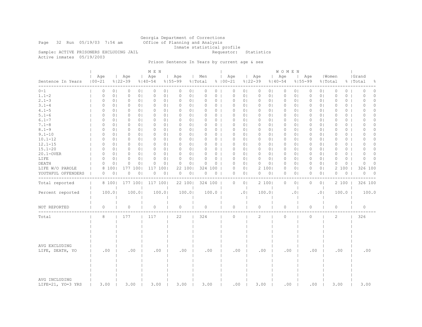Georgia Department of Corrections Page 32 Run 05/19/03 7:54 am Office of Planning and Analysis Inmate statistical profile<br>Requestor: Statistics

Sample: ACTIVE PRISONERS EXCLUDING JAIL Active inmates 05/19/2003

# Prison Sentence In Years by current age & sex

|                                    |                   |                |                    |                | M E N              |                |                            |                |                |                    |                |                    |                | <b>WOMEN</b>       |                |                    |                |                  |          |                    |                |
|------------------------------------|-------------------|----------------|--------------------|----------------|--------------------|----------------|----------------------------|----------------|----------------|--------------------|----------------|--------------------|----------------|--------------------|----------------|--------------------|----------------|------------------|----------|--------------------|----------------|
| Sentence In Years                  | Age<br>$100 - 21$ |                | Age<br>$8122 - 39$ |                | Age<br>$8140 - 54$ |                | Age<br>$8155 - 99$         | Men<br>% Total |                | Age<br>$8100 - 21$ |                | Age<br>$8122 - 39$ |                | Age<br>$8140 - 54$ |                | Age<br>$8155 - 99$ |                | Women<br>% Total |          | Grand<br>%   Total | 옹              |
| -----<br>$0 - 1$                   | 0                 | 0 <sub>1</sub> | 0                  | 0 <sub>1</sub> | 0                  | 0 <sub>1</sub> | 0<br>0 <sub>1</sub>        | 0              | $\circ$        | 0                  | 0 <sub>1</sub> | $\circ$            | 01             | $\circ$            | 0 <sub>1</sub> | 0                  | 0 <sub>1</sub> | $\circ$          | 0        | O                  | 0              |
| $1.1 - 2$                          | 0                 | 0 <sub>1</sub> | 0                  | 0 <sub>1</sub> | 0                  | 0 <sub>1</sub> | 0 <sub>1</sub><br>0        | 0              | 0 <sub>1</sub> | 0                  | 0 <sub>1</sub> | 0                  | 0 <sub>1</sub> | 0                  | 0 <sub>1</sub> | 0                  | 0 <sub>1</sub> | 0                | 0        | 0                  | $\circ$        |
| $2.1 - 3$                          | 0                 | 0 <sub>1</sub> | 0                  | 0 <sub>1</sub> | 0                  | 0 <sub>1</sub> | 0<br>0 <sub>1</sub>        | 0              | 0 <sub>1</sub> | $\circ$            | 0 <sub>1</sub> | $\circ$            | 0 <sub>1</sub> | $\circ$            | 0 <sub>1</sub> | 0                  | 0 <sub>1</sub> | $\mathbf{0}$     | 0        | $\Omega$           | $\circ$        |
| $3.1 - 4$                          | 0                 | 0 <sub>1</sub> | 0                  | 0 <sub>1</sub> | 0                  | 0 <sub>1</sub> | $\Omega$<br>0 <sub>1</sub> | 0              | 0 <sub>1</sub> | $\Omega$           | 0 <sub>1</sub> | 0                  | 01             | 0                  | 0 <sub>1</sub> | $\Omega$           | 0 <sup>1</sup> | $\Omega$         | $\circ$  | ∩                  | $\Omega$       |
| $4.1 - 5$                          | 0                 | 0 <sub>1</sub> | 0                  | 0 <sub>1</sub> | 0                  | 0 <sub>1</sub> | 0 <sub>1</sub><br>0        | 0              | 0 <sub>1</sub> | 0                  | 0 <sub>1</sub> | 0                  | 0 <sub>1</sub> | 0                  | 0 <sub>1</sub> | 0                  | 0 <sub>1</sub> | 0                | $\circ$  | 0                  | 0              |
| $5.1 - 6$                          | 0                 | 0 <sub>1</sub> | 0                  | 0 <sub>1</sub> | 0                  | 0 <sub>1</sub> | $\Omega$<br>0 <sup>1</sup> | $\Omega$       | 0 <sub>1</sub> | $\Omega$           | 0 <sub>1</sub> | 0                  | 01             | 0                  | 0 <sub>1</sub> | 0                  | 0 <sup>1</sup> | $\circ$          | $\circ$  | O                  | $\Omega$       |
| $6.1 - 7$                          | 0                 | 0 <sub>1</sub> | $\circ$            | 0 <sub>1</sub> | 0                  | 0 <sub>1</sub> | 0 <sub>1</sub><br>$\Omega$ | 0              | 0 <sub>1</sub> | $\Omega$           | 0 <sub>1</sub> | 0                  | 01             | 0                  | 0 <sub>1</sub> | 0                  | 0 <sub>1</sub> | $\Omega$         | $\circ$  | O                  | $\Omega$       |
| $7.1 - 8$                          | 0                 | 0 <sub>1</sub> | 0                  | 0 <sub>1</sub> | 0                  | 0 <sub>1</sub> | 0<br>0 <sub>1</sub>        | 0              | 0 <sub>1</sub> | 0                  | 0 <sub>1</sub> | 0                  | 01             | 0                  | 0 <sup>1</sup> | 0                  | 0 <sub>1</sub> | 0                | $\circ$  | 0                  | $\Omega$       |
| $8.1 - 9$                          | 0                 | 0 <sub>1</sub> | $\circ$            | 0 <sub>1</sub> | $\circ$            | 0 <sub>1</sub> | $\circ$<br>0 <sub>1</sub>  | $\Omega$       | 0 <sub>1</sub> | $\circ$            | 0 <sub>1</sub> | $\circ$            | 0 <sub>1</sub> | $\circ$            | 0 <sub>1</sub> | 0                  | 0 <sup>1</sup> | $\circ$          | 0        | 0                  | $\circ$        |
| $9.1 - 10$                         | $\Omega$          | 0 <sub>1</sub> | 0                  | 0 <sub>1</sub> | $\Omega$           | 0 <sub>1</sub> | 0 <sub>1</sub><br>$\Omega$ | 0              | 0 <sub>1</sub> | $\Omega$           | 0 <sub>1</sub> | 0                  | 01             | 0                  | 0 <sub>1</sub> | $\Omega$           | 0 <sub>1</sub> | $\Omega$         | $\Omega$ | O                  | $\Omega$       |
| $10.1 - 12$                        | 0                 | 0 <sub>1</sub> | 0                  | 0 <sub>1</sub> | 0                  | 0 <sub>1</sub> | 0 <sub>1</sub><br>0        | 0              | 0 <sub>1</sub> | 0                  | 0 <sub>1</sub> | 0                  | 0 <sub>1</sub> | 0                  | 0 <sub>1</sub> | 0                  | 0 <sub>1</sub> | 0                | $\circ$  | 0                  | 0              |
| $12.1 - 15$                        | $\Omega$          | 0 <sub>1</sub> | 0                  | 0 <sub>1</sub> | 0                  | 0 <sub>1</sub> | $\Omega$<br>0 <sup>1</sup> | 0              | 0 <sub>1</sub> | $\Omega$           | 0 <sub>1</sub> | $\mathbf{0}$       | 01             | 0                  | 0 <sub>1</sub> | 0                  | 0 <sup>1</sup> | $\Omega$         | $\circ$  | 0                  | $\Omega$       |
| $15.1 - 20$                        | $\Omega$          | 0 <sub>1</sub> | $\circ$            | 0 <sub>1</sub> | 0                  | 0 <sub>1</sub> | 0 <sub>1</sub><br>0        | 0              | 0 <sub>1</sub> | $\Omega$           | 0 <sub>1</sub> | 0                  | $\circ$        | 0                  | 0 <sub>1</sub> | 0                  | 0 <sub>1</sub> | $\Omega$         | 0        | O                  | $\Omega$       |
| 20.1-OVER                          | 0                 | 0 <sub>1</sub> | $\circ$            | 0 <sub>1</sub> | 0                  | 0 <sub>1</sub> | 0<br>0 <sup>1</sup>        | $\Omega$       | 0 <sub>1</sub> | $\circ$            | 0 <sub>1</sub> | $\mathbf{0}$       | 0 <sub>1</sub> | 0                  | 0 <sup>1</sup> | 0                  | 0 <sub>1</sub> | $\circ$          | 0        | 0                  | $\Omega$       |
| LIFE                               | 0                 | 0 <sub>1</sub> | $\circ$            | 0 <sub>1</sub> | 0                  | 0 <sub>1</sub> | $\Omega$<br>0 <sub>1</sub> | 0              | 0 <sub>1</sub> | $\circ$            | 0 <sub>1</sub> | $\circ$            | 0 <sub>1</sub> | $\circ$            | 0 <sub>1</sub> | 0                  | 0 <sup>1</sup> | $\Omega$         | 0        | ∩                  | $\Omega$       |
| DEATH                              | $\Omega$          | 0 <sup>1</sup> | $\circ$            | $\circ$        | 0                  | 0 <sub>1</sub> | 0<br>0 <sub>1</sub>        | 0              | 0 <sub>1</sub> | $\Omega$           | 0 <sub>1</sub> | 0                  | $\circ$        | $\circ$            | 0 <sub>1</sub> | 0                  | 0 <sup>1</sup> | $\Omega$         | $\Omega$ | O                  | $\Omega$       |
| LIFE W/O PAROLE                    | 8                 | 1001           | 177                | 100            | 117                | 100            | 22<br>1001                 |                | 324 100        | $\circ$            | 0 <sub>1</sub> |                    | 2 100          | 0                  | 0 <sub>1</sub> | 0                  | 0 <sub>1</sub> | 2                | 100      | 326                | 100            |
| YOUTHFUL OFFENDERS                 | 0                 | 0 <sub>1</sub> | 0                  | $\circ$        | 0                  | 0 <sub>1</sub> | 0 <sub>1</sub><br>0        | 0              | 0 <sub>1</sub> | 0                  | 0 <sub>1</sub> | 0                  | 0 <sub>1</sub> | 0                  | 0 <sub>1</sub> | 0                  | 0 <sub>1</sub> | $\circ$          | $\circ$  | $\circ$            | $\overline{0}$ |
|                                    |                   |                |                    |                |                    |                |                            |                |                |                    |                |                    |                |                    |                |                    |                |                  |          |                    |                |
| Total reported                     |                   | 8 100          | 177 100            |                | 117 100            |                | 22 100                     |                | 324 100        | $\circ$            | 0 <sup>1</sup> |                    | 2 100          | $\circ$            | 0 <sub>1</sub> | $\circ$            | 0 <sub>1</sub> |                  | 2 100    | 326 100            |                |
| Percent reported                   |                   | 100.0          |                    | 100.01         | 100.01             |                | 100.0                      |                | 100.0          |                    | .01            |                    | 100.01         |                    | .01            |                    | .0             |                  | 100.0    | 100.0              |                |
| NOT REPORTED                       | 0                 |                | $\circ$            |                | $\circ$            |                | $\circ$                    | 0              |                | $\mathbf{0}$       |                | $\circ$            |                | $\circ$            |                | 0                  |                | $\circ$          |          | $\circ$            |                |
| Total                              | 8                 |                | 177                |                | 117                |                | 22                         | 324            |                | $\circ$            |                | 2                  |                | $\circ$            |                | $\circ$            |                | 2                |          | 326                |                |
| AVG EXCLUDING<br>LIFE, DEATH, YO   | .00               |                | .00                |                | .00                |                | .00                        |                | .00            | .00                |                | .00                |                | .00                |                | .00                |                | .00              |          | .00                |                |
| AVG INCLUDING<br>LIFE=21, YO=3 YRS | 3.00              |                | 3.00               |                | 3.00               |                | 3.00                       | 3.00           |                | .00                |                | 3.00               |                | .00                |                | .00                |                | 3.00             |          | 3.00               |                |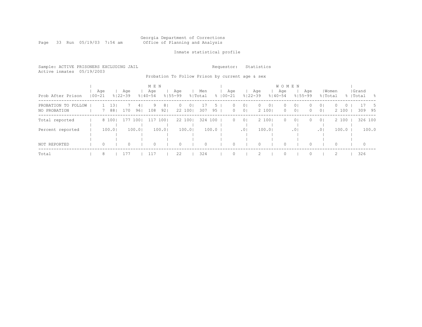Georgia Department of Corrections Page 33 Run 05/19/03 7:54 am Office of Planning and Analysis

## Inmate statistical profile

Sample: ACTIVE PRISONERS EXCLUDING JAIL **Requestor:** Statistics Active inmates 05/19/2003

Probation To Follow Prison by current age & sex

| Prob After Prison                   | Age<br>$100 - 21$ |         |           | Aqe<br>$8122 - 39$ |          | M E N<br>Age<br>$8140 - 54$ |                       | Aqe<br>$8155 - 99$ |                           | Men<br>% Total |                     | Age<br>$8100 - 21$ | $8122 - 39$                      | Age      |                         | W O M E N<br>Age<br>$8140 - 54$ | $8155 - 99$                      | Age                  | % Total                          | Women             |         | Grand<br>%   Total | - 옹       |
|-------------------------------------|-------------------|---------|-----------|--------------------|----------|-----------------------------|-----------------------|--------------------|---------------------------|----------------|---------------------|--------------------|----------------------------------|----------|-------------------------|---------------------------------|----------------------------------|----------------------|----------------------------------|-------------------|---------|--------------------|-----------|
| PROBATION TO FOLLOW<br>NO PROBATION |                   |         | 13<br>881 | 170                | 4<br>961 | 9<br>108                    | 8 <sub>1</sub><br>921 | 0                  | 0 <sub>1</sub><br>22 1001 | 307            | $\mathcal{D}$<br>95 | 0<br>$\circ$       | 0 <sub>1</sub><br>0 <sub>1</sub> | $\Omega$ | 0 <sub>1</sub><br>2 100 | $\circ$<br>$\circ$              | 0 <sup>1</sup><br>0 <sup>1</sup> | $\Omega$<br>$\Omega$ | 0 <sup>1</sup><br>0 <sup>1</sup> | $\Omega$<br>2 100 | $\circ$ | 309                | - 5<br>95 |
| Total reported                      |                   |         | 8 100     | 177                | 1001     | 117                         | 1001                  |                    | 22 1001                   | 324            | 100                 | $\Omega$           | 0 <sup>1</sup>                   |          | 2 1001                  | $\Omega$                        | 0 <sup>1</sup>                   | $\Omega$             | 0 <sup>1</sup>                   | 2 100             |         | 326 100            |           |
| Percent reported                    |                   |         | 100.0     |                    | 100.0    |                             | 100.0                 |                    | 100.01                    |                | 100.0               |                    | .0 <sub>1</sub>                  |          | 100.01                  |                                 | .01                              |                      | .01                              | 100.0             |         |                    | 100.0     |
| NOT REPORTED                        |                   | $\circ$ |           | $\Omega$           |          | 0                           |                       | $\Omega$           |                           | $\Omega$       |                     |                    |                                  |          |                         | $\Omega$                        |                                  |                      |                                  | $\Omega$          |         | $\circ$            |           |
| Total                               |                   | 8       |           | 177                |          | 117                         |                       | 22                 |                           | 324            |                     |                    |                                  |          |                         | $\Omega$                        |                                  |                      |                                  |                   |         | 326                |           |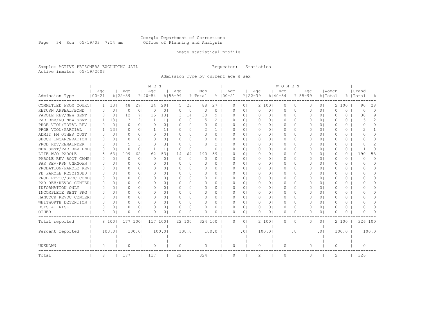#### Georgia Department of Corrections Page 34 Run 05/19/03 7:54 am Office of Planning and Analysis

## Inmate statistical profile

Sample: ACTIVE PRISONERS EXCLUDING JAIL **Requestor:** Statistics Active inmates 05/19/2003

Admission Type by current age & sex

|                       |              |                |             |                | M E N        |                |             |                |          |          |             |           |                |             |                | <b>WOMEN</b> |                |           |                |           |          |           |               |
|-----------------------|--------------|----------------|-------------|----------------|--------------|----------------|-------------|----------------|----------|----------|-------------|-----------|----------------|-------------|----------------|--------------|----------------|-----------|----------------|-----------|----------|-----------|---------------|
|                       | Age          |                | Age         |                | Age          |                | Aqe         |                | Men      |          | Age         |           |                | Age         |                | Age          |                | Age       |                | Women     |          | Grand     |               |
| Admission Type        | $100 - 21$   |                | $8122 - 39$ |                | $8140 - 54$  |                | $8155 - 99$ |                | % Total  |          | $8100 - 21$ |           |                | $8122 - 39$ |                | $8140 - 54$  | $8155 - 99$    |           | % Total        |           |          | %   Total | - 옹           |
| COMMITTED FROM COURT  | $\mathbf{1}$ | 13             | 48          | 271            | 34           | 291            | 5           | 231            | 88       | 27       |             | 0         | 0 <sub>1</sub> | 2           | 1001           | 0            | 0 <sub>1</sub> | 0         | 0 <sub>1</sub> | 2         | 100      | 90        | 28            |
| RETURN APPEAL/BOND    | 0            | $\Omega$       | $\Omega$    | 0 <sup>1</sup> | $\Omega$     | $\Omega$       | $\Omega$    | 0 <sup>1</sup> | $\Omega$ | 0        |             | U         | 0 <sub>1</sub> | $\Omega$    | 0 <sub>1</sub> | $\Omega$     | 0 <sub>1</sub> | $\Omega$  | $\bigcirc$     | $\Omega$  | $\Omega$ | $\Omega$  | $\Omega$      |
| PAROLE REV/NEW SENT   | 0            | 0 <sub>1</sub> | 12          | 7 <sub>1</sub> | 15           | 131            | 3           | 14             | 30       | 9        |             | $\Omega$  | 0 <sup>1</sup> | $\Omega$    | 0 <sub>1</sub> | $\Omega$     | 0 <sub>1</sub> | $\Omega$  | $\bigcirc$     | O         | $\Omega$ | 30        | 9             |
| PAR REV/NO NEW SENT   | 1.           | 131            | 3           | 21             | $\mathbf{1}$ | 1 <sup>1</sup> | $\Omega$    | 0 <sub>1</sub> | 5        | 2        |             | $\Omega$  | 0 <sup>1</sup> | $\Omega$    | 0 <sub>1</sub> | $\Omega$     | 0 <sub>1</sub> | $\Omega$  | $\bigcirc$     | $\Omega$  | $\Omega$ | 5         | $\mathcal{L}$ |
| PROB VIOL/TOTAL REV   | 0            | $\circ$        | 0           | $\Omega$       | $\Omega$     | 0 <sub>1</sub> | $\Omega$    | 0 <sub>1</sub> | $\Omega$ | 0        |             | $\Omega$  | 0 <sup>1</sup> | $\Omega$    | 0 <sup>1</sup> | $\Omega$     | 0 <sup>1</sup> | $\Omega$  | 0 <sub>1</sub> | $\Omega$  | $\Omega$ | $\Omega$  | $\Omega$      |
| PROB VIOL/PARTIAL     | 1.           | 131            | 0           | 0 <sub>1</sub> | 1.           | 11             | $\Box$      | 0 <sub>1</sub> |          | 1.       |             | Ω         | 0 <sup>1</sup> | $\Omega$    | 0 <sup>1</sup> | $\Omega$     | 0 <sup>1</sup> |           | 0 <sub>1</sub> | O         | 0        | 2         |               |
| ADMIT FM OTHER CUST   | 0            | 0 <sub>1</sub> | $\Omega$    | 0 <sup>1</sup> | $\Omega$     | 0 <sup>1</sup> | $\Box$      | 0 <sub>1</sub> | $\Omega$ | 0        |             | O.        | 0 <sup>1</sup> | $\Omega$    | 0 <sup>1</sup> | $\Omega$     | 0 <sup>1</sup> | O         | 0 <sup>1</sup> | 0         | 0        | O         | 0             |
| SHOCK INCARCERATION   | 0            | 0 <sup>1</sup> | $\Omega$    | 0 <sup>1</sup> | $\Omega$     | 0 <sub>1</sub> | $\Omega$    | 0 <sub>1</sub> | $\Omega$ | 0        |             | O.        | 0 <sup>1</sup> | $\Omega$    | 0 <sup>1</sup> | $\Omega$     | 0 <sup>1</sup> | 0         | 0 <sub>1</sub> | $\bigcap$ | 0        | ∩         | 0             |
| PROB REV/REMAINDER    | $\Omega$     | 0 <sub>1</sub> | 5           | 31             | 3            | 31             | $\Omega$    | 0 <sub>1</sub> | 8        | 2        |             | $\Omega$  | 0 <sub>1</sub> | $\Omega$    | 0 <sub>1</sub> | $\Omega$     | 0 <sub>1</sub> | $\Omega$  | 0 <sub>1</sub> | O         | $\circ$  | 8         | 2             |
| NEW SENT/PAR REV PNDI | $\Omega$     | $\Omega$       | $\Omega$    | 0 <sup>1</sup> | 1            | 11             | $\Omega$    | 0 <sub>1</sub> | 1        | $\Omega$ |             | U         | 0 <sup>1</sup> | $\Omega$    | 0 <sub>1</sub> | $\Omega$     | 0 <sub>1</sub> | $\Omega$  | 0 <sup>1</sup> | $\Omega$  | $\Omega$ |           | $\Omega$      |
| LIFE W/O PAROLE       | 5            | 631            | 109         | 621            | 62           | 531            | 14          | 641            | 190      | 59       |             | U         | 0 <sup>1</sup> | $\Omega$    | 0 <sub>1</sub> | $\Omega$     | 0 <sup>1</sup> | $\Omega$  | 0 <sup>1</sup> | $\Omega$  | $\Omega$ | 190       | 58            |
| PAROLE REV BOOT CAMP  | 0            | 0 <sup>1</sup> | $\Omega$    | 0 <sup>1</sup> | $\Omega$     | 0 <sub>1</sub> | $\Omega$    | 0 <sub>1</sub> | $\Omega$ | $\Omega$ |             | 0         | 0 <sub>1</sub> | $\Omega$    | 0 <sup>1</sup> | $\Omega$     | 0 <sub>1</sub> |           | 0 <sub>1</sub> | $\Omega$  | $\Omega$ | $\Omega$  | $\Omega$      |
| PAR REV/RSN UNKNOWN   | 0            | $\Omega$       | 0           | 0 <sup>1</sup> | $\Omega$     | 0 <sup>1</sup> | $\Omega$    | 0 <sub>1</sub> | $\Omega$ | $\Omega$ |             | U         | 0 <sup>1</sup> | $\Omega$    | 0 <sup>1</sup> | $\Omega$     | 0 <sup>1</sup> | O         | 0 <sup>1</sup> | $\Omega$  | $\Omega$ | O         | $\Omega$      |
| PROBATION/PAROLE REV  | 0            | $\Omega$       | $\Omega$    | 0 <sup>1</sup> | $\Omega$     | 0 <sup>1</sup> | $\Omega$    | 0 <sub>1</sub> | $\Omega$ | 0        |             | Ω         | 0 <sup>1</sup> | $\Omega$    | 0 <sup>1</sup> | $\Omega$     | 0 <sub>1</sub> | 0         | 0 <sup>1</sup> | $\Omega$  | $\Omega$ | O         | 0             |
| PB PAROLE RESCINDED   | 0            | $\Omega$       | U           | 0 <sup>1</sup> | $\Omega$     | $\Omega$       | $\Omega$    | 0 <sub>1</sub> | $\Omega$ | 0        |             | U         | 0 <sup>1</sup> | $\bigcap$   | 0 <sub>1</sub> | $\bigcap$    | 0 <sub>1</sub> | $\Omega$  | 0 <sub>1</sub> | U         | $\Omega$ | U         | 0             |
| PROB REVOC/SPEC CONDI | $\Omega$     | $\Omega$       | $\Omega$    | 0 <sup>1</sup> | $\cap$       | 0 <sub>1</sub> | $\Omega$    | 0 <sub>1</sub> | $\Omega$ | 0        |             | U         | 0 <sub>1</sub> | $\bigcap$   | 0 <sub>1</sub> | $\Omega$     | 0 <sub>1</sub> | ∩         | 0 <sup>1</sup> | U         | 0        |           | <sup>n</sup>  |
| PAR REV/REVOC CENTERI | $\Omega$     | 0 <sup>1</sup> | O           | 0 <sup>1</sup> | $\Omega$     | 0 <sub>1</sub> | $\Omega$    | 0 <sub>1</sub> | O        | 0        |             | U         | 0 <sub>1</sub> | $\Omega$    | 0 <sub>1</sub> | $\Omega$     | 0 <sub>1</sub> | $\Omega$  | 0 <sup>1</sup> | U         | 0        |           | <sup>n</sup>  |
| INFORMATION ONLY      | O            | 0              | O           | 0 <sup>1</sup> | $\Omega$     | 0 <sub>1</sub> | $\Omega$    | 0 <sub>1</sub> | O        | 0        |             | U         | 0 <sub>1</sub> | $\Omega$    | 0 <sub>1</sub> | $\Omega$     | 0 <sub>1</sub> |           | 0 <sub>1</sub> | O         | 0        |           | $\cap$        |
| INCOMPLETE SENT PKG   | 0            | 0 <sub>1</sub> | 0           | 0 <sup>1</sup> | $\Omega$     | 0 <sub>1</sub> | $\Omega$    | 0 <sub>1</sub> | $\Omega$ | 0        |             | U         | 0 <sup>1</sup> | $\Omega$    | 0 <sub>1</sub> | $\Omega$     | 0 <sub>1</sub> |           | 0 <sub>1</sub> | $\Omega$  | 0        |           | $\cap$        |
| HANCOCK REVOC CENTER  | 0            | $\Omega$       | $\Omega$    | 0 <sup>1</sup> | <sup>o</sup> | 0 <sub>1</sub> | $\Omega$    | 0 <sub>1</sub> | $\Omega$ | 0        |             | O.        | 0 <sup>1</sup> | $\Omega$    | 0 <sub>1</sub> | $\Box$       | 0 <sub>1</sub> | 0         | 0 <sup>1</sup> | 0         | $\circ$  | U         | 0             |
| WHITWORTH DETENTION   | 0            | 0 <sub>1</sub> | $\Omega$    | 0 <sup>1</sup> | <sup>o</sup> | 0 <sup>1</sup> | $\Omega$    | 0 <sub>1</sub> | $\Omega$ | 0        |             | O.        | 0 <sup>1</sup> | $\Omega$    | 0 <sub>1</sub> | $\Box$       | 0 <sub>1</sub> | $\Omega$  | 0 <sup>1</sup> | 0         | $\Omega$ | U         | 0             |
| DCYS AT RISK          | $\Omega$     | 0 <sub>1</sub> | $\Omega$    | 0 <sup>1</sup> | $\Omega$     | 0 <sup>1</sup> | $\Omega$    | 0 <sup>1</sup> | $\Omega$ | $\Omega$ |             | $\bigcap$ | 0 <sup>1</sup> | 0           | 0 <sup>1</sup> | $\Omega$     | 0 <sub>1</sub> | $\bigcap$ | 0 <sup>1</sup> | $\bigcap$ | $\Omega$ | U         | 0             |
| OTHER                 | O            | 0              | O           | 0 <sup>1</sup> | O            | 0 <sub>1</sub> | $\Omega$    | 0 <sub>1</sub> | O        | 0        |             | $\Omega$  | 0 <sub>1</sub> | 0           | 0 <sub>1</sub> | 0            | 0 <sub>1</sub> | $\bigcap$ | 0 <sup>1</sup> | O         | $\Omega$ |           | $\cap$        |
| Total reported        |              | 8 100          | 177 1001    |                | 117 1001     |                |             | 22 1001        | 324 100  |          |             | $\Omega$  | 0 <sub>1</sub> |             | 2 1001         | 0            | 0 <sub>1</sub> | $\Omega$  | 0 <sub>1</sub> |           | 2 100    |           | 326 100       |
|                       |              |                |             |                |              |                |             |                |          |          |             |           |                |             |                |              |                |           |                |           |          |           |               |
| Percent reported      |              | 100.0          |             | 100.0          |              | 100.0          |             | 100.0          |          | 100.0    |             |           | .01            |             | 100.01         |              | .01            |           | .01            |           | 100.0    |           | 100.0         |
|                       |              |                |             |                |              |                |             |                |          |          |             |           |                |             |                |              |                |           |                |           |          |           |               |
| UNKNOWN               | 0            |                | 0           |                | $\circ$      |                | 0           |                | $\circ$  |          |             | 0         |                | 0           |                | 0            |                | 0         |                | 0         |          | 0         |               |
| Total                 | 8            |                | 177         |                | 117          |                | 22          |                | 324      |          |             | 0         |                | 2           |                | $\circ$      |                | 0         |                | 2         |          | 326       |               |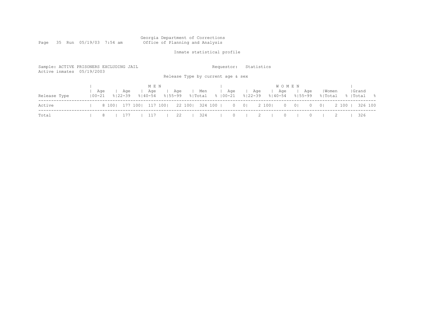# Georgia Department of Corrections<br>Office of Planning and Analysis

Page 35 Run 05/19/03 7:54 am

# Inmate statistical profile

| Sample: ACTIVE PRISONERS EXCLUDING JAIL<br>Active inmates 05/19/2003 |                   |                  |                             |                    |                  | Requestor:<br>Release Type by current age & sex | Statistics                               |                                    |                            |                           |                     |
|----------------------------------------------------------------------|-------------------|------------------|-----------------------------|--------------------|------------------|-------------------------------------------------|------------------------------------------|------------------------------------|----------------------------|---------------------------|---------------------|
| Release Type                                                         | Aqe<br>$100 - 21$ | Aqe<br>응   22-39 | M E N<br>Aqe<br>$8140 - 54$ | Age<br>$8155 - 99$ | Men<br>응 Total   | Age<br>%   00−21                                | Age<br>$8122 - 39$                       | <b>WOMEN</b><br>Age<br>$8140 - 54$ | Age<br>$8155 - 99$         | Women<br>% Total          | Grand<br>%  Total % |
| Active                                                               |                   | 8 100 177 100    | 117 100                     |                    | 22 100   324 100 |                                                 | $\begin{array}{ccc} 0 & 0 & \end{array}$ | 2 100  <br>$\circ$                 | $\overline{0}$<br>$\Omega$ | 2 100 1<br>0 <sup>1</sup> | 326 100             |
| Total                                                                | 8                 | 177              | 117                         | 22                 | 324              | $\Omega$                                        |                                          | $\Omega$                           |                            |                           | 326                 |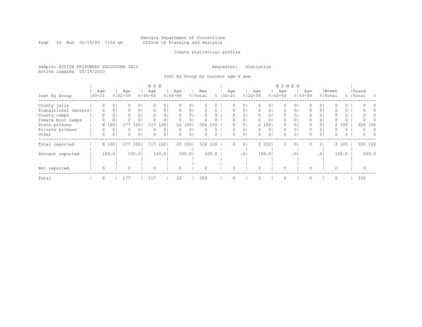#### Georgia Department of Corrections Page 36 Run 05/19/03 7:54 am Office of Planning and Analysis

## Inmate statistical profile

Sample: ACTIVE PRISONERS EXCLUDING JAIL **Requestor:** Statistics Active inmates 05/19/2003

Inst By Group by current age & sex

|                      |            |          |                |             |                | M E N       |                |             |                |         |          |             |                |             |                | <b>WOMEN</b> |                 |             |                |          |          |           |        |
|----------------------|------------|----------|----------------|-------------|----------------|-------------|----------------|-------------|----------------|---------|----------|-------------|----------------|-------------|----------------|--------------|-----------------|-------------|----------------|----------|----------|-----------|--------|
|                      |            | Age      |                | Age         |                | Age         |                | Age         |                | Men     |          | Age         |                | Age         |                | Age          |                 | Aqe         |                | Women    |          | Grand     |        |
| Inst By Group        | $100 - 21$ |          |                | $8122 - 39$ |                | $8140 - 54$ |                | $8155 - 99$ |                | % Total |          | $8100 - 21$ |                | $8122 - 39$ |                | $8140 - 54$  |                 | $8155 - 99$ | % Total        |          |          | %   Total | - 옹    |
| County jails         |            | 0        | 0 <sup>1</sup> | 0           | 0 <sup>1</sup> |             | 0 <sub>1</sub> | 0           | 0              |         |          |             | $\circ$        | 0           | 01             | 0            | $\circ$         |             | 0 <sub>1</sub> |          | 0        | $\bigcap$ |        |
| Transitional centers |            | 0        | 0              |             | 0 <sup>1</sup> |             | 0 <sub>1</sub> | 0           | 0              |         | 0        |             | $\circ$        | 0           | 01             | 0            | 0               | 0           | 0 <sub>1</sub> |          | 0        |           |        |
| County camps         |            | $\Omega$ | 0              | 0           | 0 <sup>1</sup> | $\Omega$    | 0 <sub>1</sub> | $\Omega$    | 0 <sub>1</sub> |         |          |             | $\circ$        | 0           | 01             | 0            | 0               | 0.          | 0 <sub>1</sub> |          | 0        | $\cap$    |        |
| Inmate boot camps    |            | 0        | 0              |             | 0 <sup>1</sup> | $\Omega$    | 0 <sub>1</sub> | $\Omega$    | $\circ$        |         | $\Omega$ | 0           | 0 <sub>1</sub> | $\Omega$    | 0 <sub>1</sub> | $\circ$      | $\circ$         | 0           | 0 <sub>1</sub> | 0        | $\circ$  | $\bigcap$ |        |
| State prisons        |            |          | 8 100          | 177         | L O O .        | 117         | 1001           |             | 22 100         | 324     | 100      |             | 0 <sub>1</sub> |             | 2 100          | 0            | 0               | 0           | 0 <sub>1</sub> |          | 2 100    | 326 100   |        |
| Private prisons      |            |          | 0              |             | $\circ$        |             | 0 <sub>1</sub> | $\Omega$    | $\circ$        |         |          |             | 0 <sup>1</sup> | $\circ$     | 0 <sub>1</sub> | 0            | 0               | 0           | 0 <sub>1</sub> | 0        | 0        | $\Omega$  | - 0    |
| Other                |            | $\Omega$ | 0              | 0           | 0 <sup>1</sup> | $\Omega$    | 0 <sub>1</sub> | 0           | 0              | $\cap$  | $\Omega$ | 0           | 0 <sub>1</sub> | $\Omega$    | 0 <sub>1</sub> | $\Omega$     | 0               | 0           | 0 <sub>1</sub> | $\Omega$ | $\Omega$ | $\Omega$  | $\cap$ |
| Total reported       |            |          | 8 100          | 177         | 1001           | 11          | 100            |             | 22 100         |         | 324 100  | 0           | $\overline{0}$ |             | 2 1001         | $\Omega$     | $\circ$         | 0           | 0 <sup>1</sup> |          | 2 100    | 326 100   |        |
|                      |            |          |                |             |                |             |                |             |                |         |          |             |                |             |                |              |                 |             |                |          |          |           |        |
| Percent reported     |            |          | 100.0          |             | 100.01         |             | 100.01         |             | 100.01         |         | 100.0    |             | .01            |             | 100.01         |              | .0 <sup>1</sup> |             | .01            |          | 100.0    |           | 100.0  |
|                      |            |          |                |             |                |             |                |             |                |         |          |             |                |             |                |              |                 |             |                |          |          |           |        |
|                      |            |          |                |             |                |             |                |             |                |         |          |             |                |             |                |              |                 |             |                |          |          |           |        |
| Not reported         |            | $\Omega$ |                |             |                | $\Omega$    |                |             |                |         |          |             |                |             |                | $\Omega$     |                 |             |                | $\Omega$ |          |           |        |
| Total                |            | 8        |                | 177         |                | 117         |                | 22          |                | 324     |          |             |                | 2           |                | $\Omega$     |                 |             |                | 2        |          | 326       |        |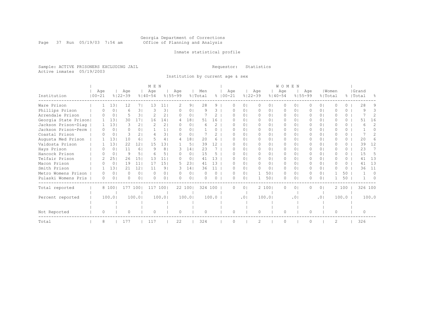#### Georgia Department of Corrections Page 37 Run 05/19/03 7:54 am Office of Planning and Analysis

# Inmate statistical profile

Sample: ACTIVE PRISONERS EXCLUDING JAIL **Requestor:** Statistics Active inmates 05/19/2003

Institution by current age & sex

|                      |              |                |             |                 | M E N         |                |             |                |          |               |             |          |               |                | <b>WOMEN</b> |                 |             |                |                |              |           |                |
|----------------------|--------------|----------------|-------------|-----------------|---------------|----------------|-------------|----------------|----------|---------------|-------------|----------|---------------|----------------|--------------|-----------------|-------------|----------------|----------------|--------------|-----------|----------------|
|                      | Age          |                | Age         |                 | Age           |                | Age         |                | Men      |               | Age         |          | Age           |                | Age          |                 | Age         |                | Women          |              | Grand     |                |
| Institution          | $100 - 21$   |                | $8122 - 39$ |                 | $8140 - 54$   |                | $8155 - 99$ |                | % Total  |               | $8100 - 21$ |          | $8122 - 39$   |                | $8140 - 54$  |                 | $8155 - 99$ |                | % Total        |              | %   Total | $\frac{6}{10}$ |
| Ware Prison          |              | 131            | 12          | 71              | 13            | 11             | 2           | 9 <sub>1</sub> | 28       | Q             |             | $\Omega$ | $\bigcap$     | $\cap$         | $\Omega$     | 0               |             | $\Omega$       | U              | <sup>n</sup> | 28        |                |
| Phillips Prison      |              | 0 <sup>1</sup> | 6           | 31              | 3             | 31             | $\Omega$    | $\Omega$       | 9        | 3             |             | $\Omega$ | $\Omega$      | 01             | $\Omega$     | $\Omega$        | 0           | $\Omega$       | O              | $\Omega$     | 9         | २              |
| Arrendale Prison     |              | 0 <sub>1</sub> | 5           | 31              | $\mathcal{L}$ | 21             | $\Omega$    | 0 <sub>1</sub> |          | 2             |             | $\Omega$ | $\Omega$      | 0 <sub>1</sub> | $\Omega$     | $\circ$         | 0           | 0 <sup>1</sup> | U              | 0            |           |                |
| Georgia State Prison |              | 131            | 30          | 17 <sup>1</sup> | 16            | 141            | 4           | 181            | 51       | 16            |             | $\cap$   | $\Omega$      | $\Omega$       | $\Omega$     | $\cap$          |             | $\cap$         |                | $\Omega$     | 51        | 16             |
| Jackson Prison-Diag  |              | 131            | 3           | 2 <sup>1</sup>  |               | 2 <sub>1</sub> | $^{(1)}$    | $\Omega$       | 6        | $\mathcal{L}$ | U           | $\Omega$ | $\Omega$      | $\Omega$ I     | $\Omega$     | $\Omega$        |             | $\Omega$       |                | $\Omega$     | ี         |                |
| Jackson Prison-Perm  |              | $\Omega$       | 0           | $\Omega$        |               | 11             |             | $\Omega$       |          | 0             |             | $\Omega$ | $\Omega$      | 01             | $\bigcap$    | 0               |             | $\Omega$       | U              | $\Omega$     |           | 0              |
| Coastal Prison       |              | 0              | 3           | $\overline{2}$  |               | 31             | $\Omega$    | $\Omega$       |          |               | n           | $\Omega$ | $\bigcap$     | 01             | $\Omega$     | 0               | 0           | $\Omega$       | U              | $\circ$      |           |                |
| Augusta Med Prison   |              | 131            | 10          | 6 <sup>1</sup>  |               | 4              | 4           | 181            | 2.0      | 6             | n           | $\cap$   | $\bigcap$     | 01             | $\bigcap$    | 0.              | 0           | 0 I            | n              | $\Omega$     | 2.0       |                |
| Valdosta Prison      |              | 131            | 22          | 121             | 1.5           | 131            |             | 5 <sub>1</sub> | 39       | 12            | O           | $\Omega$ | $\Omega$      | $\Omega$       | $\Omega$     | $\Omega$        | 0           | $\Omega$       | $\Omega$       | $\Omega$     | 39        | 12             |
| Hays Prison          |              | 0 <sub>1</sub> | 11          | 6 <sup>1</sup>  | - Q           | 8 <sup>1</sup> | 3           | 14             | 23       |               |             | $\Omega$ | $\bigcap$     | $\Omega$ I     | $\bigcap$    | $\Omega$        | 0           | $\Omega$       | U              | 0            | 23        |                |
| Hancock Prison       |              | 0 <sup>1</sup> | 9           | 5.              | -6            | 51             |             | $\Omega$       | 15       |               |             | $\Omega$ | $\Omega$      | $\Omega$       | $\Omega$     | $\Omega$        |             | $\Omega$       | O              | 0            | 1.5       | .5             |
| Telfair Prison       |              | 251            | 26          | 15              | 13            | 11             | $\Omega$    | 0 <sup>1</sup> | 41       | 13            | O           | $\Omega$ | $\Omega$      | $\Omega$       | $\Omega$     | $\Omega$        | 0           | 0 <sub>1</sub> | O              | $\Omega$     | 41        | 13             |
| Macon Prison         |              | $\Omega$       | 19          | 11              | 17            | 151            | 5.          | 231            | 41       | 13            |             | $\Omega$ | $\Omega$      | $\Omega$       | $\Omega$     | $\Omega$        |             | $\Omega$       | U              | 0            | 41        | 13             |
| Smith Prison         |              | 131            | 21          | 121             | 11            | 9 <sub>1</sub> |             | 141            | 36       | 11            | U           | 01       | $\bigcap$     | $\circ$        | $\Omega$     | $\Omega$        |             | 0 <sup>1</sup> | U              | $\Omega$     | 36        | 11             |
| Metro Womens Prison  | 0            | 0 <sub>1</sub> | $\Omega$    | $\Omega$        | $\Omega$      | 0 <sub>1</sub> |             | $\Omega$       | $\Omega$ | $\Omega$      | U           | $\Omega$ |               | 501            | $\Omega$     | $\Omega$        | 0           | $\Omega$       |                | 50           |           | $\Omega$       |
| Pulaski Womens Pris  | 0            | 0 <sup>1</sup> | 0           | $\Omega$        | ∩             | 0 <sub>1</sub> | U           | 0              |          | 0             | O           | $\circ$  |               | 501            | 0            | 0               | O           | 0 <sup>1</sup> |                | 50           |           | $\Omega$       |
| Total reported       |              | 8 100          |             | 177 1001        | 117           | 1001           |             | 22 1001        | 324 100  |               | 0           | $\Omega$ |               | 2 1001         | $\Omega$     | $\circ$         | $\Omega$    | 0 <sup>1</sup> |                | 2 100        | 326 100   |                |
|                      |              |                |             |                 |               |                |             |                |          |               |             |          |               |                |              |                 |             |                |                |              |           |                |
| Percent reported     |              | 100.01         |             | 100.01          |               | 100.01         |             | 100.0          |          | 100.0         |             | .01      |               | 100.01         |              | .0 <sub>1</sub> |             | .01            |                | 100.0        |           | 100.0          |
|                      |              |                |             |                 |               |                |             |                |          |               |             |          |               |                |              |                 |             |                |                |              |           |                |
|                      |              |                |             |                 |               |                |             |                |          |               |             |          |               |                |              |                 |             |                |                |              |           |                |
| Not Reported         | <sup>o</sup> |                | 0           |                 | ∩             |                | $\Omega$    |                |          |               | O           |          | 0             |                | $\Omega$     |                 | 0           |                | $\bigcap$      |              |           |                |
| Total                | 8            |                | 177         |                 | 117           |                | 22          |                | 324      |               | U           |          | $\mathcal{P}$ |                | $\Omega$     |                 |             |                | $\mathfrak{D}$ |              | 326       |                |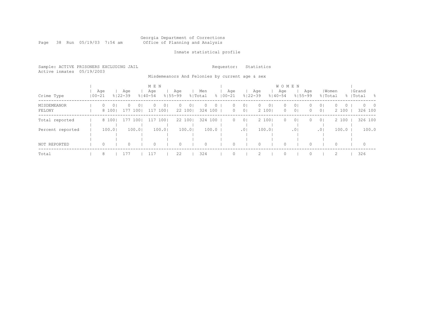#### Georgia Department of Corrections Page 38 Run 05/19/03 7:54 am Office of Planning and Analysis

# Inmate statistical profile

|  |                           | Sample: ACTIVE PRISONERS EXCLUDING JAIL |  | Requestor: Statistics |  |
|--|---------------------------|-----------------------------------------|--|-----------------------|--|
|  | Active inmates 05/19/2003 |                                         |  |                       |  |

Misdemeanors And Felonies by current age & sex

|                       |            |         |                  |                    |                              | M E N              |                         |                    |                           |                |                    |                    |                                  |                    |                         | W O M E N          |                                  |                      |                                  |                              |                           |  |
|-----------------------|------------|---------|------------------|--------------------|------------------------------|--------------------|-------------------------|--------------------|---------------------------|----------------|--------------------|--------------------|----------------------------------|--------------------|-------------------------|--------------------|----------------------------------|----------------------|----------------------------------|------------------------------|---------------------------|--|
| Crime Type            | $100 - 21$ | Age     |                  | Age<br>$8122 - 39$ |                              | Age<br>$8140 - 54$ |                         | Age<br>$8155 - 99$ |                           | Men<br>% Total |                    | Age<br>$8100 - 21$ |                                  | Age<br>$8122 - 39$ |                         | Age<br>$8140 - 54$ |                                  | Age<br>$8155 - 99$   | % Total                          | Women                        | Grand<br>%   Total<br>- 옹 |  |
| MISDEMEANOR<br>FELONY |            | $\circ$ | $\circ$<br>8 100 | $\Omega$           | $\overline{0}$ 1<br>177 1001 | $\Omega$<br>117    | 0 <sub>1</sub><br>$100$ | $\circ$            | 0 <sub>1</sub><br>22 1001 | $\Omega$       | $\circ$<br>324 100 | 0<br>$\mathbf{0}$  | 0 <sub>1</sub><br>0 <sup>1</sup> | $\circ$            | 0 <sub>1</sub><br>2 100 | $\circ$<br>$\circ$ | 0 <sub>1</sub><br>0 <sup>1</sup> | $\Omega$<br>$\Omega$ | 0 <sub>1</sub><br>0 <sup>1</sup> | $\Omega$<br>$\circ$<br>2 100 | $0\qquad 0$<br>326 100    |  |
| Total reported        |            |         | 8 100            | 177 1001           |                              |                    | 117 1001                |                    | 22 1001                   |                | 324 100            | $\circ$            | 0 <sup>1</sup>                   |                    | 2 1001                  | $\circ$            | 0 <sup>1</sup>                   | $\Omega$             | 0 <sup>1</sup>                   | 2 100                        | 326 100                   |  |
| Percent reported      |            |         | 100.01           |                    | 100.01                       |                    | 100.0                   |                    | 100.01                    |                | 100.0              |                    | .0 <sub>1</sub>                  |                    | 100.01                  |                    | .01                              |                      | .01                              | 100.0                        | 100.0                     |  |
| NOT REPORTED          |            | $\circ$ |                  | 0                  |                              | 0                  |                         | 0                  |                           | 0              |                    | 0                  |                                  | $\Omega$           |                         | $\circ$            |                                  | $\Omega$             |                                  | 0                            | $\circ$                   |  |
| Total                 |            | 8       |                  | 177                |                              | 117                |                         | 22                 |                           | 324            |                    |                    |                                  |                    |                         | $\Omega$           |                                  |                      |                                  |                              | 326                       |  |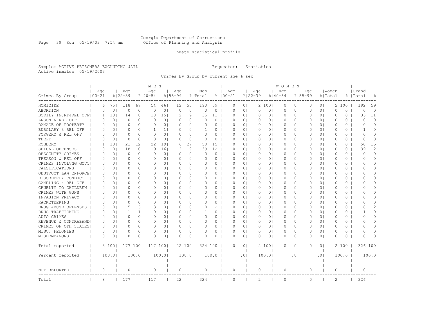#### Georgia Department of Corrections Page 39 Run 05/19/03 7:54 am Office of Planning and Analysis

## Inmate statistical profile

Sample: ACTIVE PRISONERS EXCLUDING JAIL **Requestor:** Statistics Active inmates 05/19/2003

Crimes By Group by current age & sex

|                       |                   |                |                    |                | M E N              |                |                    |                |                |          |                    |                |                    |                | W O M E N          |                |                    |                |                  |          |                    |               |
|-----------------------|-------------------|----------------|--------------------|----------------|--------------------|----------------|--------------------|----------------|----------------|----------|--------------------|----------------|--------------------|----------------|--------------------|----------------|--------------------|----------------|------------------|----------|--------------------|---------------|
| Crimes By Group       | Age<br>$100 - 21$ |                | Age<br>$8122 - 39$ |                | Age<br>$8140 - 54$ |                | Aqe<br>$8155 - 99$ |                | Men<br>% Total |          | Age<br>$8100 - 21$ |                | Aqe<br>$8122 - 39$ |                | Age<br>$8140 - 54$ |                | Age<br>$8155 - 99$ |                | Women<br>% Total |          | Grand<br>%   Total | 욲             |
|                       |                   |                |                    |                |                    |                |                    |                |                |          |                    |                |                    |                |                    |                |                    |                |                  |          |                    |               |
| HOMICIDE              | 6                 | 751            | 118                | 671            | 54                 | 461            | 12                 | 551            | 190            | 59       | 0                  | 0 <sub>1</sub> |                    | 2 100          | 0                  | 0 <sub>1</sub> | $\circ$            | 0 <sub>1</sub> | 2                | 100      | 192                | 59            |
| ABORTION              | $\Omega$          | 0 <sub>1</sub> | $\circ$            | 0 <sub>1</sub> | $\mathbf 0$        | 0 <sub>1</sub> | $\Omega$           | 0 <sub>1</sub> | $\Omega$       | $\circ$  | $\Omega$           | 0 <sub>1</sub> | $\circ$            | 0 <sub>1</sub> | $\circ$            | 0 <sub>1</sub> | $\circ$            | 0 <sub>1</sub> | $\Omega$         | $\Omega$ | $\Omega$           | $\Omega$      |
| BODILY INJRY&REL OFF  | 1                 | 131            | 14                 | 8 <sup>1</sup> | 18                 | 151            | $\mathcal{D}$      | 9 <sub>1</sub> | 35             | 11       | $\Omega$           | 0 <sub>1</sub> | 0                  | 0 <sub>1</sub> | 0                  | 0 <sup>1</sup> | $\Omega$           | 0 <sup>1</sup> | 0                | 0        | 35                 | 11            |
| ARSON & REL OFF       | $\Omega$          | 0 <sub>1</sub> | $\Omega$           | 0 <sub>1</sub> | $\Omega$           | 0 <sub>1</sub> | $\Omega$           | 0 <sub>1</sub> | $\Omega$       | $\circ$  | $\Omega$           | $\Omega$ I     | 0                  | 01             | 0                  | 0 <sup>1</sup> | $\Omega$           | 0 <sup>1</sup> | $\Omega$         | $\Omega$ | $\bigcap$          | $\Omega$      |
| DAMAGE OF PROPERTY    | 0                 | 0 <sub>1</sub> | 0                  | 0 <sub>1</sub> | 0                  | 0 <sub>1</sub> | $\Omega$           | 0 <sub>1</sub> | 0              | $\circ$  | $\Omega$           | 0 <sub>1</sub> | 0                  | 01             | 0                  | 0 <sub>1</sub> | 0                  | 0 <sup>1</sup> | 0                | 0        | $\Omega$           | $\Omega$      |
| BURGLARY & REL OFF    | $\Omega$          | 0 <sub>1</sub> | 0                  | 0 <sub>1</sub> | 1                  | 1 <sub>1</sub> | 0                  | 0 <sub>1</sub> |                | $\circ$  | $\Omega$           | 0 <sub>1</sub> | 0                  | 01             | 0                  | 0 <sub>1</sub> | 0                  | 0 <sub>1</sub> | $\circ$          | $\circ$  | -1                 | $\Omega$      |
| FORGERY & REL OFF     | $\Omega$          | 0 <sub>1</sub> | $\Omega$           | 0 <sub>1</sub> | $\Omega$           | 0 <sub>1</sub> | $\Omega$           | 0 <sub>1</sub> | $\Omega$       | $\Omega$ | $\Omega$           | 0 <sup>1</sup> | $\circ$            | 0 <sub>1</sub> | $\Omega$           | 0 <sub>1</sub> | $\Omega$           | 0 <sup>1</sup> | $\Omega$         | $\Omega$ | $\Omega$           | $\Omega$      |
| THEFT                 | O                 | 0 <sub>1</sub> | 0                  | 0 <sub>1</sub> | $\Omega$           | 0 <sub>1</sub> | $\bigcap$          | 0 <sub>1</sub> | $\Omega$       | $\circ$  | $\Omega$           | 0 <sub>1</sub> | 0                  | 0 <sub>1</sub> | $\Omega$           | 0 <sub>1</sub> | 0                  | 0 <sup>1</sup> | $\Omega$         | 0        | $\bigcap$          | $\Omega$      |
| ROBBERY               |                   | 131            | 21                 | 121            | 22                 | 191            | 6                  | 271            | 50             | 15       | $\Omega$           | $\Omega$       | 0                  | 01             | 0                  | 0 <sup>1</sup> | 0                  | 0 <sup>1</sup> | $\Omega$         | 0        | 50                 | 15            |
| SEXUAL OFFENSES       | $\Omega$          | 0 <sub>1</sub> | 18                 | 101            | 19                 | 16             | 2                  | 9 <sub>1</sub> | 39             | 12       | $\Omega$           | $\Omega$ I     | 0                  | 01             | 0                  | 0 <sup>1</sup> | $\Omega$           | 0 <sup>1</sup> | $\Omega$         | 0        | 39                 | 12            |
| OBSCENITY CRIMES      | $\Omega$          | 0 <sub>1</sub> | 0                  | 0 <sub>1</sub> | $\Omega$           | 0 <sub>1</sub> | 0                  | 0 <sub>1</sub> | $\Omega$       | $\circ$  | $\Omega$           | 01             | 0                  | 01             | 0                  | 0 <sub>1</sub> | 0                  | 0 <sup>1</sup> | $\circ$          | 0        | $\Omega$           | $\Omega$      |
| TREASON & REL OFF     | 0                 | 0 <sub>1</sub> | 0                  | 0 <sub>1</sub> | 0                  | 0 <sub>1</sub> | $\Omega$           | 0 <sub>1</sub> | 0              | $\circ$  | $\Omega$           | 0 <sub>1</sub> | 0                  | 01             | 0                  | 0 <sub>1</sub> | $\Omega$           | 0 <sup>1</sup> | $\circ$          | 0        | 0                  | $\Omega$      |
| CRIMES INVOLVNG GOVT  | $\Omega$          | 0 <sub>1</sub> | $\Omega$           | $\Omega$       | $\Omega$           | 0 <sub>1</sub> | $\Omega$           | 0 <sub>1</sub> | $\Omega$       | $\circ$  | $\Omega$           | 0 <sub>1</sub> | $\circ$            | $\Omega$ I     | $\Omega$           | $\Omega$       | $\Omega$           | 0 <sub>1</sub> | $\Omega$         | $\Omega$ | O                  | $\Omega$      |
| FALSIFICATIONS        | $\Omega$          | 0 <sub>1</sub> | $\Omega$           | 0 <sub>1</sub> | $\Omega$           | 0 <sub>1</sub> | $\bigcap$          | 0 <sub>1</sub> | $\Omega$       | $\circ$  | $\Omega$           | 0 <sup>1</sup> | 0                  | 01             | $\Omega$           | 0 <sub>1</sub> | 0                  | 0 <sup>1</sup> | $\Omega$         | 0        | O                  | $\Omega$      |
| OBSTRUCT LAW ENFORCE  | 0                 | 0 <sub>1</sub> | 0                  | 0 <sub>1</sub> | 0                  | 0 <sub>1</sub> | $\Omega$           | 0 <sub>1</sub> |                | $\circ$  | $\Omega$           | 0 <sub>1</sub> | 0                  | 01             | 0                  | 0 <sub>1</sub> | 0                  | 0 <sup>1</sup> | 0                | 0        | O                  | $\Omega$      |
| DISORDERLY CONDUCT    | $\Omega$          | 0 <sup>1</sup> | O                  | $\Omega$       | $\Omega$           | 0 <sub>1</sub> | $\Omega$           | 0 <sub>1</sub> | $\Omega$       | $\Omega$ | $\Omega$           | $\Omega$       | $\Omega$           | $\Omega$ I     | $\Omega$           | $\Omega$       | $\Omega$           | $\Omega$       | $\Omega$         | $\Omega$ | U                  | $\cap$        |
| GAMBLING & REL OFF    | $\Omega$          | 0 <sub>1</sub> | $\Omega$           | 0 <sub>1</sub> | $\Omega$           | 0 <sub>1</sub> | $\Omega$           | 0 <sup>1</sup> | $\Omega$       | $\circ$  | $\Omega$           | $\Omega$       | 0                  | 01             | 0                  | 0 <sub>1</sub> | $\Omega$           | 0 <sup>1</sup> | $\Omega$         | 0        | O                  | $\Omega$      |
| CRUELTY TO CHILDREN   | 0                 | 0 <sub>1</sub> | Ω                  | 0 <sub>1</sub> | 0                  | 0 <sup>1</sup> | $\Omega$           | 0 <sub>1</sub> | 0              | $\circ$  | $\Omega$           | 0 <sub>1</sub> | 0                  | 01             | 0                  | 0 <sub>1</sub> | 0                  | 0 <sup>1</sup> | 0                | 0        | O                  | $\cap$        |
| CRIMES WITH GUNS      | $\Omega$          | 0 <sub>1</sub> | Ω                  | 0 <sub>1</sub> | $\Omega$           | 0 <sub>1</sub> | $\Omega$           | 0 <sub>1</sub> | $\Omega$       | $\circ$  | $\Omega$           | 0 <sub>1</sub> | 0                  | 01             | 0                  | 0 <sup>1</sup> | 0                  | 0 <sup>1</sup> | O                | 0        | U                  | $\Omega$      |
| INVASION PRIVACY      | $\Omega$          | 0 <sub>1</sub> | $\Omega$           | 0 <sub>1</sub> | $\Omega$           | 0 <sub>1</sub> | $\Omega$           | 0 <sup>1</sup> | $\Omega$       | $\Omega$ | $\Omega$           | 0 <sup>1</sup> | $\Omega$           | 0 <sub>1</sub> | $\Omega$           | $\Omega$       | $\Omega$           | 0 <sup>1</sup> | $\Omega$         | $\Omega$ | ∩                  | $\Omega$      |
| RACKETEERING          | $\Omega$          | 0 <sub>1</sub> | 0                  | 0 <sup>1</sup> | $\Omega$           | 0 <sub>1</sub> | $\Omega$           | 0 <sub>1</sub> | 0              | $\circ$  | $\Omega$           | 0 <sup>1</sup> | 0                  | 01             | $\Omega$           | 0 <sub>1</sub> | $\Omega$           | 0 <sup>1</sup> | $\Omega$         | $\Omega$ | O                  | $\Omega$      |
| DRUG ABUSE OFFENSES   | $\Omega$          | 0 <sub>1</sub> | 5                  | 31             | 3                  | 3 <sub>1</sub> | $\Omega$           | 0 <sub>1</sub> |                | 2        | $\Omega$           | $\Omega$ I     | 0                  | $\Omega$ I     | 0                  | 0 <sup>1</sup> | $\Omega$           | 0 <sup>1</sup> | $\bigcap$        | 0        |                    | $\mathcal{D}$ |
| DRUG TRAFFICKING      | 0                 | 0 <sub>1</sub> | 1                  | 11             | $\Omega$           | 0 <sub>1</sub> | $\Omega$           | 0 <sub>1</sub> |                | $\circ$  | O                  | 01             | 0                  | 01             | 0                  | 01             | 0                  | 0 <sup>1</sup> | 0                | 0        |                    | $\Omega$      |
| AUTO CRIMES           | $\Omega$          | 0 <sub>1</sub> | 0                  | 0 <sub>1</sub> | 0                  | 0 <sub>1</sub> | 0                  | 0 <sub>1</sub> | $\Omega$       | $\circ$  | $\Omega$           | 0 <sub>1</sub> | 0                  | 01             | 0                  | 0 <sub>1</sub> | 0                  | 0 <sup>1</sup> | 0                | 0        | 0                  | $\Omega$      |
| REVENUE & CONTRABANDI | $\Omega$          | 0 <sub>1</sub> | $\Omega$           | 0 <sub>1</sub> | $\circ$            | 0 <sub>1</sub> | $\Omega$           | 0 <sub>1</sub> | $\Omega$       | $\circ$  | $\Omega$           | 0 <sub>1</sub> | $\circ$            | 0 <sub>1</sub> | $\circ$            | 0 <sub>1</sub> | $\circ$            | 0 <sub>1</sub> | $\circ$          | 0        | $\Omega$           | $\Omega$      |
| CRIMES OF OTH STATES  | $\Omega$          | 0 <sub>1</sub> | $\Omega$           | 0 <sup>1</sup> | $\Omega$           | 0 <sub>1</sub> | $\bigcap$          | 0 <sub>1</sub> | $\Omega$       | $0-1$    | $\Omega$           | $\Omega$       | $\Omega$           | $\Omega$       | $\Omega$           | 0 <sup>1</sup> | $\Omega$           | 01             | $\Omega$         | $\Omega$ | O                  | $\Omega$      |
| MISC. FELONIES        | 0                 | 0 <sub>1</sub> | Ω                  | 0 <sub>1</sub> | $\Omega$           | 0 <sub>1</sub> | $\Omega$           | 0 <sub>1</sub> | O              | $\circ$  | $\Omega$           | $\Omega$       | 0                  | 01             | 0                  | 0 <sup>1</sup> | 0                  | 0 <sup>1</sup> | $\Omega$         | 0        | ∩                  | $\Omega$      |
| MISDEMEANORS          | 0                 | 0 <sub>1</sub> | O                  | 0              | $\Omega$           | 0 <sub>1</sub> | 0                  | 0 <sub>1</sub> |                | 0        | $\Omega$           | 0 <sub>1</sub> | 0                  | 0              | 0                  | 0              | 0                  | 0 <sub>1</sub> | $\Omega$         | 0        | O                  | U             |
| Total reported        |                   | 8 1001         | 177 1001           |                | 117 1001           |                |                    | 22 1001        | 324 100        |          | $\Omega$           | $\Omega$       |                    | 2 100          | $\Omega$           | 0 <sup>1</sup> | $\Omega$           | 0 <sub>1</sub> |                  | 2 100    | 326 100            |               |
| Percent reported      |                   | 100.01         |                    | 100.01         |                    | 100.01         |                    | 100.01         |                | 100.0    |                    | .01            |                    | 100.01         |                    | $\cdot$ 0      |                    | .01            |                  | 100.0    |                    | 100.0         |
| NOT REPORTED          | $\circ$           |                | $\Omega$           |                | $\Omega$           |                | 0                  |                | $\Omega$       |          | $\Omega$           |                | $\circ$            |                | 0                  |                | $\circ$            |                | $\Omega$         |          | $\Omega$           |               |
|                       |                   |                |                    |                |                    |                |                    |                |                |          |                    |                |                    |                |                    |                |                    |                |                  |          |                    |               |
| Total                 | 8                 |                | 177                |                | 117                |                | 22                 |                | 324            |          | $\circ$            |                | 2                  |                | $\Omega$           |                | $\Omega$           |                | $\overline{c}$   |          | 326                |               |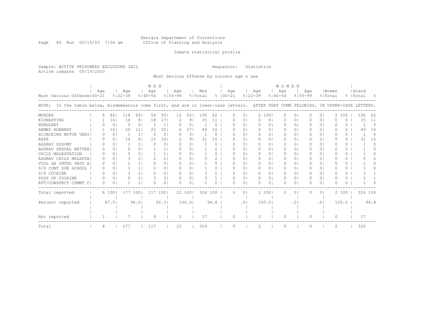#### Georgia Department of Corrections Page 40 Run 05/19/03 7:54 am Office of Planning and Analysis

## Inmate statistical profile

Sample: ACTIVE PRISONERS EXCLUDING JAIL **Requestor:** Statistics Active inmates 05/19/2003

Most Serious Offense by current age & sex

|                                                                                                                                    |     |          |             |                | M E N        |                |             |          |         |          |             |                |             |                | <b>WOMEN</b> |                 |           |                |          |          |           |          |
|------------------------------------------------------------------------------------------------------------------------------------|-----|----------|-------------|----------------|--------------|----------------|-------------|----------|---------|----------|-------------|----------------|-------------|----------------|--------------|-----------------|-----------|----------------|----------|----------|-----------|----------|
|                                                                                                                                    | Aqe |          | Age         |                | Age          |                | Age         |          | Men     |          | Age         |                | Age         |                | Age          |                 | Age       |                | Women    |          | Grand     |          |
| Most Serious Offense   00-21                                                                                                       |     |          | $8122 - 39$ |                | $8140 - 54$  |                | $8155 - 99$ |          | % Total |          | $8100 - 21$ |                | $8122 - 39$ |                | $8140 - 54$  | $8155 - 99$     |           |                | % Total  |          | %   Total |          |
| NOTE: In the table below, misdemeanors come first, and are in lower-case letters. AFTER THAT COME FELONIES, IN UPPER-CASE LETTERS. |     |          |             |                |              |                |             |          |         |          |             |                |             |                |              |                 |           |                |          |          |           |          |
| MURDER                                                                                                                             | 6   | 861      | 118         | 691            | 54           | 501            | 12          | 551      | 190     | 62       | O           | 01             |             | 2 1001         | 0            | $\circ$         | 0         | 0 <sub>1</sub> |          | 2 100    | 192       | 62       |
| KIDNAPPING                                                                                                                         |     | 14       | 14          | 81             | 18           | 171            | 2           | 9        | 35      | 11       |             | $\circ$        | $\Omega$    | 0 <sub>1</sub> | $\Omega$     | $\circ$         |           | 0 <sub>1</sub> |          |          | 35        | 11       |
| <b>BURGLARY</b>                                                                                                                    |     | 0        | $\Omega$    | $\Omega$       |              | 1 <sub>1</sub> | $\Omega$    | $\circ$  |         | $\Omega$ | O           | 0 <sub>1</sub> | $\Omega$    | 0 <sub>1</sub> | $\Omega$     | $\circ$         | $\Omega$  | 0 <sup>1</sup> | O        | 0        |           | $\Omega$ |
| ARMED ROBBERY                                                                                                                      |     | 141      | 20          | 121            | 22           | 201            | 6           | 271      | 49      | 16       |             | 0 <sub>1</sub> | $\Omega$    | 0 <sub>1</sub> | $\Omega$     | 01              | 0         | $\Omega$       | O        | 0        | 49        | 16       |
| HIJACKING MOTOR VEHI                                                                                                               |     | 0        |             | 11             | $\Omega$     | $\circ$        | $\Omega$    | $\circ$  |         | $\Omega$ | O           | $\Omega$       | $\bigcap$   | 0 <sub>1</sub> | $\Omega$     | 0               | 0         | 0 <sub>1</sub> | U        | 0        |           | $\Omega$ |
| RAPE                                                                                                                               |     | $\Omega$ | 14          | 8              | 15           | 14             |             | 9.       | 31      | 10       |             | $\Omega$       | $\Omega$    | 0 <sub>1</sub> | $\Omega$     | $\Omega$        |           | 0 <sub>1</sub> | O        | 0        | 31        | 10       |
| AGGRAV SODOMY                                                                                                                      |     | $\Omega$ |             | 1 <sup>1</sup> | <sup>0</sup> | $\Omega$       | O.          | 0        |         | $\Omega$ | O           | 0 <sub>1</sub> | $\Omega$    | 0 <sub>1</sub> | 0            | $\Omega$        | 0         | $\Omega$       | O        | $\Omega$ |           | 0        |
| AGGRAV SEXUAL BATTER                                                                                                               | 0   | 01       | 0           | 0 <sub>1</sub> |              |                | $\Omega$    | 0        |         | $\Omega$ | O           | $\Omega$       | $\Omega$    | 01             | $\Omega$     | $\Omega$        |           | 0 <sub>1</sub> | n        | 0        |           | 0        |
| CHILD MOLESTATION                                                                                                                  | O.  | $\Omega$ | Λ           | $\Omega$       |              | 11             | O.          | 0        |         | $\Omega$ |             | $\cap$         | $\bigcap$   | $\Omega$       | $\bigcap$    | $\Omega$        | 0         | $\Omega$       | U        | $\Omega$ |           | 0        |
| AGGRAV CHILD MOLESTA                                                                                                               | 0   | 0        |             | 2.             |              | 21             | $\Omega$    | $\Omega$ |         | 2        | O           | $\Omega$       | $\Omega$    | 01             | $\Omega$     | $\Omega$        | 0         | $\Omega$       | n        | $\Omega$ |           |          |
| VIOL GA CNTRL SBST A                                                                                                               | O.  | $\Omega$ |             | 11             | ∩            | $\Omega$       | $\Omega$    | 01       |         | 0        |             | 01             | $\Omega$    | 0 <sub>1</sub> | 0            | 0               | 0         | $\Omega$       | n        | 0        |           |          |
| S/D CONT SUB SCHOOL                                                                                                                | O.  | 0        |             | 1 <sub>1</sub> | ∩            | 0 <sub>1</sub> | $\Omega$    | 0        |         | $\Omega$ | O           | $\Omega$       | $\Omega$    | 01             | $\Omega$     | 0               |           | 0 <sup>1</sup> | n        | 0        |           |          |
| S/D COCAINE                                                                                                                        | ∩   | $\Omega$ | ٦           | $\overline{2}$ | ∩            | $\Omega$       | O.          | 0        |         |          |             | $\Omega$       | $\bigcap$   | 0 <sub>1</sub> | $\bigcap$    | $\Omega$        | 0         | 0 <sup>1</sup> | U        | $\Omega$ |           |          |
| POSS OF COCAINE                                                                                                                    | O.  | $\Omega$ | Ω           | $\Omega$       |              | 31             | $\Omega$    | $\Omega$ |         |          | n           | 0 <sub>1</sub> | $\Omega$    | 0 <sub>1</sub> | $\Omega$     | $\Omega$        | 0         | 0 <sup>1</sup> | 0        | $\Omega$ |           |          |
| ATT/CONSPRCY COMMT C                                                                                                               | 0   | $\Omega$ |             |                | ∩            | $\Omega$       | ∩           | 0        |         | 0        |             | 01             | ∩           | 01             | $\Omega$     | 0               |           | $\Omega$       | n        | 0        |           |          |
| Total reported                                                                                                                     |     | 8 100    | 177         | 1001           | 117          | 1001           |             | 22 100   | 324 100 |          | $\Omega$    | $\Omega$       | 2 100       |                | $\Omega$     | $\Omega$        | 0         | 0 <sub>1</sub> |          | 2 100    |           | 326 100  |
| Percent reported                                                                                                                   |     | 87.51    |             | 96.01          |              | 92.3           |             | 100.01   |         | 94.8     |             | .01            |             | 100.01         |              | .0 <sub>1</sub> |           | .01            |          | 100.0    |           | 94.8     |
|                                                                                                                                    |     |          |             |                |              |                |             |          |         |          |             |                |             |                |              |                 |           |                |          |          |           |          |
| Not reported                                                                                                                       |     |          |             |                | 9            |                | $\Omega$    |          | 17      |          | O           |                | $\Omega$    |                | $\Omega$     |                 | $\bigcap$ |                | $\Omega$ |          | 17        |          |
| Total                                                                                                                              | 8   |          | 177         |                | 117          |                | 22          |          | 324     |          |             |                | 2           |                | O            |                 |           |                | 2        |          | 326       |          |